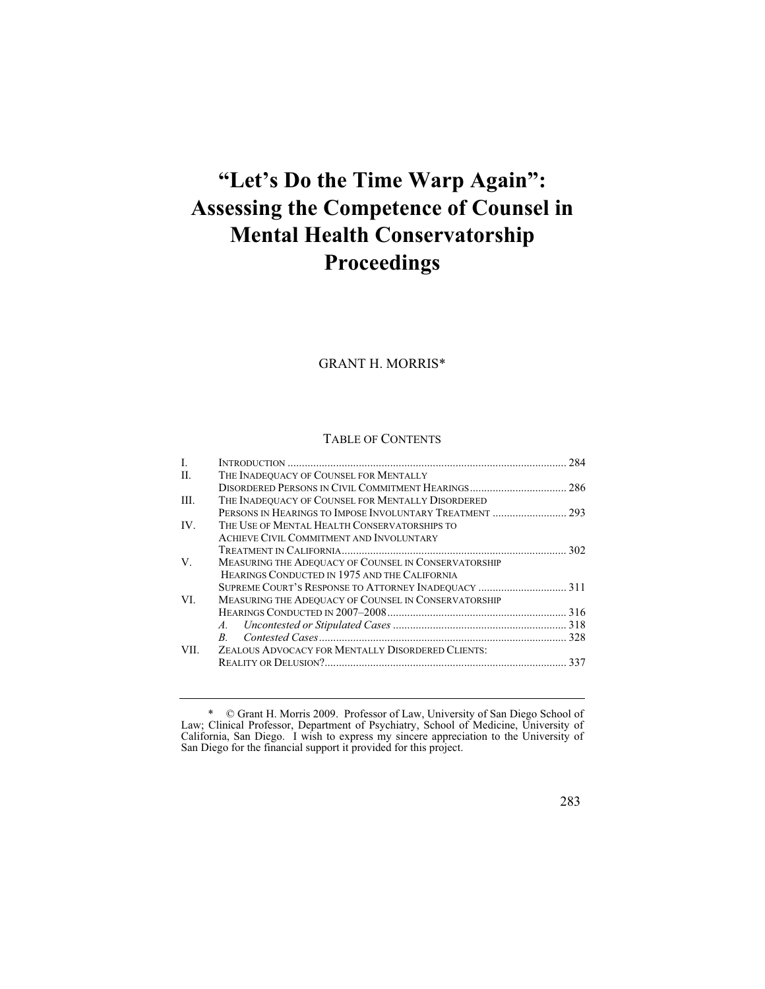# **"Let's Do the Time Warp Again": Assessing the Competence of Counsel in Mental Health Conservatorship Proceedings**

GRANT H. MORRIS\*

#### TABLE OF CONTENTS

| $\mathbf{L}$ |                                                      | 284 |
|--------------|------------------------------------------------------|-----|
| П.           | THE INADEQUACY OF COUNSEL FOR MENTALLY               |     |
|              |                                                      |     |
| III.         | THE INADEQUACY OF COUNSEL FOR MENTALLY DISORDERED    |     |
|              |                                                      |     |
| IV.          | THE USE OF MENTAL HEALTH CONSERVATORSHIPS TO         |     |
|              | ACHIEVE CIVIL COMMITMENT AND INVOLUNTARY             |     |
|              |                                                      |     |
| V.           | MEASURING THE ADEQUACY OF COUNSEL IN CONSERVATORSHIP |     |
|              | HEARINGS CONDUCTED IN 1975 AND THE CALIFORNIA        |     |
|              | SUPREME COURT'S RESPONSE TO ATTORNEY INADEQUACY  311 |     |
| VI.          | MEASURING THE ADEQUACY OF COUNSEL IN CONSERVATORSHIP |     |
|              |                                                      |     |
|              | A.                                                   |     |
|              | B.                                                   |     |
| VII.         | ZEALOUS ADVOCACY FOR MENTALLY DISORDERED CLIENTS:    |     |
|              |                                                      | 337 |
|              |                                                      |     |

<sup>\* ©</sup> Grant H. Morris 2009. Professor of Law, University of San Diego School of Law; Clinical Professor, Department of Psychiatry, School of Medicine, University of California, San Diego. I wish to express my sincere appreciation to the University of San Diego for the financial support it provided for this project.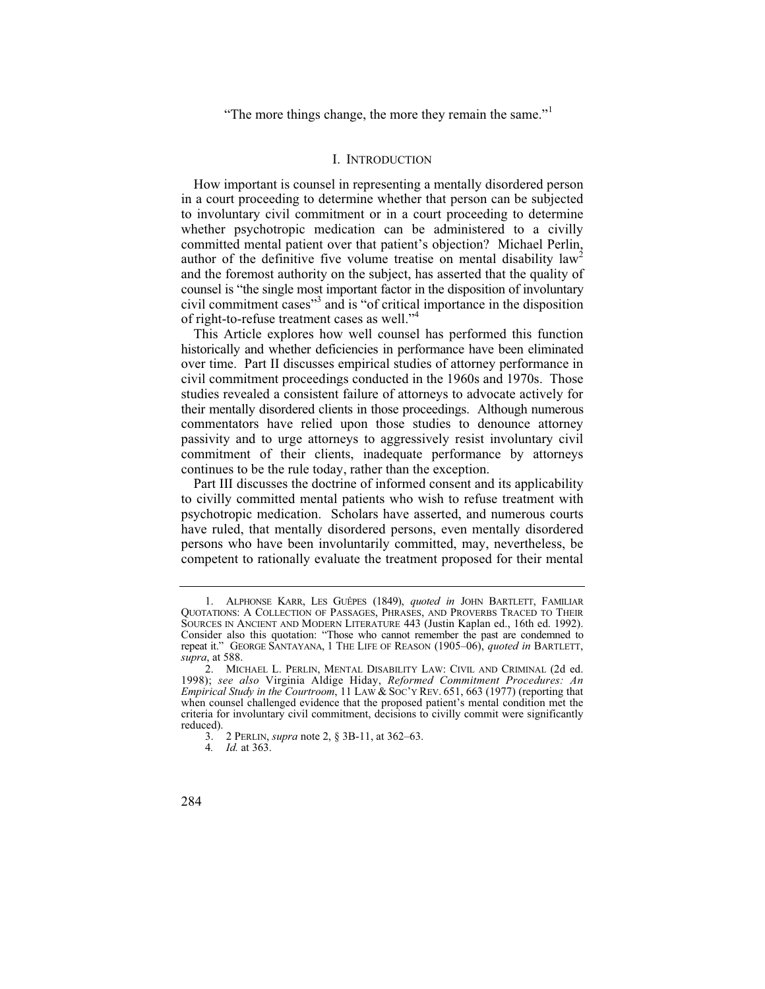"The more things change, the more they remain the same."<sup>1</sup>

#### I. INTRODUCTION

How important is counsel in representing a mentally disordered person in a court proceeding to determine whether that person can be subjected to involuntary civil commitment or in a court proceeding to determine whether psychotropic medication can be administered to a civilly committed mental patient over that patient's objection? Michael Perlin, author of the definitive five volume treatise on mental disability  $law<sup>2</sup>$ and the foremost authority on the subject, has asserted that the quality of counsel is "the single most important factor in the disposition of involuntary civil commitment cases"<sup>3</sup> and is "of critical importance in the disposition of right-to-refuse treatment cases as well."4

This Article explores how well counsel has performed this function historically and whether deficiencies in performance have been eliminated over time. Part II discusses empirical studies of attorney performance in civil commitment proceedings conducted in the 1960s and 1970s. Those studies revealed a consistent failure of attorneys to advocate actively for their mentally disordered clients in those proceedings. Although numerous commentators have relied upon those studies to denounce attorney passivity and to urge attorneys to aggressively resist involuntary civil commitment of their clients, inadequate performance by attorneys continues to be the rule today, rather than the exception.

Part III discusses the doctrine of informed consent and its applicability to civilly committed mental patients who wish to refuse treatment with psychotropic medication. Scholars have asserted, and numerous courts have ruled, that mentally disordered persons, even mentally disordered persons who have been involuntarily committed, may, nevertheless, be competent to rationally evaluate the treatment proposed for their mental

<sup>1.</sup> ALPHONSE KARR, LES GUÊPES (1849), *quoted in* JOHN BARTLETT, FAMILIAR QUOTATIONS:ACOLLECTION OF PASSAGES, PHRASES, AND PROVERBS TRACED TO THEIR SOURCES IN ANCIENT AND MODERN LITERATURE 443 (Justin Kaplan ed., 16th ed. 1992). Consider also this quotation: "Those who cannot remember the past are condemned to repeat it." GEORGE SANTAYANA,1THE LIFE OF REASON (1905–06), *quoted in* BARTLETT, *supra*, at 588.

<sup>2.</sup> MICHAEL L. PERLIN, MENTAL DISABILITY LAW: CIVIL AND CRIMINAL (2d ed. 1998); *see also* Virginia Aldige Hiday, *Reformed Commitment Procedures: An Empirical Study in the Courtroom*, 11 LAW & Soc'y Rev. 651, 663 (1977) (reporting that when counsel challenged evidence that the proposed patient's mental condition met the criteria for involuntary civil commitment, decisions to civilly commit were significantly reduced).

<sup>3. 2</sup> PERLIN, *supra* note 2, § 3B-11, at 362–63.

<sup>4</sup>*. Id.* at 363.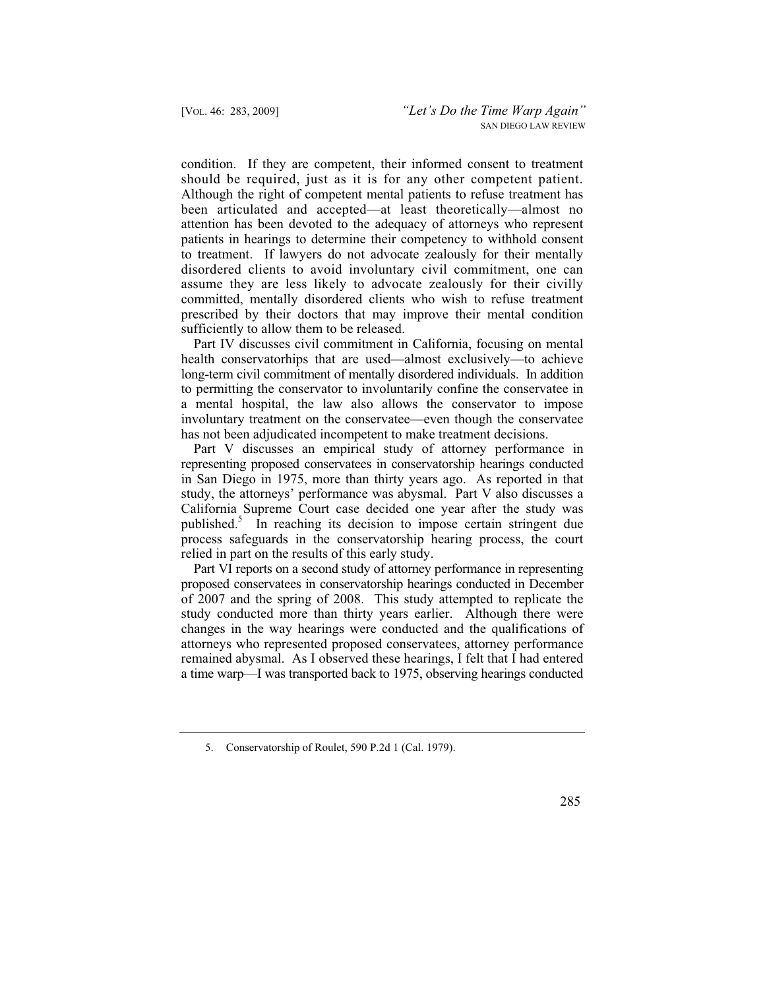condition. If they are competent, their informed consent to treatment should be required, just as it is for any other competent patient. Although the right of competent mental patients to refuse treatment has been articulated and accepted—at least theoretically—almost no attention has been devoted to the adequacy of attorneys who represent patients in hearings to determine their competency to withhold consent to treatment. If lawyers do not advocate zealously for their mentally disordered clients to avoid involuntary civil commitment, one can assume they are less likely to advocate zealously for their civilly committed, mentally disordered clients who wish to refuse treatment prescribed by their doctors that may improve their mental condition sufficiently to allow them to be released.

Part IV discusses civil commitment in California, focusing on mental health conservatorhips that are used—almost exclusively—to achieve long-term civil commitment of mentally disordered individuals. In addition to permitting the conservator to involuntarily confine the conservatee in a mental hospital, the law also allows the conservator to impose involuntary treatment on the conservatee—even though the conservatee has not been adjudicated incompetent to make treatment decisions.

Part V discusses an empirical study of attorney performance in representing proposed conservatees in conservatorship hearings conducted in San Diego in 1975, more than thirty years ago. As reported in that study, the attorneys' performance was abysmal. Part V also discusses a California Supreme Court case decided one year after the study was published.<sup>5</sup> In reaching its decision to impose certain stringent due process safeguards in the conservatorship hearing process, the court relied in part on the results of this early study.

Part VI reports on a second study of attorney performance in representing proposed conservatees in conservatorship hearings conducted in December of 2007 and the spring of 2008. This study attempted to replicate the study conducted more than thirty years earlier. Although there were changes in the way hearings were conducted and the qualifications of attorneys who represented proposed conservatees, attorney performance remained abysmal. As I observed these hearings, I felt that I had entered a time warp—I was transported back to 1975, observing hearings conducted

<sup>5.</sup> Conservatorship of Roulet, 590 P.2d 1 (Cal. 1979).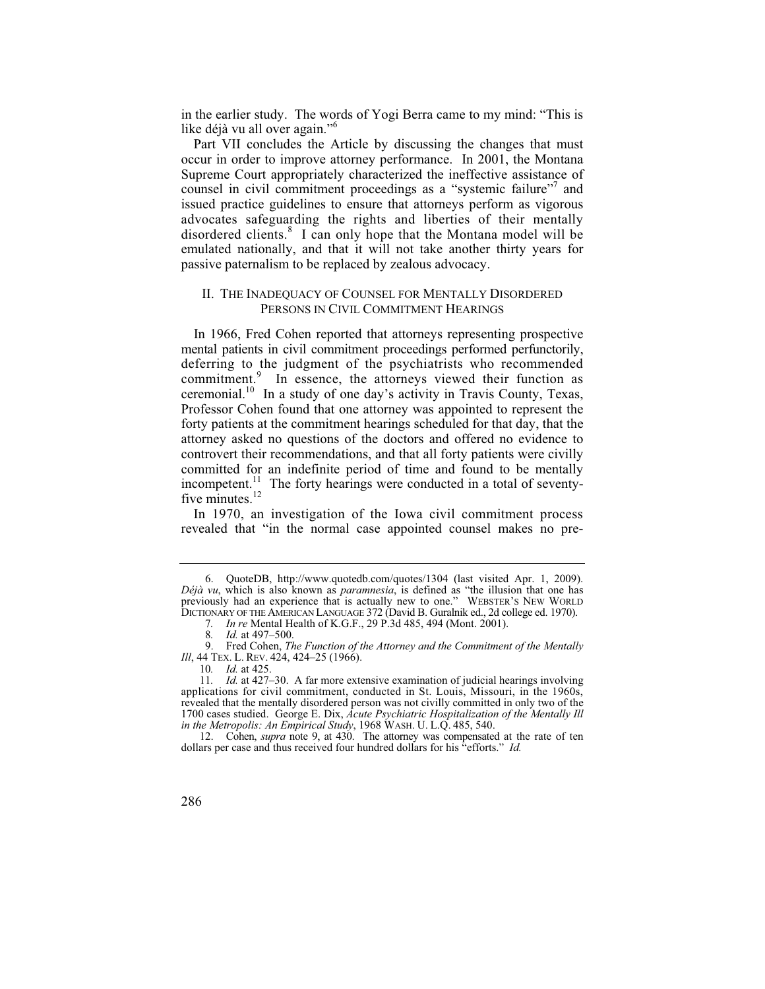in the earlier study. The words of Yogi Berra came to my mind: "This is like déjà vu all over again."<sup>6</sup>

Part VII concludes the Article by discussing the changes that must occur in order to improve attorney performance. In 2001, the Montana Supreme Court appropriately characterized the ineffective assistance of counsel in civil commitment proceedings as a "systemic failure"<sup>7</sup> and issued practice guidelines to ensure that attorneys perform as vigorous advocates safeguarding the rights and liberties of their mentally disordered clients.<sup>8</sup> I can only hope that the Montana model will be emulated nationally, and that it will not take another thirty years for passive paternalism to be replaced by zealous advocacy.

#### II. THE INADEQUACY OF COUNSEL FOR MENTALLY DISORDERED PERSONS IN CIVIL COMMITMENT HEARINGS

In 1966, Fred Cohen reported that attorneys representing prospective mental patients in civil commitment proceedings performed perfunctorily, deferring to the judgment of the psychiatrists who recommended commitment.<sup>9</sup> In essence, the attorneys viewed their function as ceremonial.10 In a study of one day's activity in Travis County, Texas, Professor Cohen found that one attorney was appointed to represent the forty patients at the commitment hearings scheduled for that day, that the attorney asked no questions of the doctors and offered no evidence to controvert their recommendations, and that all forty patients were civilly committed for an indefinite period of time and found to be mentally incompetent.<sup>11</sup> The forty hearings were conducted in a total of seventyfive minutes.<sup>12</sup>

In 1970, an investigation of the Iowa civil commitment process revealed that "in the normal case appointed counsel makes no pre-

<sup>6.</sup> QuoteDB, http://www.quotedb.com/quotes/1304 (last visited Apr. 1, 2009). *Déjà vu*, which is also known as *paramnesia*, is defined as "the illusion that one has previously had an experience that is actually new to one." WEBSTER'S NEW WORLD DICTIONARY OF THE AMERICAN LANGUAGE 372 (David B. Guralnik ed., 2d college ed. 1970).

<sup>7</sup>*. In re* Mental Health of K.G.F., 29 P.3d 485, 494 (Mont. 2001).

<sup>8</sup>*. Id.* at 497–500.

<sup>9.</sup> Fred Cohen, *The Function of the Attorney and the Commitment of the Mentally Ill*, 44 TEX. L. REV. 424, 424–25 (1966).

<sup>10</sup>*. Id.* at 425.

<sup>11</sup>*. Id.* at 427–30. A far more extensive examination of judicial hearings involving applications for civil commitment, conducted in St. Louis, Missouri, in the 1960s, revealed that the mentally disordered person was not civilly committed in only two of the 1700 cases studied. George E. Dix, *Acute Psychiatric Hospitalization of the Mentally Ill in the Metropolis: An Empirical Study*, 1968 WASH. U. L.Q. 485, 540.

<sup>12.</sup> Cohen, *supra* note 9, at 430. The attorney was compensated at the rate of ten dollars per case and thus received four hundred dollars for his "efforts." *Id.*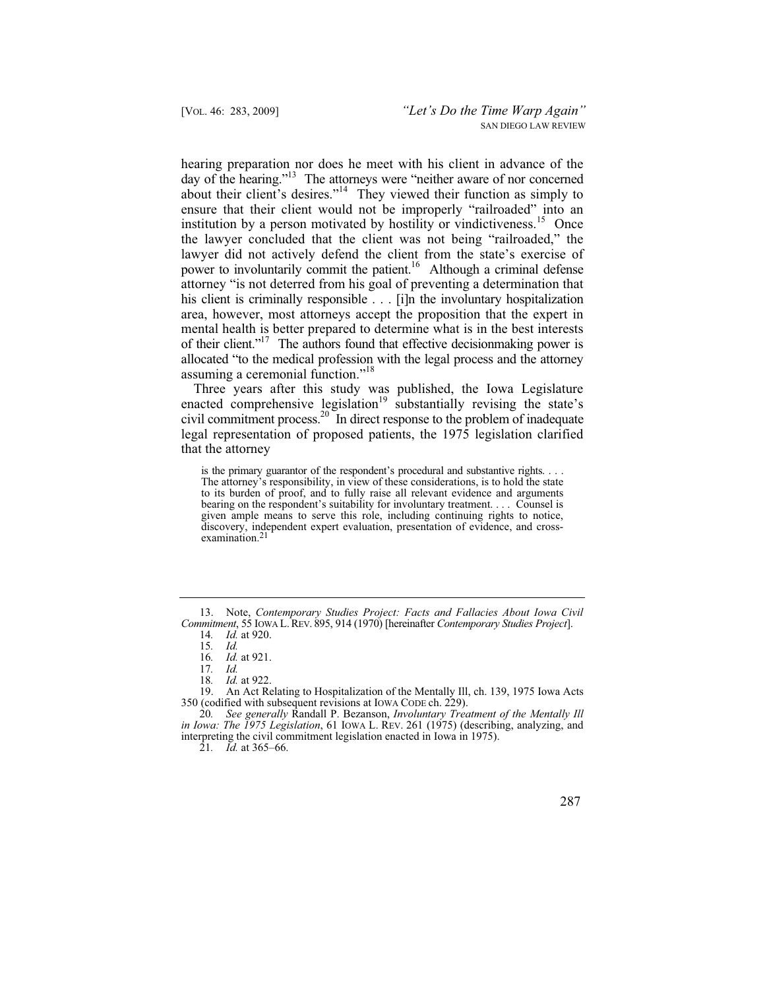hearing preparation nor does he meet with his client in advance of the day of the hearing."<sup>13</sup> The attorneys were "neither aware of nor concerned about their client's desires."<sup>14</sup> They viewed their function as simply to ensure that their client would not be improperly "railroaded" into an institution by a person motivated by hostility or vindictiveness.<sup>15</sup> Once the lawyer concluded that the client was not being "railroaded," the lawyer did not actively defend the client from the state's exercise of power to involuntarily commit the patient.<sup>16</sup> Although a criminal defense attorney "is not deterred from his goal of preventing a determination that his client is criminally responsible . . . [i]n the involuntary hospitalization area, however, most attorneys accept the proposition that the expert in mental health is better prepared to determine what is in the best interests of their client."17 The authors found that effective decisionmaking power is allocated "to the medical profession with the legal process and the attorney assuming a ceremonial function."<sup>18</sup>

Three years after this study was published, the Iowa Legislature enacted comprehensive legislation<sup>19</sup> substantially revising the state's civil commitment process.<sup>20</sup> In direct response to the problem of inadequate legal representation of proposed patients, the 1975 legislation clarified that the attorney

is the primary guarantor of the respondent's procedural and substantive rights. . . . The attorney's responsibility, in view of these considerations, is to hold the state to its burden of proof, and to fully raise all relevant evidence and arguments bearing on the respondent's suitability for involuntary treatment. . . . Counsel is given ample means to serve this role, including continuing rights to notice, discovery, independent expert evaluation, presentation of evidence, and crossexamination.<sup>2</sup>

19. An Act Relating to Hospitalization of the Mentally Ill, ch. 139, 1975 Iowa Acts 350 (codified with subsequent revisions at IOWA CODE ch. 229).

<sup>13.</sup> Note, *Contemporary Studies Project: Facts and Fallacies About Iowa Civil Commitment*, 55 IOWA L. REV. 895, 914 (1970) [hereinafter *Contemporary Studies Project*].

<sup>14</sup>*. Id.* at 920.

<sup>15</sup>*. Id.*

<sup>16</sup>*. Id.* at 921.

<sup>17</sup>*. Id.*

<sup>18.</sup> *Id.* at 922.<br>19 An Act Re

<sup>20</sup>*. See generally* Randall P. Bezanson, *Involuntary Treatment of the Mentally Ill in Iowa: The 1975 Legislation*, 61 IOWA L. REV. 261 (1975) (describing, analyzing, and interpreting the civil commitment legislation enacted in Iowa in 1975).

<sup>21</sup>*. Id.* at 365–66.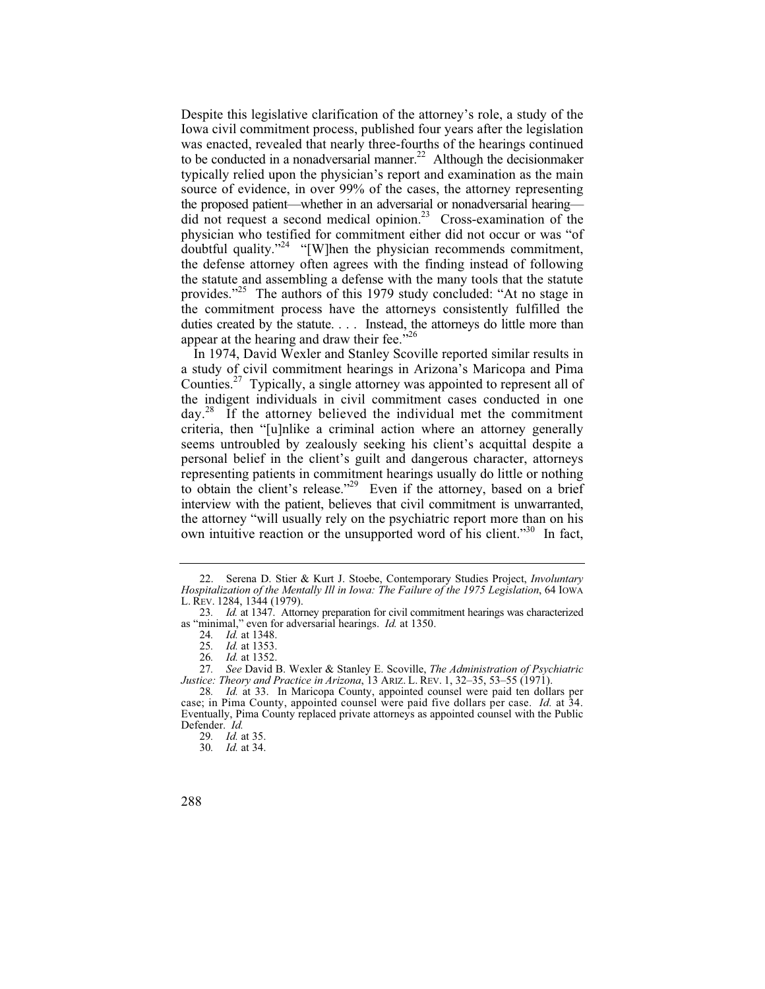Despite this legislative clarification of the attorney's role, a study of the Iowa civil commitment process, published four years after the legislation was enacted, revealed that nearly three-fourths of the hearings continued to be conducted in a nonadversarial manner.<sup>22</sup> Although the decisionmaker typically relied upon the physician's report and examination as the main source of evidence, in over 99% of the cases, the attorney representing the proposed patient—whether in an adversarial or nonadversarial hearing did not request a second medical opinion.<sup>23</sup> Cross-examination of the physician who testified for commitment either did not occur or was "of doubtful quality."24 "[W]hen the physician recommends commitment, the defense attorney often agrees with the finding instead of following the statute and assembling a defense with the many tools that the statute provides."<sup>25</sup> The authors of this 1979 study concluded: "At no stage in the commitment process have the attorneys consistently fulfilled the duties created by the statute. . . . Instead, the attorneys do little more than appear at the hearing and draw their fee. $126$ 

In 1974, David Wexler and Stanley Scoville reported similar results in a study of civil commitment hearings in Arizona's Maricopa and Pima Counties.27 Typically, a single attorney was appointed to represent all of the indigent individuals in civil commitment cases conducted in one day.28 If the attorney believed the individual met the commitment criteria, then "[u]nlike a criminal action where an attorney generally seems untroubled by zealously seeking his client's acquittal despite a personal belief in the client's guilt and dangerous character, attorneys representing patients in commitment hearings usually do little or nothing to obtain the client's release."<sup>29</sup> Even if the attorney, based on a brief interview with the patient, believes that civil commitment is unwarranted, the attorney "will usually rely on the psychiatric report more than on his own intuitive reaction or the unsupported word of his client."<sup>30</sup> In fact,

30*. Id.* at 34.

<sup>22.</sup> Serena D. Stier & Kurt J. Stoebe, Contemporary Studies Project, *Involuntary Hospitalization of the Mentally Ill in Iowa: The Failure of the 1975 Legislation*, 64 IOWA L. REV. 1284, 1344 (1979).

<sup>23</sup>*. Id.* at 1347. Attorney preparation for civil commitment hearings was characterized as "minimal," even for adversarial hearings. *Id.* at 1350.

<sup>24</sup>*. Id.* at 1348.

<sup>25</sup>*. Id.* at 1353.

<sup>26</sup>*. Id.* at 1352.

<sup>27</sup>*. See* David B. Wexler & Stanley E. Scoville, *The Administration of Psychiatric Justice: Theory and Practice in Arizona*, 13 ARIZ. L. REV. 1, 32–35, 53–55 (1971).

<sup>28</sup>*. Id.* at 33. In Maricopa County, appointed counsel were paid ten dollars per case; in Pima County, appointed counsel were paid five dollars per case. *Id.* at 34. Eventually, Pima County replaced private attorneys as appointed counsel with the Public Defender. *Id.*

<sup>29</sup>*. Id.* at 35.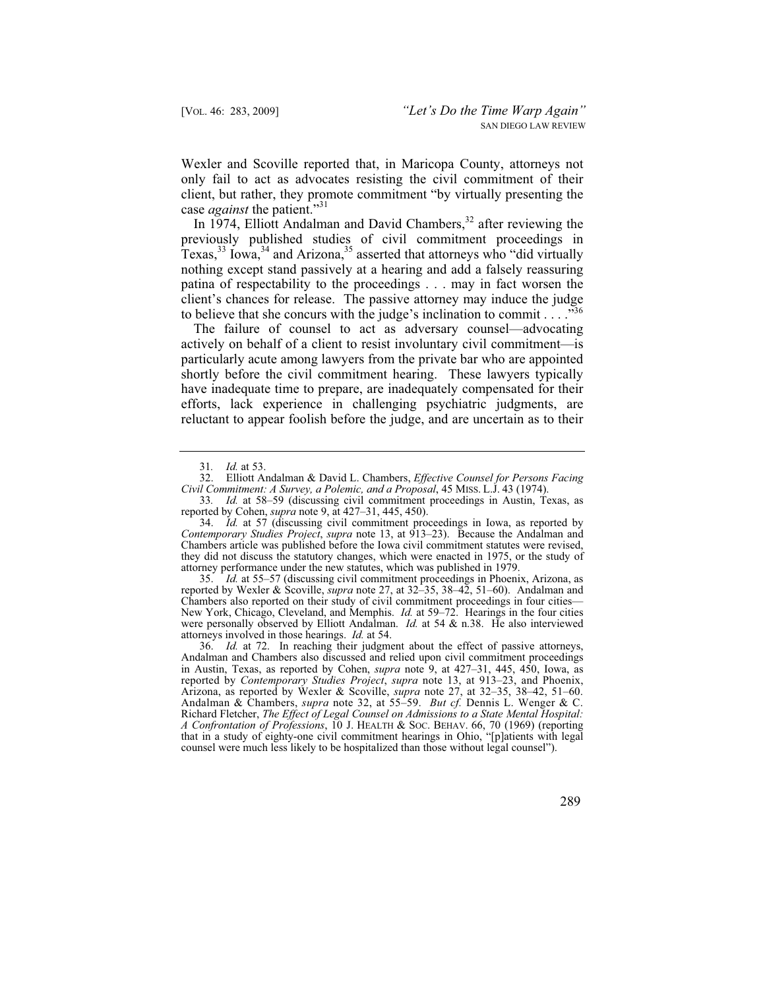Wexler and Scoville reported that, in Maricopa County, attorneys not only fail to act as advocates resisting the civil commitment of their client, but rather, they promote commitment "by virtually presenting the case *against* the patient."<sup>31</sup>

In 1974, Elliott Andalman and David Chambers,<sup>32</sup> after reviewing the previously published studies of civil commitment proceedings in Texas,  $33 \text{ Iowa}$ ,  $34 \text{ and Arizona}$ ,  $35 \text{ asserted that attempts who "did virtually"$ nothing except stand passively at a hearing and add a falsely reassuring patina of respectability to the proceedings . . . may in fact worsen the client's chances for release. The passive attorney may induce the judge to believe that she concurs with the judge's inclination to commit  $\ldots$  ...<sup>356</sup>

The failure of counsel to act as adversary counsel—advocating actively on behalf of a client to resist involuntary civil commitment—is particularly acute among lawyers from the private bar who are appointed shortly before the civil commitment hearing. These lawyers typically have inadequate time to prepare, are inadequately compensated for their efforts, lack experience in challenging psychiatric judgments, are reluctant to appear foolish before the judge, and are uncertain as to their

34. *Id.* at 57 (discussing civil commitment proceedings in Iowa, as reported by *Contemporary Studies Project*, *supra* note 13, at 913–23). Because the Andalman and Chambers article was published before the Iowa civil commitment statutes were revised, they did not discuss the statutory changes, which were enacted in 1975, or the study of attorney performance under the new statutes, which was published in 1979.

35. *Id.* at 55–57 (discussing civil commitment proceedings in Phoenix, Arizona, as reported by Wexler & Scoville, *supra* note 27, at 32–35, 38–42, 51–60). Andalman and Chambers also reported on their study of civil commitment proceedings in four cities— New York, Chicago, Cleveland, and Memphis. *Id.* at 59–72. Hearings in the four cities were personally observed by Elliott Andalman. *Id.* at 54 & n.38. He also interviewed attorneys involved in those hearings. *Id.* at 54.

36. *Id.* at 72. In reaching their judgment about the effect of passive attorneys, Andalman and Chambers also discussed and relied upon civil commitment proceedings in Austin, Texas, as reported by Cohen, *supra* note 9, at 427–31, 445, 450, Iowa, as reported by *Contemporary Studies Project*, *supra* note 13, at 913–23, and Phoenix, Arizona, as reported by Wexler & Scoville, *supra* note 27, at 32–35, 38–42, 51–60. Andalman & Chambers, *supra* note 32, at 55–59. *But cf.* Dennis L. Wenger & C. Richard Fletcher, *The Effect of Legal Counsel on Admissions to a State Mental Hospital: A Confrontation of Professions*, 10 J. HEALTH & SOC. BEHAV. 66, 70 (1969) (reporting that in a study of eighty-one civil commitment hearings in Ohio, "[p]atients with legal counsel were much less likely to be hospitalized than those without legal counsel").

<sup>31</sup>*. Id.* at 53.

<sup>32.</sup> Elliott Andalman & David L. Chambers, *Effective Counsel for Persons Facing Civil Commitment: A Survey, a Polemic, and a Proposal*, 45 MISS. L.J. 43 (1974).

<sup>33</sup>*. Id.* at 58–59 (discussing civil commitment proceedings in Austin, Texas, as reported by Cohen, *supra* note 9, at 427–31, 445, 450).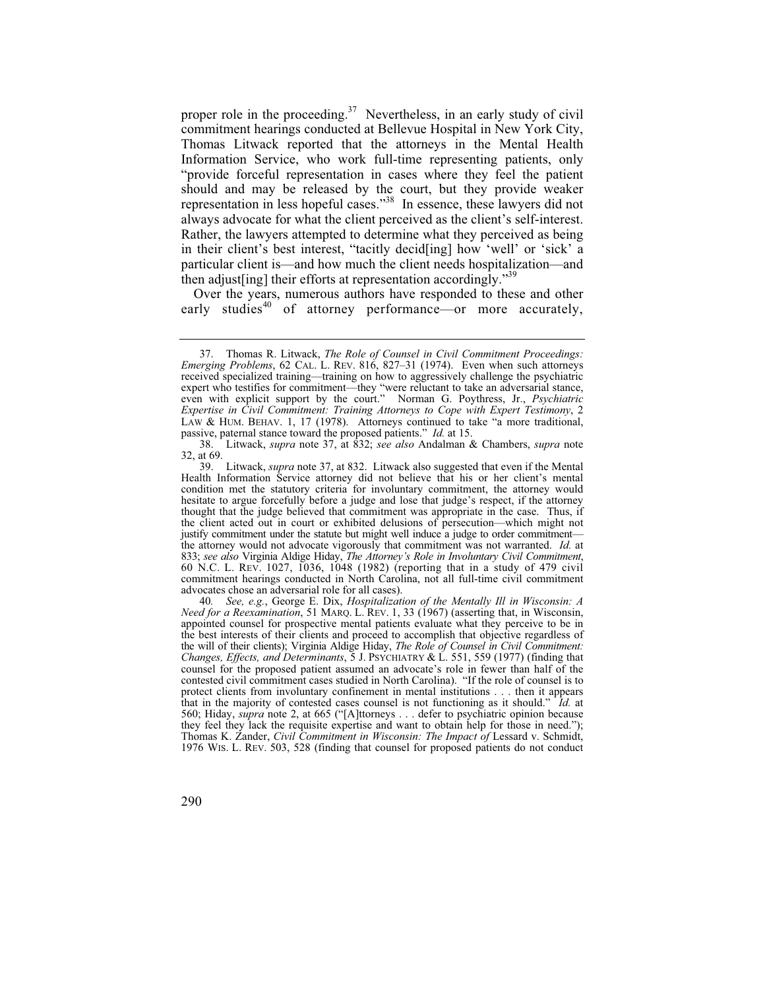proper role in the proceeding.<sup>37</sup> Nevertheless, in an early study of civil commitment hearings conducted at Bellevue Hospital in New York City, Thomas Litwack reported that the attorneys in the Mental Health Information Service, who work full-time representing patients, only "provide forceful representation in cases where they feel the patient should and may be released by the court, but they provide weaker representation in less hopeful cases."<sup>38</sup> In essence, these lawyers did not always advocate for what the client perceived as the client's self-interest. Rather, the lawyers attempted to determine what they perceived as being in their client's best interest, "tacitly decid[ing] how 'well' or 'sick' a particular client is—and how much the client needs hospitalization—and then adjust [ing] their efforts at representation accordingly."<sup>39</sup>

Over the years, numerous authors have responded to these and other early studies $40$  of attorney performance—or more accurately,

 <sup>37.</sup> Thomas R. Litwack, *The Role of Counsel in Civil Commitment Proceedings: Emerging Problems*, 62 CAL. L. REV. 816, 827–31 (1974). Even when such attorneys received specialized training—training on how to aggressively challenge the psychiatric expert who testifies for commitment—they "were reluctant to take an adversarial stance, even with explicit support by the court." Norman G. Poythress, Jr., *Psychiatric Expertise in Civil Commitment: Training Attorneys to Cope with Expert Testimony*, 2 LAW & HUM. BEHAV. 1, 17 (1978). Attorneys continued to take "a more traditional, passive, paternal stance toward the proposed patients." *Id.* at 15.

 <sup>38.</sup> Litwack, *supra* note 37, at 832; *see also* Andalman & Chambers, *supra* note 32, at 69.

 <sup>39.</sup> Litwack, *supra* note 37, at 832. Litwack also suggested that even if the Mental Health Information Service attorney did not believe that his or her client's mental condition met the statutory criteria for involuntary commitment, the attorney would hesitate to argue forcefully before a judge and lose that judge's respect, if the attorney thought that the judge believed that commitment was appropriate in the case. Thus, if the client acted out in court or exhibited delusions of persecution—which might not justify commitment under the statute but might well induce a judge to order commitment the attorney would not advocate vigorously that commitment was not warranted. *Id.* at 833; *see also* Virginia Aldige Hiday, *The Attorney's Role in Involuntary Civil Commitment*, 60 N.C. L. REV. 1027, 1036, 1048 (1982) (reporting that in a study of 479 civil commitment hearings conducted in North Carolina, not all full-time civil commitment advocates chose an adversarial role for all cases).

<sup>40</sup>*. See, e.g.*, George E. Dix, *Hospitalization of the Mentally Ill in Wisconsin: A Need for a Reexamination*, 51 MARQ. L. REV. 1, 33 (1967) (asserting that, in Wisconsin, appointed counsel for prospective mental patients evaluate what they perceive to be in the best interests of their clients and proceed to accomplish that objective regardless of the will of their clients); Virginia Aldige Hiday, *The Role of Counsel in Civil Commitment: Changes, Effects, and Determinants*, 5 J. PSYCHIATRY & L. 551, 559 (1977) (finding that counsel for the proposed patient assumed an advocate's role in fewer than half of the contested civil commitment cases studied in North Carolina). "If the role of counsel is to protect clients from involuntary confinement in mental institutions . . . then it appears that in the majority of contested cases counsel is not functioning as it should." *Id.* at 560; Hiday, *supra* note 2, at 665 ("[A]ttorneys . . . defer to psychiatric opinion because they feel they lack the requisite expertise and want to obtain help for those in need."); Thomas K. Zander, *Civil Commitment in Wisconsin: The Impact of* Lessard v. Schmidt, 1976 WIS. L. REV. 503, 528 (finding that counsel for proposed patients do not conduct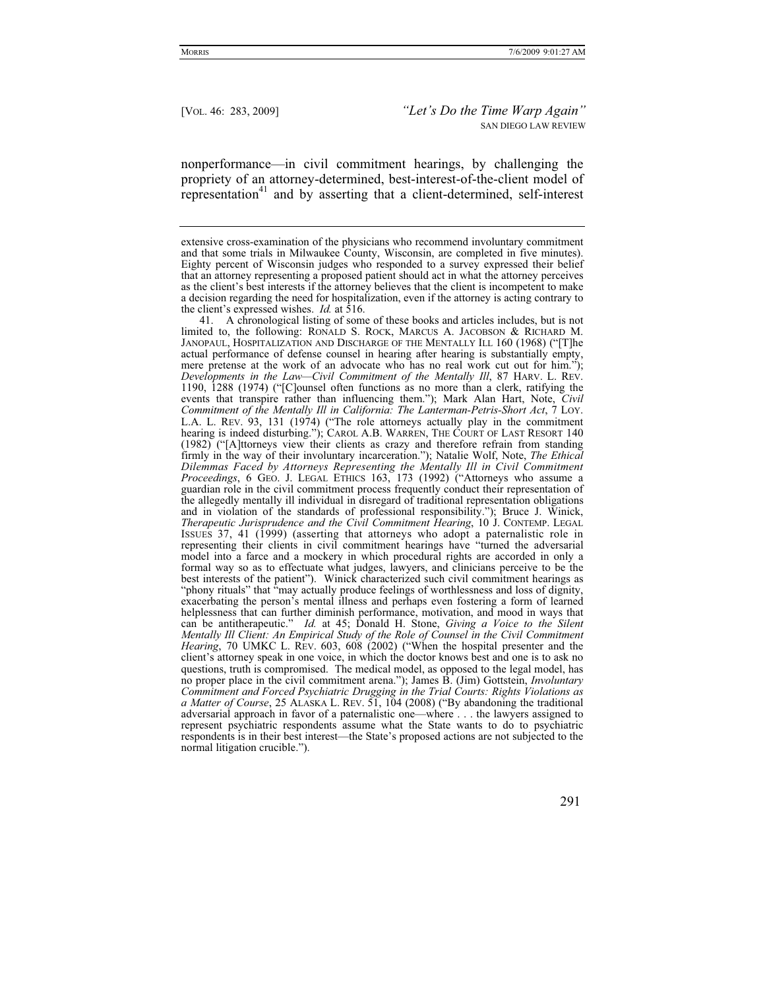nonperformance—in civil commitment hearings, by challenging the propriety of an attorney-determined, best-interest-of-the-client model of representation<sup>41</sup> and by asserting that a client-determined, self-interest

 41. A chronological listing of some of these books and articles includes, but is not limited to, the following: RONALD S. ROCK, MARCUS A. JACOBSON & RICHARD M. JANOPAUL, HOSPITALIZATION AND DISCHARGE OF THE MENTALLY ILL 160 (1968) ("[T]he actual performance of defense counsel in hearing after hearing is substantially empty, mere pretense at the work of an advocate who has no real work cut out for him."); *Developments in the Law—Civil Commitment of the Mentally Ill*, 87 HARV. L. REV. 1190, 1288 (1974) ("[C]ounsel often functions as no more than a clerk, ratifying the events that transpire rather than influencing them."); Mark Alan Hart, Note, *Civil Commitment of the Mentally Ill in California: The Lanterman-Petris-Short Act*, 7 LOY. L.A. L. REV. 93, 131 (1974) ("The role attorneys actually play in the commitment hearing is indeed disturbing."); CAROL A.B. WARREN, THE COURT OF LAST RESORT 140 (1982) ("[A]ttorneys view their clients as crazy and therefore refrain from standing firmly in the way of their involuntary incarceration."); Natalie Wolf, Note, *The Ethical Dilemmas Faced by Attorneys Representing the Mentally Ill in Civil Commitment Proceedings*, 6 GEO. J. LEGAL ETHICS 163, 173 (1992) ("Attorneys who assume a guardian role in the civil commitment process frequently conduct their representation of the allegedly mentally ill individual in disregard of traditional representation obligations and in violation of the standards of professional responsibility."); Bruce J. Winick, *Therapeutic Jurisprudence and the Civil Commitment Hearing*, 10 J. CONTEMP. LEGAL ISSUES 37, 41 (1999) (asserting that attorneys who adopt a paternalistic role in representing their clients in civil commitment hearings have "turned the adversarial model into a farce and a mockery in which procedural rights are accorded in only a formal way so as to effectuate what judges, lawyers, and clinicians perceive to be the best interests of the patient"). Winick characterized such civil commitment hearings as "phony rituals" that "may actually produce feelings of worthlessness and loss of dignity, exacerbating the person's mental illness and perhaps even fostering a form of learned helplessness that can further diminish performance, motivation, and mood in ways that can be antitherapeutic." *Id.* at 45; Donald H. Stone, *Giving a Voice to the Silent Mentally Ill Client: An Empirical Study of the Role of Counsel in the Civil Commitment Hearing*, 70 UMKC L. REV. 603, 608 (2002) ("When the hospital presenter and the client's attorney speak in one voice, in which the doctor knows best and one is to ask no questions, truth is compromised. The medical model, as opposed to the legal model, has no proper place in the civil commitment arena."); James B. (Jim) Gottstein, *Involuntary Commitment and Forced Psychiatric Drugging in the Trial Courts: Rights Violations as a Matter of Course*, 25 ALASKA L. REV. 51, 104 (2008) ("By abandoning the traditional adversarial approach in favor of a paternalistic one—where . . . the lawyers assigned to represent psychiatric respondents assume what the State wants to do to psychiatric respondents is in their best interest—the State's proposed actions are not subjected to the normal litigation crucible.").

extensive cross-examination of the physicians who recommend involuntary commitment and that some trials in Milwaukee County, Wisconsin, are completed in five minutes). Eighty percent of Wisconsin judges who responded to a survey expressed their belief that an attorney representing a proposed patient should act in what the attorney perceives as the client's best interests if the attorney believes that the client is incompetent to make a decision regarding the need for hospitalization, even if the attorney is acting contrary to the client's expressed wishes. *Id.* at 516.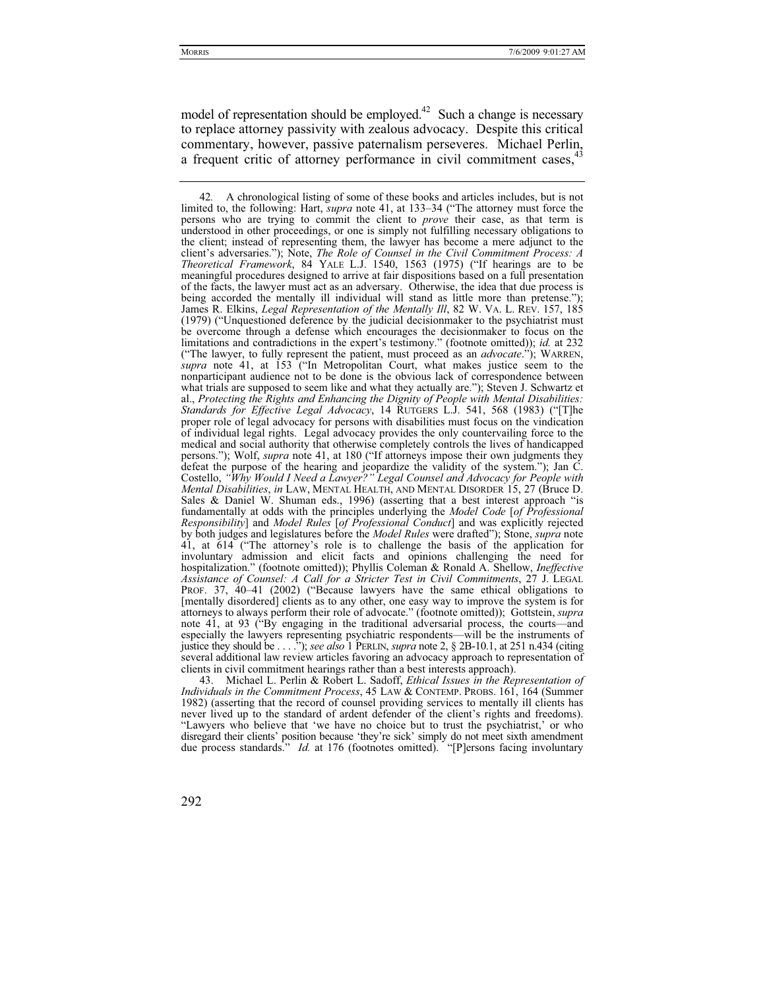model of representation should be employed.<sup>42</sup> Such a change is necessary to replace attorney passivity with zealous advocacy. Despite this critical commentary, however, passive paternalism perseveres. Michael Perlin, a frequent critic of attorney performance in civil commitment cases.<sup>4</sup>

Michael L. Perlin & Robert L. Sadoff, *Ethical Issues in the Representation of Individuals in the Commitment Process*, 45 LAW & CONTEMP. PROBS. 161, 164 (Summer 1982) (asserting that the record of counsel providing services to mentally ill clients has never lived up to the standard of ardent defender of the client's rights and freedoms). "Lawyers who believe that 'we have no choice but to trust the psychiatrist,' or who disregard their clients' position because 'they're sick' simply do not meet sixth amendment due process standards." *Id.* at 176 (footnotes omitted). "[P]ersons facing involuntary

<sup>42</sup>*.* A chronological listing of some of these books and articles includes, but is not limited to, the following: Hart, *supra* note 41, at 133–34 ("The attorney must force the persons who are trying to commit the client to *prove* their case, as that term is understood in other proceedings, or one is simply not fulfilling necessary obligations to the client; instead of representing them, the lawyer has become a mere adjunct to the client's adversaries."); Note, *The Role of Counsel in the Civil Commitment Process: A Theoretical Framework*, 84 YALE L.J. 1540, 1563 (1975) ("If hearings are to be meaningful procedures designed to arrive at fair dispositions based on a full presentation of the facts, the lawyer must act as an adversary. Otherwise, the idea that due process is being accorded the mentally ill individual will stand as little more than pretense."); James R. Elkins, *Legal Representation of the Mentally Ill*, 82 W. VA. L. REV. 157, 185 (1979) ("Unquestioned deference by the judicial decisionmaker to the psychiatrist must be overcome through a defense which encourages the decisionmaker to focus on the limitations and contradictions in the expert's testimony." (footnote omitted)); *id.* at 232 ("The lawyer, to fully represent the patient, must proceed as an *advocate*."); WARREN, *supra* note 41, at 153 ("In Metropolitan Court, what makes justice seem to the nonparticipant audience not to be done is the obvious lack of correspondence between what trials are supposed to seem like and what they actually are."); Steven J. Schwartz et al., *Protecting the Rights and Enhancing the Dignity of People with Mental Disabilities: Standards for Effective Legal Advocacy*, 14 RUTGERS L.J. 541, 568 (1983) ("[T]he proper role of legal advocacy for persons with disabilities must focus on the vindication of individual legal rights. Legal advocacy provides the only countervailing force to the medical and social authority that otherwise completely controls the lives of handicapped persons."); Wolf, *supra* note 41, at 180 ("If attorneys impose their own judgments they defeat the purpose of the hearing and jeopardize the validity of the system."); Jan C. Costello, *"Why Would I Need a Lawyer?" Legal Counsel and Advocacy for People with Mental Disabilities*, *in* LAW, MENTAL HEALTH, AND MENTAL DISORDER 15, 27 (Bruce D. Sales & Daniel W. Shuman eds., 1996) (asserting that a best interest approach "is fundamentally at odds with the principles underlying the *Model Code* [*of Professional Responsibility*] and *Model Rules* [*of Professional Conduct*] and was explicitly rejected by both judges and legislatures before the *Model Rules* were drafted"); Stone, *supra* note 41, at 614 ("The attorney's role is to challenge the basis of the application for involuntary admission and elicit facts and opinions challenging the need for hospitalization." (footnote omitted)); Phyllis Coleman & Ronald A. Shellow, *Ineffective Assistance of Counsel: A Call for a Stricter Test in Civil Commitments*, 27 J. LEGAL PROF. 37, 40–41 (2002) ("Because lawyers have the same ethical obligations to [mentally disordered] clients as to any other, one easy way to improve the system is for attorneys to always perform their role of advocate." (footnote omitted)); Gottstein, *supra*  note 41, at 93 ("By engaging in the traditional adversarial process, the courts—and especially the lawyers representing psychiatric respondents—will be the instruments of justice they should be . . . ."); *see also* 1 PERLIN, *supra* note 2, § 2B-10.1, at 251 n.434 (citing several additional law review articles favoring an advocacy approach to representation of clients in civil commitment hearings rather than a best interests approach).<br>43. Michael L. Perlin & Robert L. Sadoff. Ethical Issues in the Ret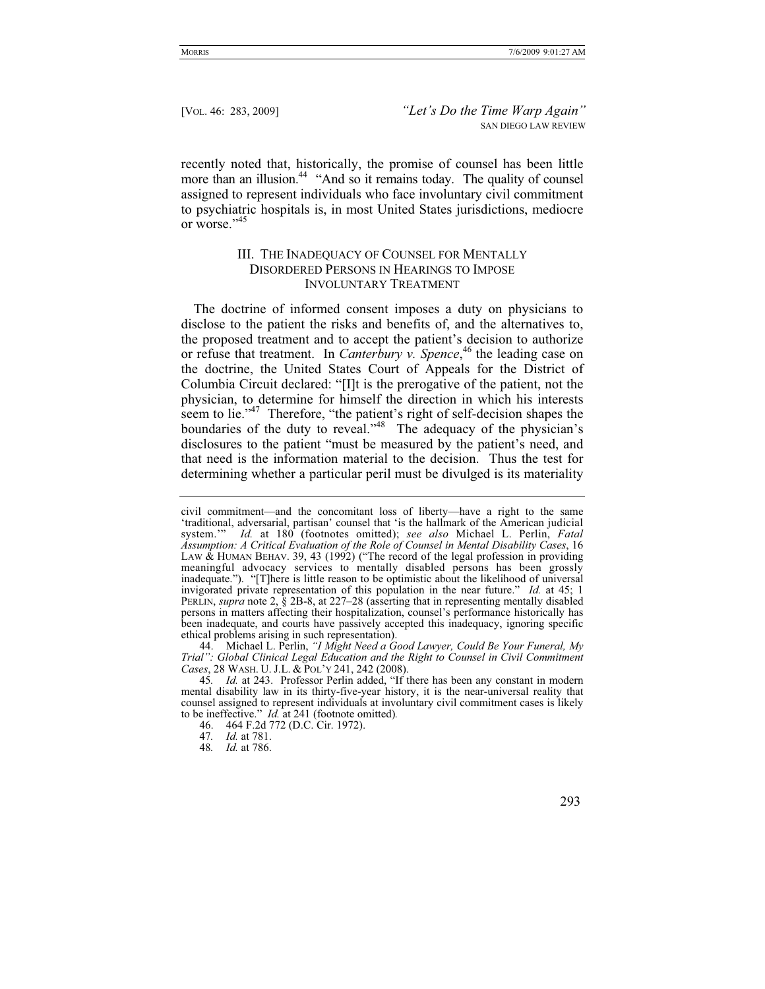recently noted that, historically, the promise of counsel has been little more than an illusion.<sup>44</sup> "And so it remains today. The quality of counsel assigned to represent individuals who face involuntary civil commitment to psychiatric hospitals is, in most United States jurisdictions, mediocre or worse."<sup>45</sup>

## III. THE INADEQUACY OF COUNSEL FOR MENTALLY DISORDERED PERSONS IN HEARINGS TO IMPOSE INVOLUNTARY TREATMENT

The doctrine of informed consent imposes a duty on physicians to disclose to the patient the risks and benefits of, and the alternatives to, the proposed treatment and to accept the patient's decision to authorize or refuse that treatment. In *Canterbury v. Spence*, 46 the leading case on the doctrine, the United States Court of Appeals for the District of Columbia Circuit declared: "[I]t is the prerogative of the patient, not the physician, to determine for himself the direction in which his interests seem to lie."<sup>47</sup> Therefore, "the patient's right of self-decision shapes the boundaries of the duty to reveal."48 The adequacy of the physician's disclosures to the patient "must be measured by the patient's need, and that need is the information material to the decision. Thus the test for determining whether a particular peril must be divulged is its materiality

 44. Michael L. Perlin, *"I Might Need a Good Lawyer, Could Be Your Funeral, My Trial": Global Clinical Legal Education and the Right to Counsel in Civil Commitment Cases*, 28 WASH. U. J.L. & POL'Y 241, 242 (2008).

48*. Id.* at 786.

civil commitment—and the concomitant loss of liberty—have a right to the same 'traditional, adversarial, partisan' counsel that 'is the hallmark of the American judicial system.'" *Id.* at 180 (footnotes omitted); *see also* Michael L. Perlin, *Fatal Assumption: A Critical Evaluation of the Role of Counsel in Mental Disability Cases*, 16 LAW & HUMAN BEHAV. 39, 43 (1992) ("The record of the legal profession in providing meaningful advocacy services to mentally disabled persons has been grossly inadequate."). "[T]here is little reason to be optimistic about the likelihood of universal invigorated private representation of this population in the near future." *Id.* at 45; 1 PERLIN, *supra* note 2, § 2B-8, at 227–28 (asserting that in representing mentally disabled persons in matters affecting their hospitalization, counsel's performance historically has been inadequate, and courts have passively accepted this inadequacy, ignoring specific ethical problems arising in such representation).

<sup>45</sup>*. Id.* at 243. Professor Perlin added, "If there has been any constant in modern mental disability law in its thirty-five-year history, it is the near-universal reality that counsel assigned to represent individuals at involuntary civil commitment cases is likely to be ineffective." *Id.* at 241 (footnote omitted)*.* 46. 464 F.2d 772 (D.C. Cir. 1972).

<sup>47</sup>*. Id.* at 781.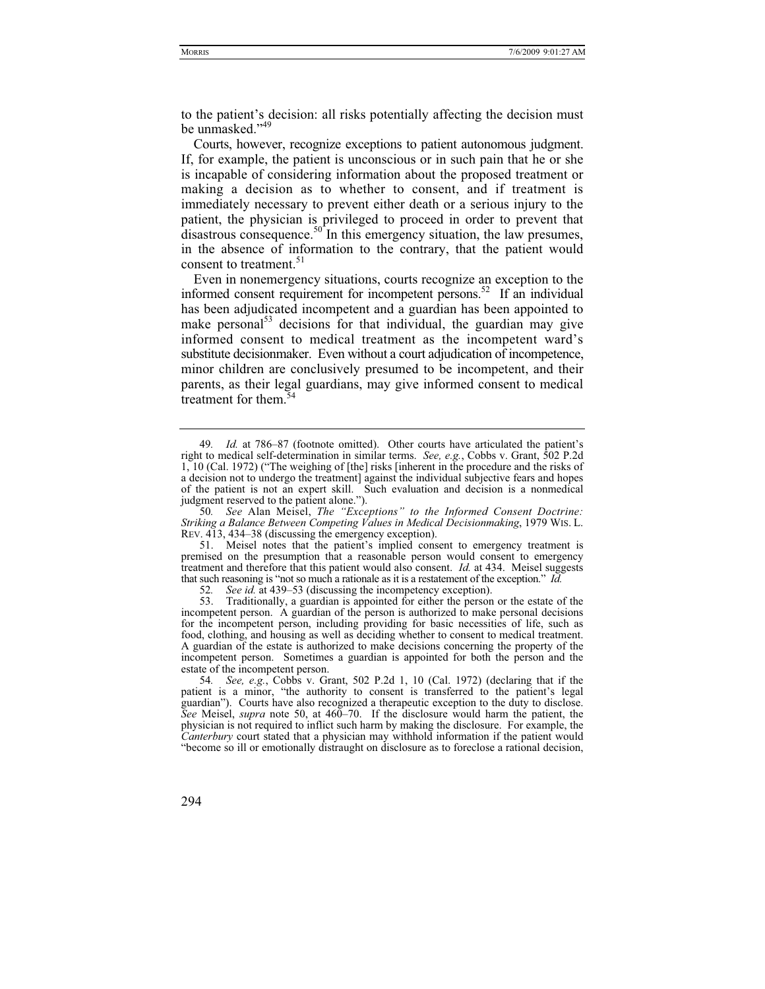to the patient's decision: all risks potentially affecting the decision must be unmasked."<sup>49</sup>

Courts, however, recognize exceptions to patient autonomous judgment. If, for example, the patient is unconscious or in such pain that he or she is incapable of considering information about the proposed treatment or making a decision as to whether to consent, and if treatment is immediately necessary to prevent either death or a serious injury to the patient, the physician is privileged to proceed in order to prevent that  $\mu$  disastrous consequence.<sup>50</sup> In this emergency situation, the law presumes, in the absence of information to the contrary, that the patient would consent to treatment.<sup>51</sup>

Even in nonemergency situations, courts recognize an exception to the informed consent requirement for incompetent persons.<sup>52</sup> If an individual has been adjudicated incompetent and a guardian has been appointed to make personal<sup>53</sup> decisions for that individual, the guardian may give informed consent to medical treatment as the incompetent ward's substitute decisionmaker. Even without a court adjudication of incompetence, minor children are conclusively presumed to be incompetent, and their parents, as their legal guardians, may give informed consent to medical treatment for them.<sup>54</sup>

52. *See id.* at 439–53 (discussing the incompetency exception).<br>53. Traditionally, a guardian is appointed for either the person

<sup>49</sup>*. Id.* at 786–87 (footnote omitted). Other courts have articulated the patient's right to medical self-determination in similar terms. *See, e.g.*, Cobbs v. Grant, 502 P.2d 1, 10 (Cal. 1972) ("The weighing of [the] risks [inherent in the procedure and the risks of a decision not to undergo the treatment] against the individual subjective fears and hopes of the patient is not an expert skill. Such evaluation and decision is a nonmedical judgment reserved to the patient alone.").

<sup>50</sup>*. See* Alan Meisel, *The "Exceptions" to the Informed Consent Doctrine: Striking a Balance Between Competing Values in Medical Decisionmaking*, 1979 WIS. L. REV. 413, 434–38 (discussing the emergency exception).

 <sup>51.</sup> Meisel notes that the patient's implied consent to emergency treatment is premised on the presumption that a reasonable person would consent to emergency treatment and therefore that this patient would also consent. *Id.* at 434. Meisel suggests that such reasoning is "not so much a rationale as it is a restatement of the exception." *Id.*

Traditionally, a guardian is appointed for either the person or the estate of the incompetent person. A guardian of the person is authorized to make personal decisions for the incompetent person, including providing for basic necessities of life, such as food, clothing, and housing as well as deciding whether to consent to medical treatment. A guardian of the estate is authorized to make decisions concerning the property of the incompetent person. Sometimes a guardian is appointed for both the person and the estate of the incompetent person.

<sup>54</sup>*. See, e.g.*, Cobbs v. Grant, 502 P.2d 1, 10 (Cal. 1972) (declaring that if the patient is a minor, "the authority to consent is transferred to the patient's legal guardian"). Courts have also recognized a therapeutic exception to the duty to disclose. *See* Meisel, *supra* note 50, at 460–70. If the disclosure would harm the patient, the physician is not required to inflict such harm by making the disclosure. For example, the *Canterbury* court stated that a physician may withhold information if the patient would "become so ill or emotionally distraught on disclosure as to foreclose a rational decision,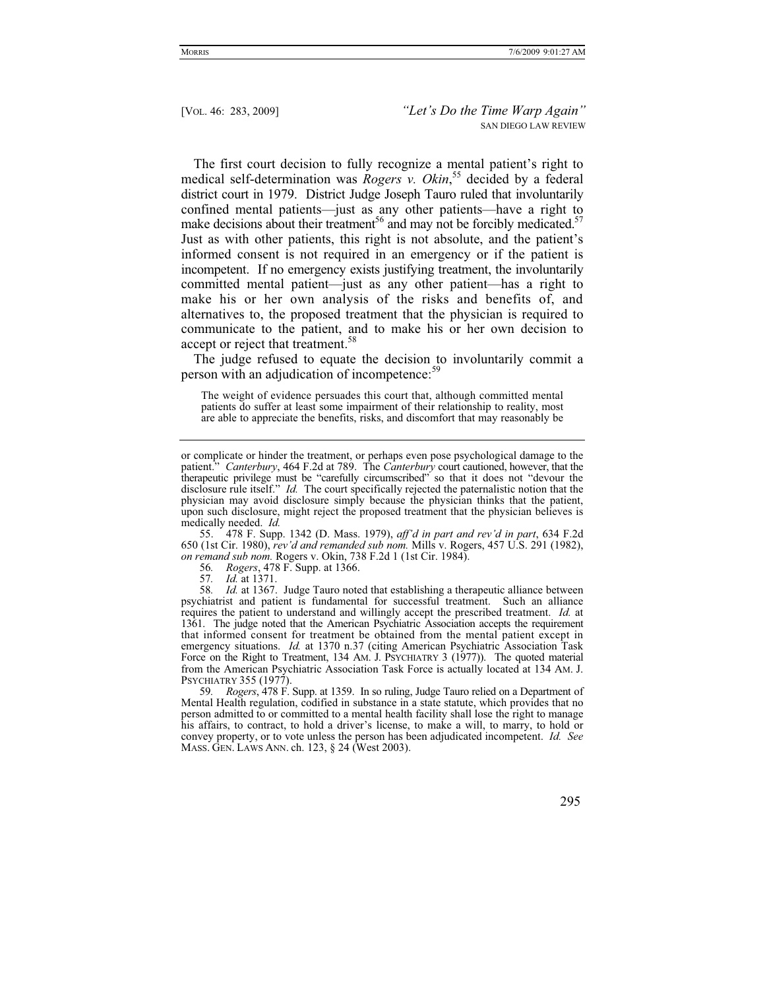The first court decision to fully recognize a mental patient's right to medical self-determination was *Rogers v. Okin*, 55 decided by a federal district court in 1979. District Judge Joseph Tauro ruled that involuntarily confined mental patients—just as any other patients—have a right to make decisions about their treatment<sup>56</sup> and may not be forcibly medicated.<sup>57</sup> Just as with other patients, this right is not absolute, and the patient's informed consent is not required in an emergency or if the patient is incompetent. If no emergency exists justifying treatment, the involuntarily committed mental patient—just as any other patient—has a right to make his or her own analysis of the risks and benefits of, and alternatives to, the proposed treatment that the physician is required to communicate to the patient, and to make his or her own decision to accept or reject that treatment.<sup>58</sup>

The judge refused to equate the decision to involuntarily commit a person with an adjudication of incompetence:<sup>59</sup>

The weight of evidence persuades this court that, although committed mental patients do suffer at least some impairment of their relationship to reality, most are able to appreciate the benefits, risks, and discomfort that may reasonably be

 55. 478 F. Supp. 1342 (D. Mass. 1979), *aff'd in part and rev'd in part*, 634 F.2d 650 (1st Cir. 1980), *rev'd and remanded sub nom.* Mills v. Rogers, 457 U.S. 291 (1982), *on remand sub nom.* Rogers v. Okin, 738 F.2d 1 (1st Cir. 1984).

56*. Rogers*, 478 F. Supp. at 1366.

57*. Id.* at 1371.

58*. Id.* at 1367. Judge Tauro noted that establishing a therapeutic alliance between psychiatrist and patient is fundamental for successful treatment. Such an alliance requires the patient to understand and willingly accept the prescribed treatment. *Id.* at 1361. The judge noted that the American Psychiatric Association accepts the requirement that informed consent for treatment be obtained from the mental patient except in emergency situations. *Id.* at 1370 n.37 (citing American Psychiatric Association Task Force on the Right to Treatment, 134 AM. J. PSYCHIATRY 3 (1977)). The quoted material from the American Psychiatric Association Task Force is actually located at 134 AM. J. PSYCHIATRY 355 (1977).

59*. Rogers*, 478 F. Supp. at 1359. In so ruling, Judge Tauro relied on a Department of Mental Health regulation, codified in substance in a state statute, which provides that no person admitted to or committed to a mental health facility shall lose the right to manage his affairs, to contract, to hold a driver's license, to make a will, to marry, to hold or convey property, or to vote unless the person has been adjudicated incompetent. *Id. See* MASS. GEN. LAWS ANN. ch. 123, § 24 (West 2003).

or complicate or hinder the treatment, or perhaps even pose psychological damage to the patient." *Canterbury*, 464 F.2d at 789. The *Canterbury* court cautioned, however, that the therapeutic privilege must be "carefully circumscribed" so that it does not "devour the disclosure rule itself." *Id.* The court specifically rejected the paternalistic notion that the physician may avoid disclosure simply because the physician thinks that the patient, upon such disclosure, might reject the proposed treatment that the physician believes is medically needed. *Id.*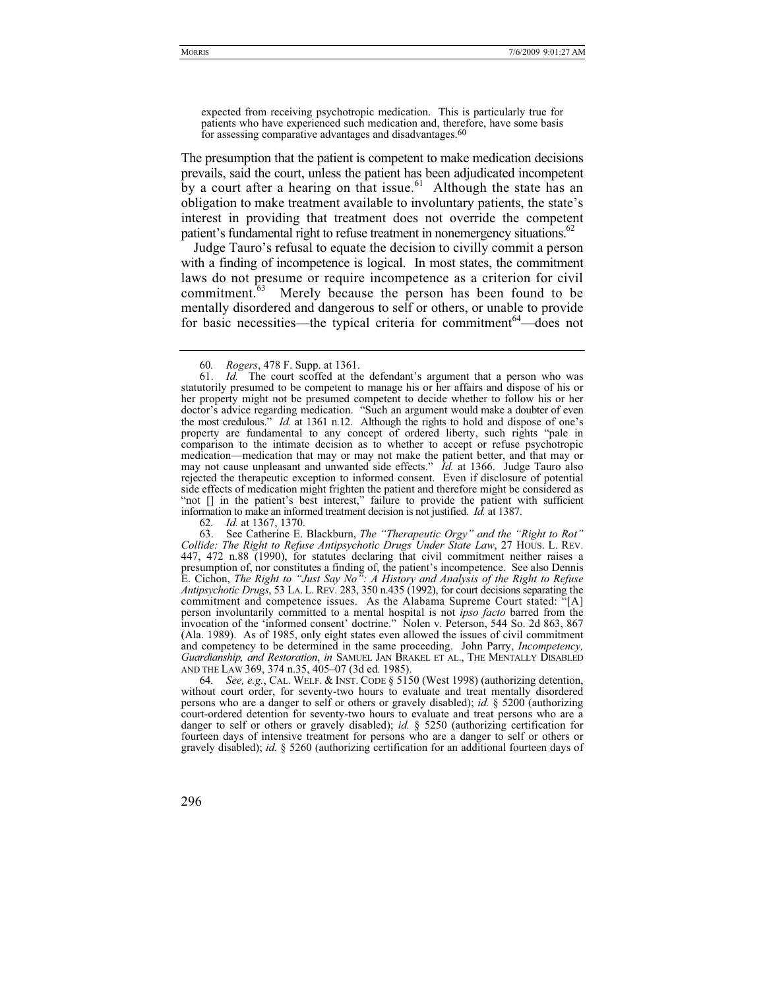The presumption that the patient is competent to make medication decisions prevails, said the court, unless the patient has been adjudicated incompetent by a court after a hearing on that issue.<sup>61</sup> Although the state has an obligation to make treatment available to involuntary patients, the state's interest in providing that treatment does not override the competent patient's fundamental right to refuse treatment in nonemergency situations.<sup>62</sup>

Judge Tauro's refusal to equate the decision to civilly commit a person with a finding of incompetence is logical. In most states, the commitment laws do not presume or require incompetence as a criterion for civil commitment.<sup>63</sup> Merely because the person has been found to be mentally disordered and dangerous to self or others, or unable to provide for basic necessities—the typical criteria for commitment $64$ —does not

62*. Id.* at 1367, 1370.

64*. See, e.g.*, CAL. WELF.&INST. CODE § 5150 (West 1998) (authorizing detention, without court order, for seventy-two hours to evaluate and treat mentally disordered persons who are a danger to self or others or gravely disabled); *id.* § 5200 (authorizing court-ordered detention for seventy-two hours to evaluate and treat persons who are a danger to self or others or gravely disabled); *id.* § 5250 (authorizing certification for fourteen days of intensive treatment for persons who are a danger to self or others or gravely disabled); *id.* § 5260 (authorizing certification for an additional fourteen days of

<sup>60</sup>*. Rogers*, 478 F. Supp. at 1361.

 <sup>61.</sup> *Id.* The court scoffed at the defendant's argument that a person who was statutorily presumed to be competent to manage his or her affairs and dispose of his or her property might not be presumed competent to decide whether to follow his or her doctor's advice regarding medication. "Such an argument would make a doubter of even the most credulous." *Id.* at 1361 n.12. Although the rights to hold and dispose of one's property are fundamental to any concept of ordered liberty, such rights "pale in comparison to the intimate decision as to whether to accept or refuse psychotropic medication—medication that may or may not make the patient better, and that may or may not cause unpleasant and unwanted side effects." *Id.* at 1366. Judge Tauro also rejected the therapeutic exception to informed consent. Even if disclosure of potential side effects of medication might frighten the patient and therefore might be considered as "not [] in the patient's best interest," failure to provide the patient with sufficient information to make an informed treatment decision is not justified. *Id.* at 1387.

 <sup>63.</sup> See Catherine E. Blackburn, *The "Therapeutic Orgy" and the "Right to Rot" Collide: The Right to Refuse Antipsychotic Drugs Under State Law*, 27 HOUS. L. REV. 447, 472 n.88 (1990), for statutes declaring that civil commitment neither raises a presumption of, nor constitutes a finding of, the patient's incompetence. See also Dennis E. Cichon, *The Right to "Just Say No": A History and Analysis of the Right to Refuse Antipsychotic Drugs*, 53 LA. L. REV. 283, 350 n.435 (1992), for court decisions separating the commitment and competence issues. As the Alabama Supreme Court stated: "[A] person involuntarily committed to a mental hospital is not *ipso facto* barred from the invocation of the 'informed consent' doctrine." Nolen v. Peterson, 544 So. 2d 863, 867 (Ala. 1989). As of 1985, only eight states even allowed the issues of civil commitment and competency to be determined in the same proceeding. John Parry, *Incompetency, Guardianship, and Restoration*, *in* SAMUEL JAN BRAKEL ET AL., THE MENTALLY DISABLED AND THE LAW 369, 374 n.35, 405–07 (3d ed. 1985).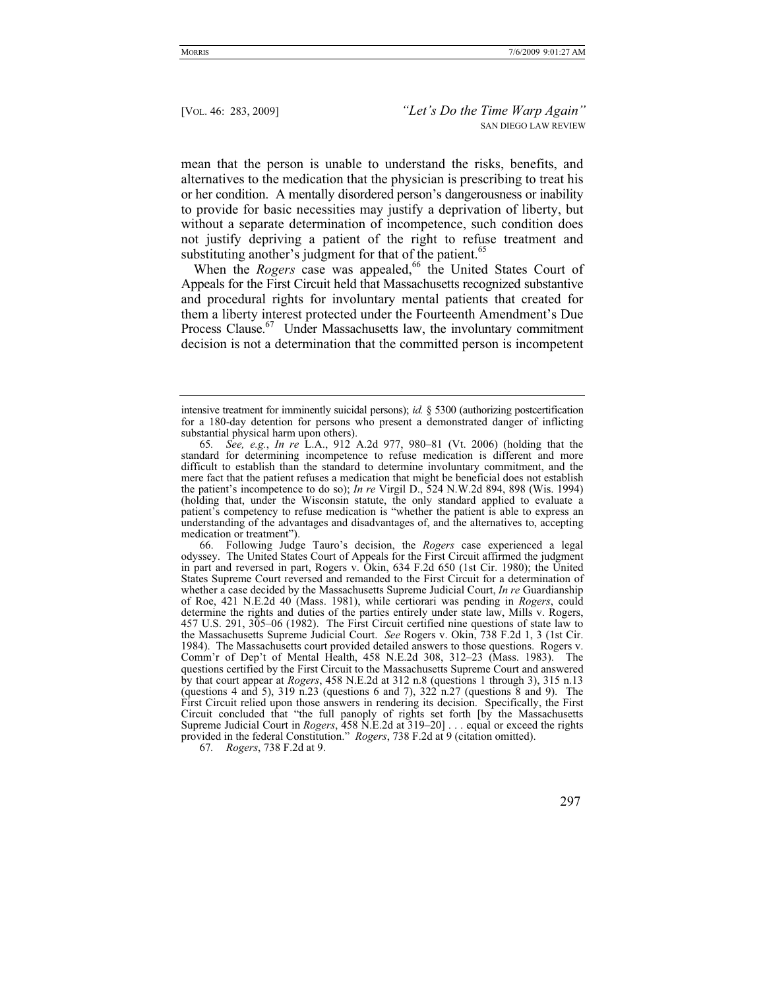mean that the person is unable to understand the risks, benefits, and alternatives to the medication that the physician is prescribing to treat his or her condition. A mentally disordered person's dangerousness or inability to provide for basic necessities may justify a deprivation of liberty, but without a separate determination of incompetence, such condition does not justify depriving a patient of the right to refuse treatment and substituting another's judgment for that of the patient.<sup>65</sup>

When the *Rogers* case was appealed,<sup>66</sup> the United States Court of Appeals for the First Circuit held that Massachusetts recognized substantive and procedural rights for involuntary mental patients that created for them a liberty interest protected under the Fourteenth Amendment's Due Process Clause.<sup>67</sup> Under Massachusetts law, the involuntary commitment decision is not a determination that the committed person is incompetent

67*. Rogers*, 738 F.2d at 9.

intensive treatment for imminently suicidal persons); *id.* § 5300 (authorizing postcertification for a 180-day detention for persons who present a demonstrated danger of inflicting substantial physical harm upon others).

<sup>65</sup>*. See, e.g.*, *In re* L.A., 912 A.2d 977, 980–81 (Vt. 2006) (holding that the standard for determining incompetence to refuse medication is different and more difficult to establish than the standard to determine involuntary commitment, and the mere fact that the patient refuses a medication that might be beneficial does not establish the patient's incompetence to do so); *In re* Virgil D., 524 N.W.2d 894, 898 (Wis. 1994) (holding that, under the Wisconsin statute, the only standard applied to evaluate a patient's competency to refuse medication is "whether the patient is able to express an understanding of the advantages and disadvantages of, and the alternatives to, accepting medication or treatment").

 <sup>66.</sup> Following Judge Tauro's decision, the *Rogers* case experienced a legal odyssey. The United States Court of Appeals for the First Circuit affirmed the judgment in part and reversed in part, Rogers v. Okin, 634 F.2d 650 (1st Cir. 1980); the United States Supreme Court reversed and remanded to the First Circuit for a determination of whether a case decided by the Massachusetts Supreme Judicial Court, *In re* Guardianship of Roe, 421 N.E.2d 40 (Mass. 1981), while certiorari was pending in *Rogers*, could determine the rights and duties of the parties entirely under state law, Mills v. Rogers, 457 U.S. 291, 305–06 (1982). The First Circuit certified nine questions of state law to the Massachusetts Supreme Judicial Court. *See* Rogers v. Okin, 738 F.2d 1, 3 (1st Cir. 1984). The Massachusetts court provided detailed answers to those questions. Rogers v. Comm'r of Dep't of Mental Health, 458 N.E.2d 308, 312–23 (Mass. 1983). The questions certified by the First Circuit to the Massachusetts Supreme Court and answered by that court appear at *Rogers*, 458 N.E.2d at 312 n.8 (questions 1 through 3), 315 n.13 (questions 4 and 5), 319 n.23 (questions 6 and 7), 322 n.27 (questions 8 and 9). The First Circuit relied upon those answers in rendering its decision. Specifically, the First Circuit concluded that "the full panoply of rights set forth [by the Massachusetts Supreme Judicial Court in *Rogers*, 458 N.E.2d at 319–20] . . . equal or exceed the rights provided in the federal Constitution." *Rogers*, 738 F.2d at 9 (citation omitted).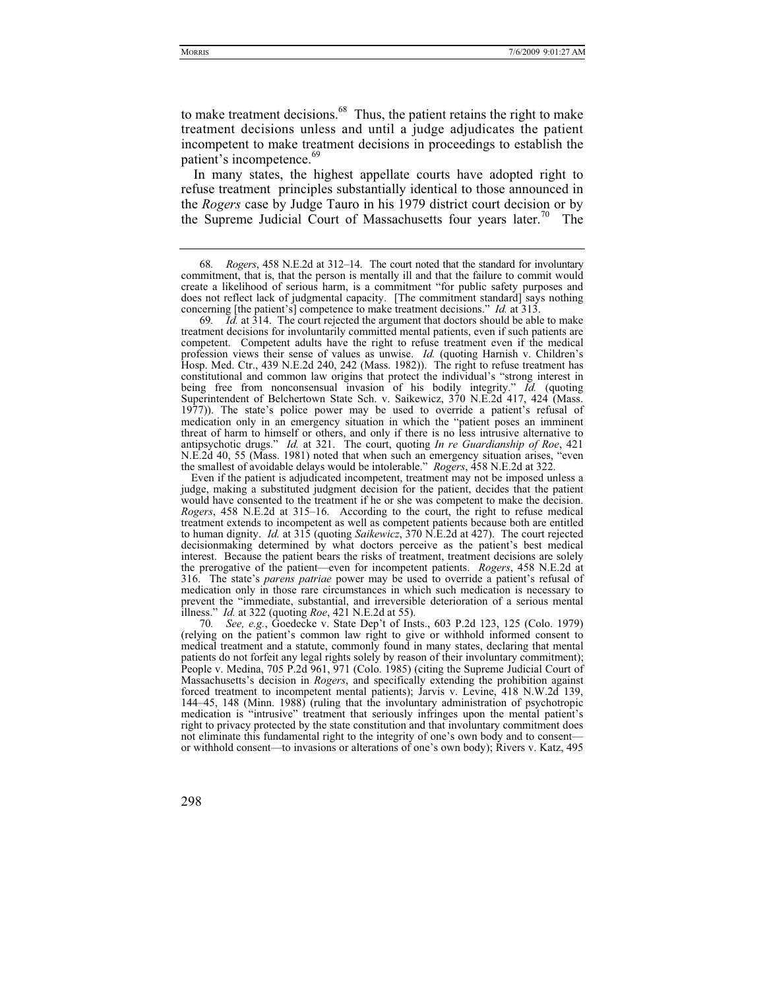to make treatment decisions.<sup>68</sup> Thus, the patient retains the right to make treatment decisions unless and until a judge adjudicates the patient incompetent to make treatment decisions in proceedings to establish the patient's incompetence.<sup>69</sup>

In many states, the highest appellate courts have adopted right to refuse treatment principles substantially identical to those announced in the *Rogers* case by Judge Tauro in his 1979 district court decision or by the Supreme Judicial Court of Massachusetts four years later.<sup>70</sup> The

Even if the patient is adjudicated incompetent, treatment may not be imposed unless a judge, making a substituted judgment decision for the patient, decides that the patient would have consented to the treatment if he or she was competent to make the decision. *Rogers*, 458 N.E.2d at 315–16. According to the court, the right to refuse medical treatment extends to incompetent as well as competent patients because both are entitled to human dignity. *Id.* at 315 (quoting *Saikewicz*, 370 N.E.2d at 427). The court rejected decisionmaking determined by what doctors perceive as the patient's best medical interest. Because the patient bears the risks of treatment, treatment decisions are solely the prerogative of the patient—even for incompetent patients. *Rogers*, 458 N.E.2d at 316. The state's *parens patriae* power may be used to override a patient's refusal of medication only in those rare circumstances in which such medication is necessary to prevent the "immediate, substantial, and irreversible deterioration of a serious mental illness." *Id.* at 322 (quoting *Roe*, 421 N.E.2d at 55).

70*. See, e.g.*, Goedecke v. State Dep't of Insts., 603 P.2d 123, 125 (Colo. 1979) (relying on the patient's common law right to give or withhold informed consent to medical treatment and a statute, commonly found in many states, declaring that mental patients do not forfeit any legal rights solely by reason of their involuntary commitment); People v. Medina, 705 P.2d 961, 971 (Colo. 1985) (citing the Supreme Judicial Court of Massachusetts's decision in *Rogers*, and specifically extending the prohibition against forced treatment to incompetent mental patients); Jarvis v. Levine, 418 N.W.2d 139, 144–45, 148 (Minn. 1988) (ruling that the involuntary administration of psychotropic medication is "intrusive" treatment that seriously infringes upon the mental patient's right to privacy protected by the state constitution and that involuntary commitment does not eliminate this fundamental right to the integrity of one's own body and to consent or withhold consent—to invasions or alterations of one's own body); Rivers v. Katz, 495

<sup>68</sup>*. Rogers*, 458 N.E.2d at 312–14. The court noted that the standard for involuntary commitment, that is, that the person is mentally ill and that the failure to commit would create a likelihood of serious harm, is a commitment "for public safety purposes and does not reflect lack of judgmental capacity. [The commitment standard] says nothing concerning [the patient's] competence to make treatment decisions." *Id.* at 313.

<sup>69</sup>*. Id.* at 314. The court rejected the argument that doctors should be able to make treatment decisions for involuntarily committed mental patients, even if such patients are competent. Competent adults have the right to refuse treatment even if the medical profession views their sense of values as unwise. *Id.* (quoting Harnish v. Children's Hosp. Med. Ctr., 439 N.E.2d 240, 242 (Mass. 1982)). The right to refuse treatment has constitutional and common law origins that protect the individual's "strong interest in being free from nonconsensual invasion of his bodily integrity." *Id.* (quoting Superintendent of Belchertown State Sch. v. Saikewicz, 370 N.E.2d 417, 424 (Mass. 1977)). The state's police power may be used to override a patient's refusal of medication only in an emergency situation in which the "patient poses an imminent threat of harm to himself or others, and only if there is no less intrusive alternative to antipsychotic drugs." *Id.* at 321. The court, quoting *In re Guardianship of Roe*, 421 N.E.2d 40, 55 (Mass. 1981) noted that when such an emergency situation arises, "even the smallest of avoidable delays would be intolerable." *Rogers*, 458 N.E.2d at 322.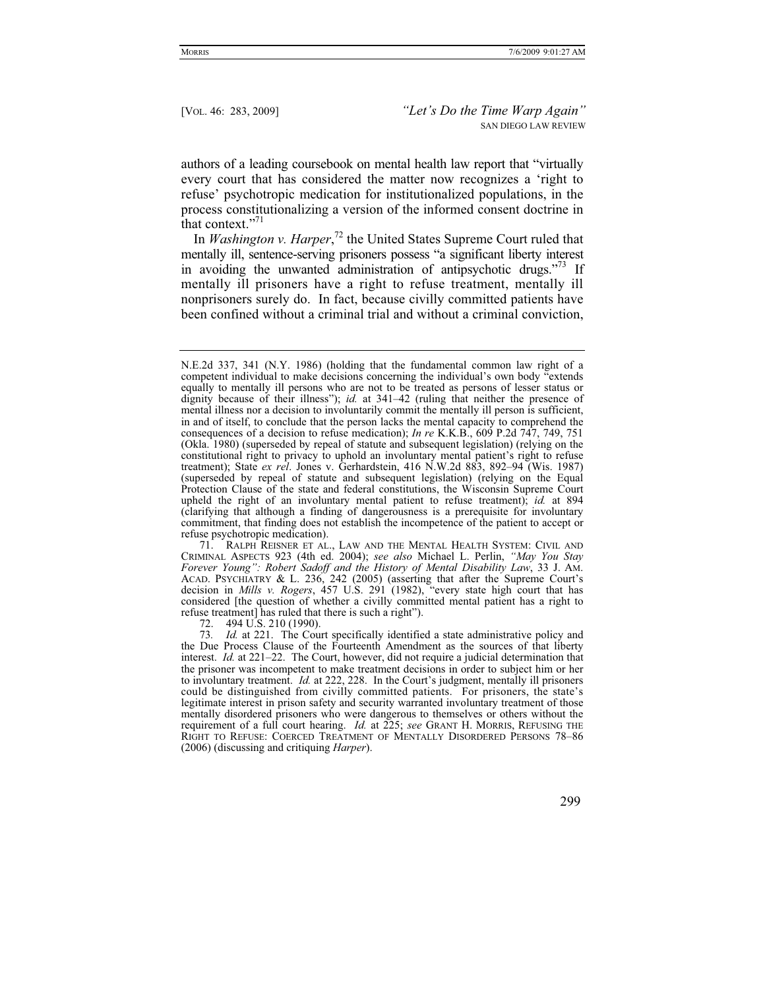authors of a leading coursebook on mental health law report that "virtually every court that has considered the matter now recognizes a 'right to refuse' psychotropic medication for institutionalized populations, in the process constitutionalizing a version of the informed consent doctrine in that context."<sup>71</sup>

In *Washington v. Harper*, 72 the United States Supreme Court ruled that mentally ill, sentence-serving prisoners possess "a significant liberty interest in avoiding the unwanted administration of antipsychotic drugs."<sup>73</sup> If mentally ill prisoners have a right to refuse treatment, mentally ill nonprisoners surely do. In fact, because civilly committed patients have been confined without a criminal trial and without a criminal conviction,

72. 494 U.S. 210 (1990).

N.E.2d 337, 341 (N.Y. 1986) (holding that the fundamental common law right of a competent individual to make decisions concerning the individual's own body "extends equally to mentally ill persons who are not to be treated as persons of lesser status or dignity because of their illness"); *id.* at 341–42 (ruling that neither the presence of mental illness nor a decision to involuntarily commit the mentally ill person is sufficient, in and of itself, to conclude that the person lacks the mental capacity to comprehend the consequences of a decision to refuse medication); *In re* K.K.B., 609 P.2d 747, 749, 751 (Okla. 1980) (superseded by repeal of statute and subsequent legislation) (relying on the constitutional right to privacy to uphold an involuntary mental patient's right to refuse treatment); State *ex rel*. Jones v. Gerhardstein, 416 N.W.2d 883, 892–94 (Wis. 1987) (superseded by repeal of statute and subsequent legislation) (relying on the Equal Protection Clause of the state and federal constitutions, the Wisconsin Supreme Court upheld the right of an involuntary mental patient to refuse treatment); *id.* at 894 (clarifying that although a finding of dangerousness is a prerequisite for involuntary commitment, that finding does not establish the incompetence of the patient to accept or refuse psychotropic medication).

 <sup>71.</sup> RALPH REISNER ET AL., LAW AND THE MENTAL HEALTH SYSTEM: CIVIL AND CRIMINAL ASPECTS 923 (4th ed. 2004); *see also* Michael L. Perlin, *"May You Stay Forever Young": Robert Sadoff and the History of Mental Disability Law*, 33 J. AM. ACAD. PSYCHIATRY & L. 236, 242 (2005) (asserting that after the Supreme Court's decision in *Mills v. Rogers*, 457 U.S. 291 (1982), "every state high court that has considered [the question of whether a civilly committed mental patient has a right to refuse treatment] has ruled that there is such a right").

<sup>73</sup>*. Id.* at 221. The Court specifically identified a state administrative policy and the Due Process Clause of the Fourteenth Amendment as the sources of that liberty interest. *Id.* at 221–22. The Court, however, did not require a judicial determination that the prisoner was incompetent to make treatment decisions in order to subject him or her to involuntary treatment. *Id.* at 222, 228. In the Court's judgment, mentally ill prisoners could be distinguished from civilly committed patients. For prisoners, the state's legitimate interest in prison safety and security warranted involuntary treatment of those mentally disordered prisoners who were dangerous to themselves or others without the requirement of a full court hearing. *Id.* at 225; *see* GRANT H. MORRIS, REFUSING THE RIGHT TO REFUSE: COERCED TREATMENT OF MENTALLY DISORDERED PERSONS 78–86 (2006) (discussing and critiquing *Harper*).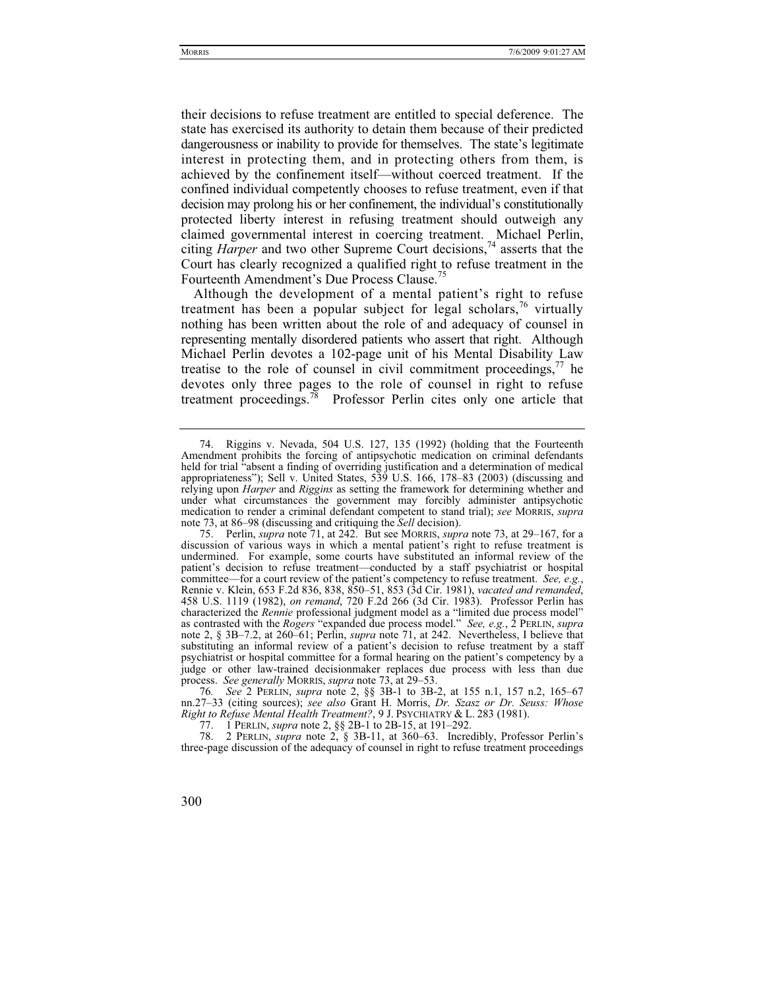their decisions to refuse treatment are entitled to special deference. The state has exercised its authority to detain them because of their predicted dangerousness or inability to provide for themselves. The state's legitimate interest in protecting them, and in protecting others from them, is achieved by the confinement itself—without coerced treatment. If the confined individual competently chooses to refuse treatment, even if that decision may prolong his or her confinement, the individual's constitutionally protected liberty interest in refusing treatment should outweigh any claimed governmental interest in coercing treatment. Michael Perlin, citing *Harper* and two other Supreme Court decisions,<sup>74</sup> asserts that the Court has clearly recognized a qualified right to refuse treatment in the Fourteenth Amendment's Due Process Clause.<sup>75</sup>

Although the development of a mental patient's right to refuse treatment has been a popular subject for legal scholars,  $\frac{76}{10}$  virtually nothing has been written about the role of and adequacy of counsel in representing mentally disordered patients who assert that right. Although Michael Perlin devotes a 102-page unit of his Mental Disability Law treatise to the role of counsel in civil commitment proceedings,  $\frac{7}{1}$  he devotes only three pages to the role of counsel in right to refuse treatment proceedings.<sup>78</sup> Professor Perlin cites only one article that

 <sup>74.</sup> Riggins v. Nevada, 504 U.S. 127, 135 (1992) (holding that the Fourteenth Amendment prohibits the forcing of antipsychotic medication on criminal defendants held for trial "absent a finding of overriding justification and a determination of medical appropriateness"); Sell v. United States, 539 U.S. 166, 178–83 (2003) (discussing and relying upon *Harper* and *Riggins* as setting the framework for determining whether and under what circumstances the government may forcibly administer antipsychotic medication to render a criminal defendant competent to stand trial); *see* MORRIS, *supra*  note 73, at 86–98 (discussing and critiquing the *Sell* decision).

 <sup>75.</sup> Perlin, *supra* note 71, at 242. But see MORRIS, *supra* note 73, at 29–167, for a discussion of various ways in which a mental patient's right to refuse treatment is undermined. For example, some courts have substituted an informal review of the patient's decision to refuse treatment—conducted by a staff psychiatrist or hospital committee—for a court review of the patient's competency to refuse treatment. *See, e.g.*, Rennie v. Klein, 653 F.2d 836, 838, 850–51, 853 (3d Cir. 1981), *vacated and remanded*, 458 U.S. 1119 (1982), *on remand*, 720 F.2d 266 (3d Cir. 1983). Professor Perlin has characterized the *Rennie* professional judgment model as a "limited due process model" as contrasted with the *Rogers* "expanded due process model." *See, e.g.*, 2 PERLIN, *supra*  note 2, § 3B–7.2, at 260–61; Perlin, *supra* note 71, at 242. Nevertheless, I believe that substituting an informal review of a patient's decision to refuse treatment by a staff psychiatrist or hospital committee for a formal hearing on the patient's competency by a judge or other law-trained decisionmaker replaces due process with less than due process. *See generally* MORRIS, *supra* note 73, at 29–53.

<sup>76</sup>*. See* 2 PERLIN, *supra* note 2, §§ 3B-1 to 3B-2, at 155 n.1, 157 n.2, 165–67 nn.27–33 (citing sources); *see also* Grant H. Morris, *Dr. Szasz or Dr. Seuss: Whose Right to Refuse Mental Health Treatment?*, 9 J. PSYCHIATRY & L. 283 (1981).

 <sup>77. 1</sup> PERLIN, *supra* note 2, §§ 2B-1 to 2B-15, at 191–292.

 <sup>78. 2</sup> PERLIN, *supra* note 2, § 3B-11, at 360–63. Incredibly, Professor Perlin's three-page discussion of the adequacy of counsel in right to refuse treatment proceedings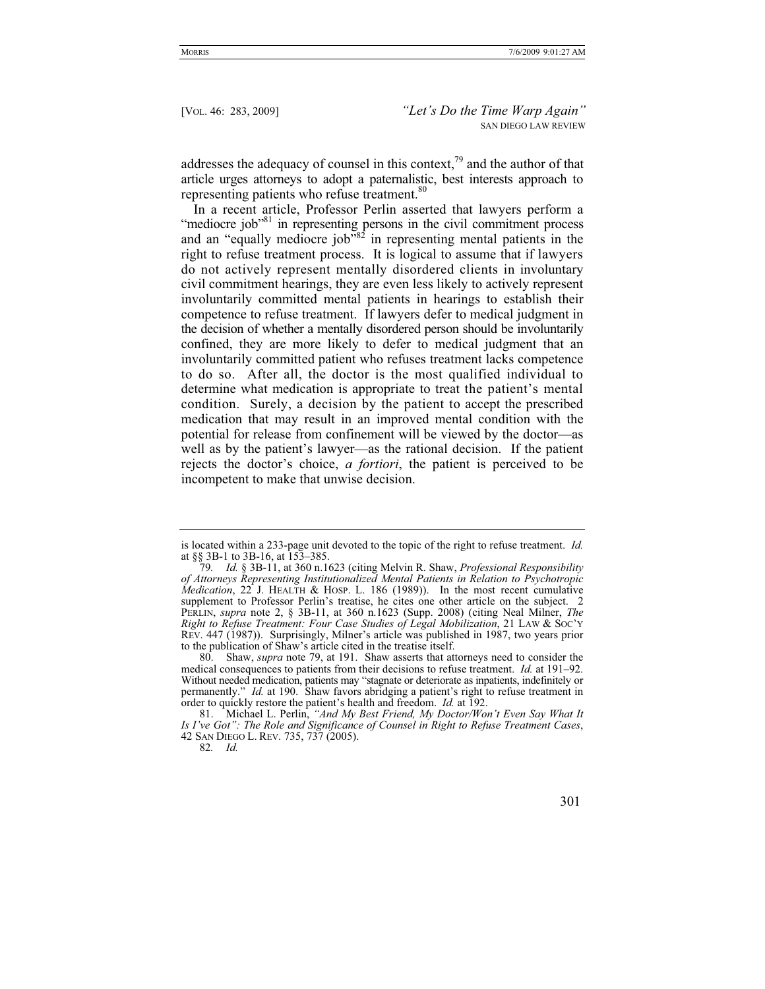addresses the adequacy of counsel in this context, $79$  and the author of that article urges attorneys to adopt a paternalistic, best interests approach to representing patients who refuse treatment.<sup>80</sup>

In a recent article, Professor Perlin asserted that lawyers perform a "mediocre job"<sup>81</sup> in representing persons in the civil commitment process and an "equally mediocre job"<sup>82</sup> in representing mental patients in the right to refuse treatment process. It is logical to assume that if lawyers do not actively represent mentally disordered clients in involuntary civil commitment hearings, they are even less likely to actively represent involuntarily committed mental patients in hearings to establish their competence to refuse treatment. If lawyers defer to medical judgment in the decision of whether a mentally disordered person should be involuntarily confined, they are more likely to defer to medical judgment that an involuntarily committed patient who refuses treatment lacks competence to do so. After all, the doctor is the most qualified individual to determine what medication is appropriate to treat the patient's mental condition. Surely, a decision by the patient to accept the prescribed medication that may result in an improved mental condition with the potential for release from confinement will be viewed by the doctor—as well as by the patient's lawyer—as the rational decision. If the patient rejects the doctor's choice, *a fortiori*, the patient is perceived to be incompetent to make that unwise decision.

is located within a 233-page unit devoted to the topic of the right to refuse treatment. *Id.*  at §§ 3B-1 to 3B-16, at 153–385.

<sup>79</sup>*. Id.* § 3B-11, at 360 n.1623 (citing Melvin R. Shaw, *Professional Responsibility of Attorneys Representing Institutionalized Mental Patients in Relation to Psychotropic Medication*, 22 J. HEALTH & HOSP. L. 186 (1989)). In the most recent cumulative supplement to Professor Perlin's treatise, he cites one other article on the subject. 2 PERLIN, *supra* note 2, § 3B-11, at 360 n.1623 (Supp. 2008) (citing Neal Milner, *The Right to Refuse Treatment: Four Case Studies of Legal Mobilization*, 21 LAW & SOC'Y REV. 447 (1987)). Surprisingly, Milner's article was published in 1987, two years prior to the publication of Shaw's article cited in the treatise itself.

 <sup>80.</sup> Shaw, *supra* note 79, at 191. Shaw asserts that attorneys need to consider the medical consequences to patients from their decisions to refuse treatment. *Id.* at 191–92. Without needed medication, patients may "stagnate or deteriorate as inpatients, indefinitely or permanently." *Id.* at 190. Shaw favors abridging a patient's right to refuse treatment in order to quickly restore the patient's health and freedom. *Id.* at 192.

 <sup>81.</sup> Michael L. Perlin, *"And My Best Friend, My Doctor/Won't Even Say What It Is I've Got": The Role and Significance of Counsel in Right to Refuse Treatment Cases*, 42 SAN DIEGO L. REV. 735, 737 (2005).

<sup>82</sup>*. Id.*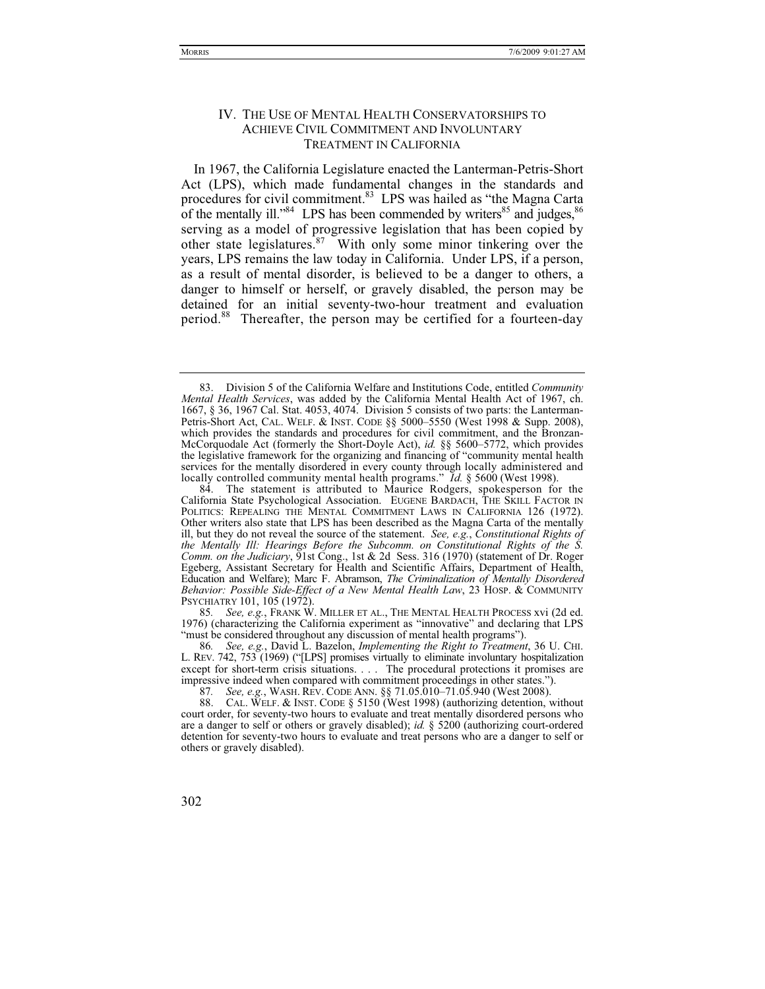## IV. THE USE OF MENTAL HEALTH CONSERVATORSHIPS TO ACHIEVE CIVIL COMMITMENT AND INVOLUNTARY TREATMENT IN CALIFORNIA

In 1967, the California Legislature enacted the Lanterman-Petris-Short Act (LPS), which made fundamental changes in the standards and procedures for civil commitment.83 LPS was hailed as "the Magna Carta of the mentally ill." $84$  LPS has been commended by writers  $85$  and judges.  $86$ serving as a model of progressive legislation that has been copied by other state legislatures.87 With only some minor tinkering over the years, LPS remains the law today in California. Under LPS, if a person, as a result of mental disorder, is believed to be a danger to others, a danger to himself or herself, or gravely disabled, the person may be detained for an initial seventy-two-hour treatment and evaluation period.88 Thereafter, the person may be certified for a fourteen-day

85*. See, e.g.*, FRANK W. MILLER ET AL., THE MENTAL HEALTH PROCESS xvi (2d ed. 1976) (characterizing the California experiment as "innovative" and declaring that LPS "must be considered throughout any discussion of mental health programs").<br>86. See, e.g., David L. Bazelon, *Implementing the Right to Treatment*, 36 U. CHI.

<sup>86</sup>*. See, e.g.*, David L. Bazelon, *Implementing the Right to Treatment*, 36 U. CHI. L. REV. 742, 753 (1969) ("[LPS] promises virtually to eliminate involuntary hospitalization except for short-term crisis situations. . . . The procedural protections it promises are impressive indeed when compared with commitment proceedings in other states.").

87*. See, e.g.*, WASH. REV. CODE ANN. §§ 71.05.010–71.05.940 (West 2008).

88. CAL. WELF. & INST. CODE § 5150 (West 1998) (authorizing detention, without court order, for seventy-two hours to evaluate and treat mentally disordered persons who are a danger to self or others or gravely disabled); *id.* § 5200 (authorizing court-ordered detention for seventy-two hours to evaluate and treat persons who are a danger to self or others or gravely disabled).

 <sup>83.</sup> Division 5 of the California Welfare and Institutions Code, entitled *Community Mental Health Services*, was added by the California Mental Health Act of 1967, ch. 1667, § 36, 1967 Cal. Stat. 4053, 4074. Division 5 consists of two parts: the Lanterman-Petris-Short Act, CAL. WELF.&INST. CODE §§ 5000–5550 (West 1998 & Supp. 2008), which provides the standards and procedures for civil commitment, and the Bronzan-McCorquodale Act (formerly the Short-Doyle Act), *id.* §§ 5600–5772, which provides the legislative framework for the organizing and financing of "community mental health services for the mentally disordered in every county through locally administered and locally controlled community mental health programs." *Id.* § 5600 (West 1998).

 <sup>84.</sup> The statement is attributed to Maurice Rodgers, spokesperson for the California State Psychological Association. EUGENE BARDACH, THE SKILL FACTOR IN POLITICS: REPEALING THE MENTAL COMMITMENT LAWS IN CALIFORNIA 126 (1972). Other writers also state that LPS has been described as the Magna Carta of the mentally ill, but they do not reveal the source of the statement. *See, e.g.*, *Constitutional Rights of the Mentally Ill: Hearings Before the Subcomm. on Constitutional Rights of the S. Comm. on the Judiciary*,  $\overline{9}$ 1st Cong., 1st & 2d Sess. 316 (1970) (statement of Dr. Roger Egeberg, Assistant Secretary for Health and Scientific Affairs, Department of Health, Education and Welfare); Marc F. Abramson, *The Criminalization of Mentally Disordered Behavior: Possible Side-Effect of a New Mental Health Law*, 23 HOSP.&COMMUNITY PSYCHIATRY 101, 105 (1972).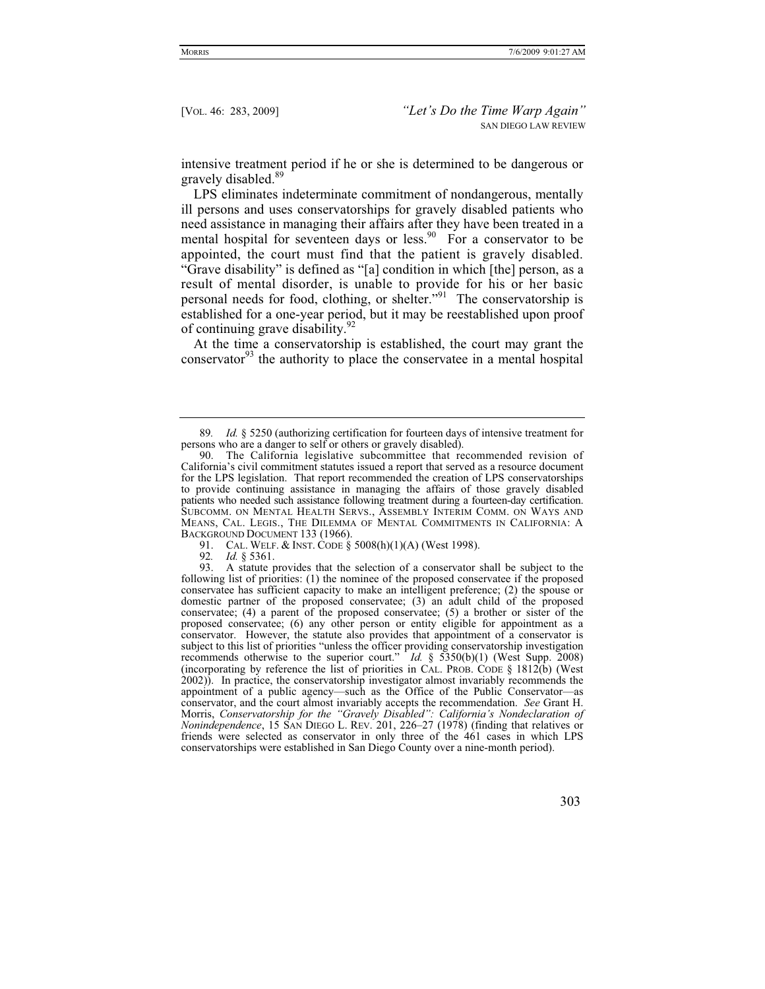intensive treatment period if he or she is determined to be dangerous or gravely disabled.<sup>89</sup>

LPS eliminates indeterminate commitment of nondangerous, mentally ill persons and uses conservatorships for gravely disabled patients who need assistance in managing their affairs after they have been treated in a mental hospital for seventeen days or less.<sup>90</sup> For a conservator to be appointed, the court must find that the patient is gravely disabled. "Grave disability" is defined as "[a] condition in which [the] person, as a result of mental disorder, is unable to provide for his or her basic personal needs for food, clothing, or shelter."91 The conservatorship is established for a one-year period, but it may be reestablished upon proof of continuing grave disability.92

At the time a conservatorship is established, the court may grant the conservator $93$  the authority to place the conservatee in a mental hospital

<sup>89</sup>*. Id.* § 5250 (authorizing certification for fourteen days of intensive treatment for persons who are a danger to self or others or gravely disabled).

 <sup>90.</sup> The California legislative subcommittee that recommended revision of California's civil commitment statutes issued a report that served as a resource document for the LPS legislation. That report recommended the creation of LPS conservatorships to provide continuing assistance in managing the affairs of those gravely disabled patients who needed such assistance following treatment during a fourteen-day certification. SUBCOMM. ON MENTAL HEALTH SERVS., ASSEMBLY INTERIM COMM. ON WAYS AND MEANS, CAL. LEGIS., THE DILEMMA OF MENTAL COMMITMENTS IN CALIFORNIA: A BACKGROUND DOCUMENT 133 (1966).

<sup>91.</sup> CAL. WELF. & INST. CODE  $\S$  5008(h)(1)(A) (West 1998).<br>92.  $Id.$  8 5361.

<sup>92</sup>*. Id.* § 5361.

<sup>93.</sup> A statute provides that the selection of a conservator shall be subject to the following list of priorities: (1) the nominee of the proposed conservatee if the proposed conservatee has sufficient capacity to make an intelligent preference; (2) the spouse or domestic partner of the proposed conservatee; (3) an adult child of the proposed conservatee; (4) a parent of the proposed conservatee; (5) a brother or sister of the proposed conservatee; (6) any other person or entity eligible for appointment as a conservator. However, the statute also provides that appointment of a conservator is subject to this list of priorities "unless the officer providing conservatorship investigation recommends otherwise to the superior court." *Id.* § 5350(b)(1) (West Supp. 2008) (incorporating by reference the list of priorities in CAL. PROB. CODE  $\S$  1812(b) (West 2002)). In practice, the conservatorship investigator almost invariably recommends the appointment of a public agency—such as the Office of the Public Conservator—as conservator, and the court almost invariably accepts the recommendation. *See* Grant H. Morris, *Conservatorship for the "Gravely Disabled": California's Nondeclaration of Nonindependence*, 15 SAN DIEGO L. REV. 201, 226–27 (1978) (finding that relatives or friends were selected as conservator in only three of the 461 cases in which LPS conservatorships were established in San Diego County over a nine-month period).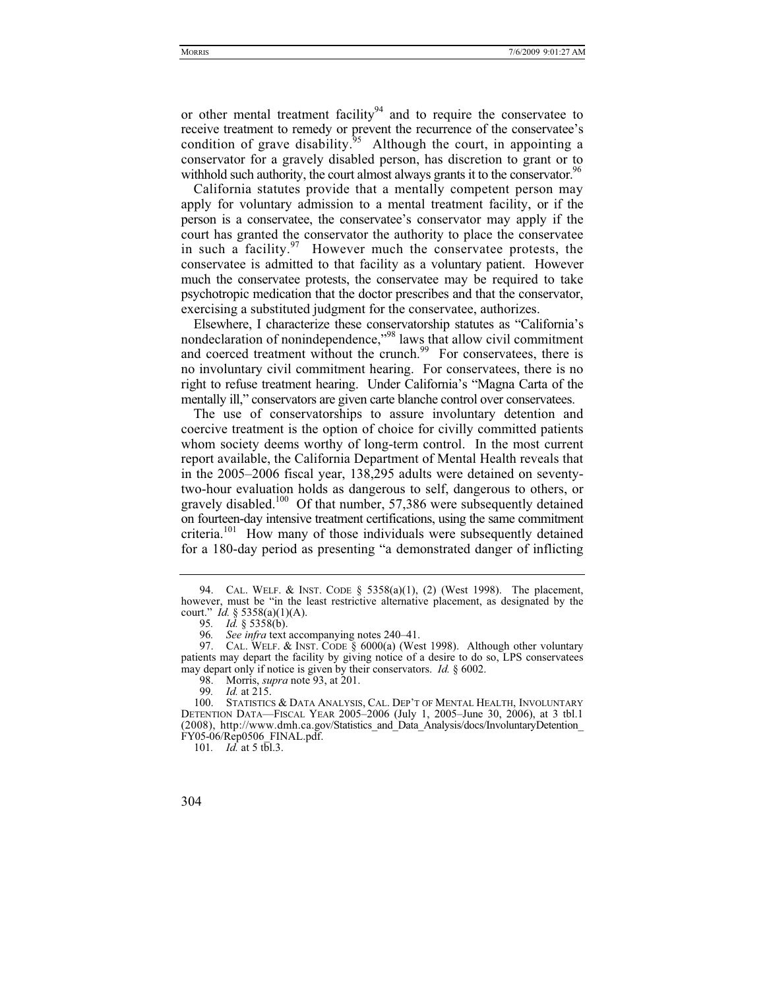or other mental treatment facility<sup>94</sup> and to require the conservatee to receive treatment to remedy or prevent the recurrence of the conservatee's condition of grave disability.<sup>95</sup> Although the court, in appointing a conservator for a gravely disabled person, has discretion to grant or to withhold such authority, the court almost always grants it to the conservator.<sup>96</sup>

California statutes provide that a mentally competent person may apply for voluntary admission to a mental treatment facility, or if the person is a conservatee, the conservatee's conservator may apply if the court has granted the conservator the authority to place the conservatee in such a facility. $97$  However much the conservatee protests, the conservatee is admitted to that facility as a voluntary patient. However much the conservatee protests, the conservatee may be required to take psychotropic medication that the doctor prescribes and that the conservator, exercising a substituted judgment for the conservatee, authorizes.

Elsewhere, I characterize these conservatorship statutes as "California's nondeclaration of nonindependence,"<sup>98</sup> laws that allow civil commitment and coerced treatment without the crunch.<sup>99</sup> For conservatees, there is no involuntary civil commitment hearing. For conservatees, there is no right to refuse treatment hearing. Under California's "Magna Carta of the mentally ill," conservators are given carte blanche control over conservatees.

The use of conservatorships to assure involuntary detention and coercive treatment is the option of choice for civilly committed patients whom society deems worthy of long-term control. In the most current report available, the California Department of Mental Health reveals that in the 2005–2006 fiscal year, 138,295 adults were detained on seventytwo-hour evaluation holds as dangerous to self, dangerous to others, or gravely disabled.<sup>100</sup> Of that number, 57,386 were subsequently detained on fourteen-day intensive treatment certifications, using the same commitment criteria.<sup>101</sup> How many of those individuals were subsequently detained for a 180-day period as presenting "a demonstrated danger of inflicting

 <sup>94.</sup> CAL. WELF.&INST. CODE § 5358(a)(1), (2) (West 1998). The placement, however, must be "in the least restrictive alternative placement, as designated by the court." *Id.* § 5358(a)(1)(A).

<sup>95</sup>*. Id.* § 5358(b).

<sup>96</sup>*. See infra* text accompanying notes 240–41.

<sup>97.</sup> CAL. WELF. & INST. CODE § 6000(a) (West 1998). Although other voluntary patients may depart the facility by giving notice of a desire to do so, LPS conservatees may depart only if notice is given by their conservators. *Id.* § 6002.

<sup>98.</sup> Morris, *supra* note 93, at 201.<br>99. *Id.* at 215.

<sup>99</sup>*. Id.* at 215.

STATISTICS & DATA ANALYSIS, CAL. DEP'T OF MENTAL HEALTH, INVOLUNTARY DETENTION DATA—FISCAL YEAR 2005–2006 (July 1, 2005–June 30, 2006), at 3 tbl.1 (2008), http://www.dmh.ca.gov/Statistics\_and\_Data\_Analysis/docs/InvoluntaryDetention\_ FY05-06/Rep0506\_FINAL.pdf.

<sup>101</sup>*. Id.* at 5 tbl.3.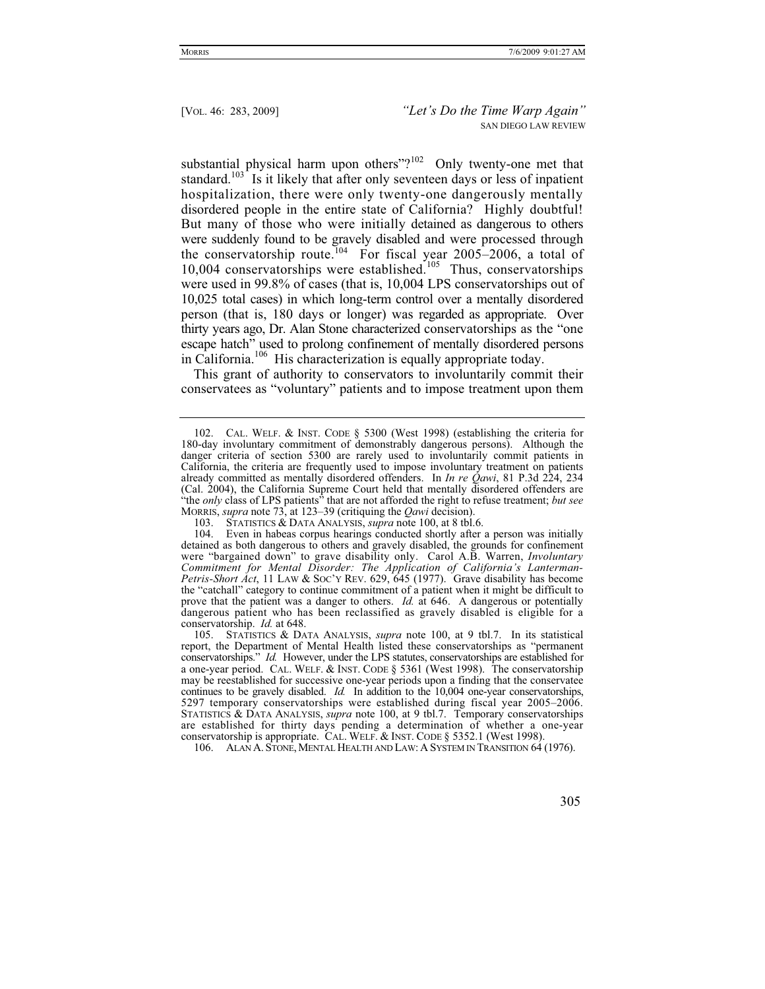substantial physical harm upon others"?<sup>102</sup> Only twenty-one met that standard.<sup>103</sup> Is it likely that after only seventeen days or less of inpatient hospitalization, there were only twenty-one dangerously mentally disordered people in the entire state of California? Highly doubtful! But many of those who were initially detained as dangerous to others were suddenly found to be gravely disabled and were processed through the conservatorship route.<sup>104</sup> For fiscal year 2005–2006, a total of  $10,004$  conservatorships were established.<sup>105</sup> Thus, conservatorships were used in 99.8% of cases (that is, 10,004 LPS conservatorships out of 10,025 total cases) in which long-term control over a mentally disordered person (that is, 180 days or longer) was regarded as appropriate. Over thirty years ago, Dr. Alan Stone characterized conservatorships as the "one escape hatch" used to prolong confinement of mentally disordered persons in California.106 His characterization is equally appropriate today.

This grant of authority to conservators to involuntarily commit their conservatees as "voluntary" patients and to impose treatment upon them

106. ALAN A. STONE, MENTAL HEALTH AND LAW:ASYSTEM IN TRANSITION 64 (1976).

 <sup>102.</sup> CAL. WELF.&INST. CODE § 5300 (West 1998) (establishing the criteria for 180-day involuntary commitment of demonstrably dangerous persons). Although the danger criteria of section 5300 are rarely used to involuntarily commit patients in California, the criteria are frequently used to impose involuntary treatment on patients already committed as mentally disordered offenders. In *In re Qawi*, 81 P.3d 224, 234 (Cal. 2004), the California Supreme Court held that mentally disordered offenders are "the *only* class of LPS patients" that are not afforded the right to refuse treatment; *but see* MORRIS, *supra* note 73, at 123–39 (critiquing the *Qawi* decision).

 <sup>103.</sup> STATISTICS & DATA ANALYSIS, *supra* note 100, at 8 tbl.6.

 <sup>104.</sup> Even in habeas corpus hearings conducted shortly after a person was initially detained as both dangerous to others and gravely disabled, the grounds for confinement were "bargained down" to grave disability only. Carol A.B. Warren, *Involuntary Commitment for Mental Disorder: The Application of California's Lanterman-Petris-Short Act*, 11 LAW & Soc'y REV. 629, 645 (1977). Grave disability has become the "catchall" category to continue commitment of a patient when it might be difficult to prove that the patient was a danger to others. *Id.* at 646. A dangerous or potentially dangerous patient who has been reclassified as gravely disabled is eligible for a conservatorship. *Id.* at 648.

 <sup>105.</sup> STATISTICS & DATA ANALYSIS, *supra* note 100, at 9 tbl.7. In its statistical report, the Department of Mental Health listed these conservatorships as "permanent conservatorships." *Id.* However, under the LPS statutes, conservatorships are established for a one-year period. CAL. WELF.&INST. CODE § 5361 (West 1998). The conservatorship may be reestablished for successive one-year periods upon a finding that the conservatee continues to be gravely disabled. *Id.* In addition to the 10,004 one-year conservatorships, 5297 temporary conservatorships were established during fiscal year 2005–2006. STATISTICS & DATA ANALYSIS, *supra* note 100, at 9 tbl.7. Temporary conservatorships are established for thirty days pending a determination of whether a one-year conservatorship is appropriate. CAL. WELF.&INST. CODE § 5352.1 (West 1998).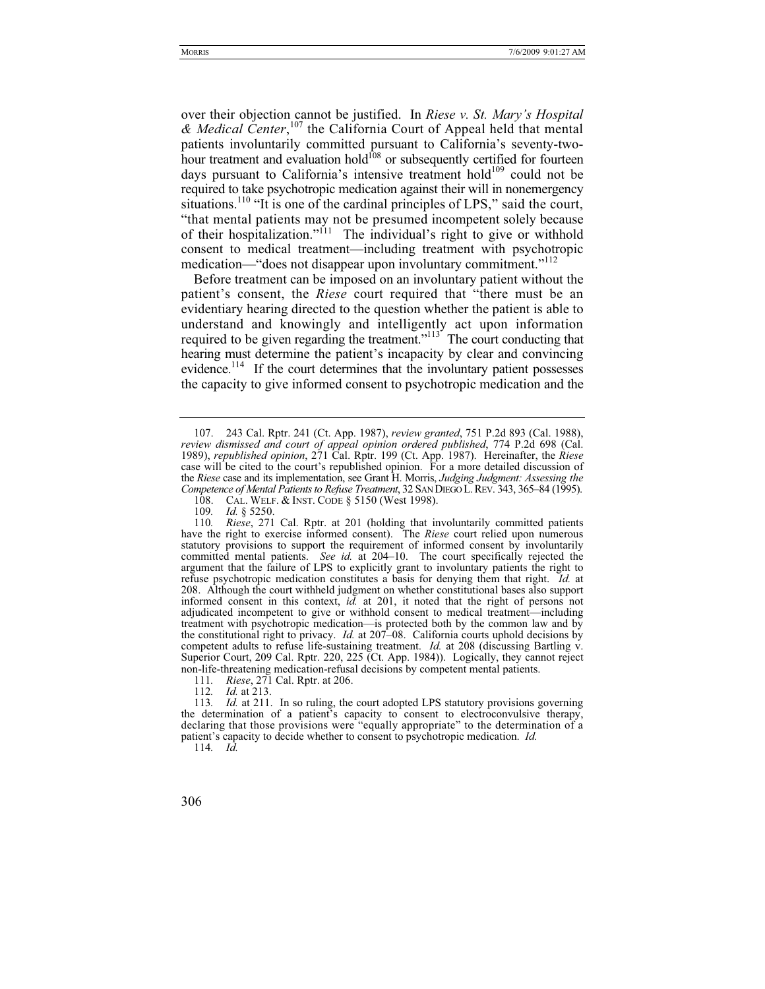over their objection cannot be justified. In *Riese v. St. Mary's Hospital & Medical Center*, 107 the California Court of Appeal held that mental patients involuntarily committed pursuant to California's seventy-twohour treatment and evaluation hold<sup>108</sup> or subsequently certified for fourteen days pursuant to California's intensive treatment hold<sup>109</sup> could not be required to take psychotropic medication against their will in nonemergency situations.<sup>110</sup> "It is one of the cardinal principles of LPS," said the court, "that mental patients may not be presumed incompetent solely because of their hospitalization."111 The individual's right to give or withhold consent to medical treatment—including treatment with psychotropic medication—"does not disappear upon involuntary commitment."<sup>112</sup>

Before treatment can be imposed on an involuntary patient without the patient's consent, the *Riese* court required that "there must be an evidentiary hearing directed to the question whether the patient is able to understand and knowingly and intelligently act upon information required to be given regarding the treatment."<sup>113</sup> The court conducting that hearing must determine the patient's incapacity by clear and convincing evidence.<sup>114</sup> If the court determines that the involuntary patient possesses the capacity to give informed consent to psychotropic medication and the

114*. Id.*

 <sup>107. 243</sup> Cal. Rptr. 241 (Ct. App. 1987), *review granted*, 751 P.2d 893 (Cal. 1988), *review dismissed and court of appeal opinion ordered published*, 774 P.2d 698 (Cal. 1989), *republished opinion*, 271 Cal. Rptr. 199 (Ct. App. 1987). Hereinafter, the *Riese* case will be cited to the court's republished opinion. For a more detailed discussion of the *Riese* case and its implementation, see Grant H. Morris, *Judging Judgment: Assessing the Competence of Mental Patients to Refuse Treatment*, 32 SAN DIEGO L. REV. 343, 365–84 (1995).

<sup>108.</sup> CAL. WELF. & INST. CODE § 5150 (West 1998).

<sup>109</sup>*. Id.* § 5250.

<sup>110</sup>*. Riese*, 271 Cal. Rptr. at 201 (holding that involuntarily committed patients have the right to exercise informed consent). The *Riese* court relied upon numerous statutory provisions to support the requirement of informed consent by involuntarily committed mental patients. *See id.* at 204–10. The court specifically rejected the argument that the failure of LPS to explicitly grant to involuntary patients the right to refuse psychotropic medication constitutes a basis for denying them that right. *Id.* at 208. Although the court withheld judgment on whether constitutional bases also support informed consent in this context, *id.* at 201, it noted that the right of persons not adjudicated incompetent to give or withhold consent to medical treatment—including treatment with psychotropic medication—is protected both by the common law and by the constitutional right to privacy. *Id.* at 207–08. California courts uphold decisions by competent adults to refuse life-sustaining treatment. *Id.* at 208 (discussing Bartling v. Superior Court, 209 Cal. Rptr. 220, 225 (Ct. App. 1984)). Logically, they cannot reject non-life-threatening medication-refusal decisions by competent mental patients.

<sup>111</sup>*. Riese*, 271 Cal. Rptr. at 206.

<sup>112</sup>*. Id.* at 213.

<sup>113</sup>*. Id.* at 211. In so ruling, the court adopted LPS statutory provisions governing the determination of a patient's capacity to consent to electroconvulsive therapy, declaring that those provisions were "equally appropriate" to the determination of a patient's capacity to decide whether to consent to psychotropic medication. *Id.*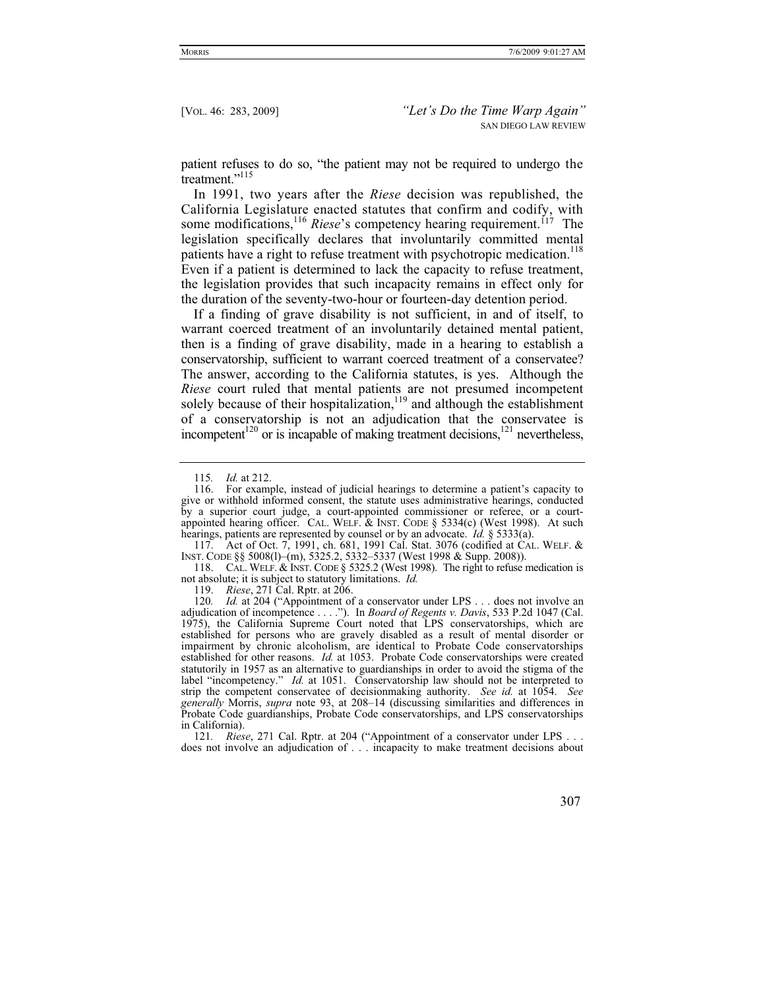patient refuses to do so, "the patient may not be required to undergo the treatment."<sup>115</sup>

In 1991, two years after the *Riese* decision was republished, the California Legislature enacted statutes that confirm and codify, with some modifications,<sup>116</sup> *Riese's* competency hearing requirement.<sup>117</sup> The legislation specifically declares that involuntarily committed mental patients have a right to refuse treatment with psychotropic medication.<sup>118</sup> Even if a patient is determined to lack the capacity to refuse treatment, the legislation provides that such incapacity remains in effect only for the duration of the seventy-two-hour or fourteen-day detention period.

If a finding of grave disability is not sufficient, in and of itself, to warrant coerced treatment of an involuntarily detained mental patient, then is a finding of grave disability, made in a hearing to establish a conservatorship, sufficient to warrant coerced treatment of a conservatee? The answer, according to the California statutes, is yes. Although the *Riese* court ruled that mental patients are not presumed incompetent solely because of their hospitalization, $119$  and although the establishment of a conservatorship is not an adjudication that the conservatee is incompetent<sup>120</sup> or is incapable of making treatment decisions,<sup>121</sup> nevertheless,

 117. Act of Oct. 7, 1991, ch. 681, 1991 Cal. Stat. 3076 (codified at CAL. WELF. & INST. CODE §§ 5008(l)–(m), 5325.2, 5332–5337 (West 1998 & Supp. 2008)).

118. CAL. WELF. & INST. CODE § 5325.2 (West 1998). The right to refuse medication is not absolute; it is subject to statutory limitations. *Id.*

119. *Riese*, 271 Cal. Rptr. at 206.

120. *Id.* at 204 ("Appointment of a conservator under LPS . . . does not involve an adjudication of incompetence . . . ."). In *Board of Regents v. Davis*, 533 P.2d 1047 (Cal. 1975), the California Supreme Court noted that LPS conservatorships, which are established for persons who are gravely disabled as a result of mental disorder or impairment by chronic alcoholism, are identical to Probate Code conservatorships established for other reasons. *Id.* at 1053. Probate Code conservatorships were created statutorily in 1957 as an alternative to guardianships in order to avoid the stigma of the label "incompetency." *Id.* at 1051. Conservatorship law should not be interpreted to strip the competent conservatee of decisionmaking authority. *See id.* at 1054. *See generally* Morris, *supra* note 93, at 208–14 (discussing similarities and differences in Probate Code guardianships, Probate Code conservatorships, and LPS conservatorships in California).

121*. Riese*, 271 Cal. Rptr. at 204 ("Appointment of a conservator under LPS . . . does not involve an adjudication of . . . incapacity to make treatment decisions about

<sup>115</sup>*. Id.* at 212.

 <sup>116.</sup> For example, instead of judicial hearings to determine a patient's capacity to give or withhold informed consent, the statute uses administrative hearings, conducted by a superior court judge, a court-appointed commissioner or referee, or a courtappointed hearing officer. CAL. WELF.  $\&$  INST. CODE  $\&$  5334(c) (West 1998). At such hearings, patients are represented by counsel or by an advocate. *Id.* § 5333(a).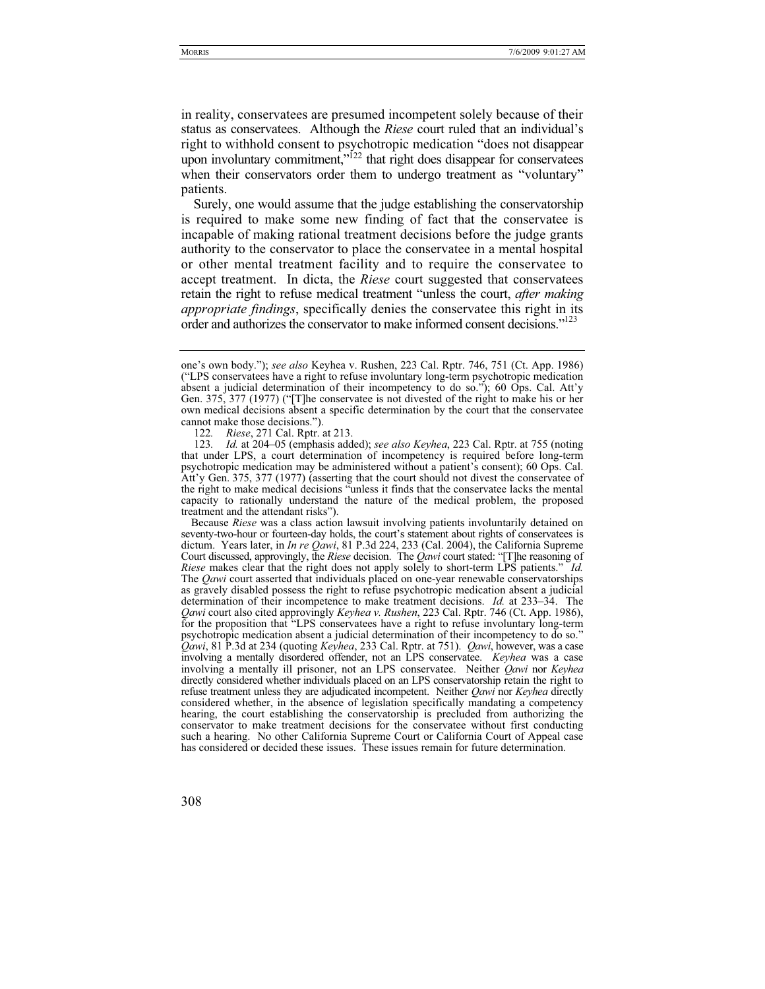in reality, conservatees are presumed incompetent solely because of their status as conservatees. Although the *Riese* court ruled that an individual's right to withhold consent to psychotropic medication "does not disappear upon involuntary commitment, $\overrightarrow{r}$ <sup>122</sup> that right does disappear for conservatees when their conservators order them to undergo treatment as "voluntary" patients.

Surely, one would assume that the judge establishing the conservatorship is required to make some new finding of fact that the conservatee is incapable of making rational treatment decisions before the judge grants authority to the conservator to place the conservatee in a mental hospital or other mental treatment facility and to require the conservatee to accept treatment. In dicta, the *Riese* court suggested that conservatees retain the right to refuse medical treatment "unless the court, *after making appropriate findings*, specifically denies the conservatee this right in its order and authorizes the conservator to make informed consent decisions."<sup>123</sup>

Because *Riese* was a class action lawsuit involving patients involuntarily detained on seventy-two-hour or fourteen-day holds, the court's statement about rights of conservatees is dictum. Years later, in *In re Qawi*, 81 P.3d 224, 233 (Cal. 2004), the California Supreme Court discussed, approvingly, the *Riese* decision. The *Qawi* court stated: "[T]he reasoning of *Riese* makes clear that the right does not apply solely to short-term LPS patients." *Id.* The *Qawi* court asserted that individuals placed on one-year renewable conservatorships as gravely disabled possess the right to refuse psychotropic medication absent a judicial determination of their incompetence to make treatment decisions. *Id.* at 233–34. The *Qawi* court also cited approvingly *Keyhea v. Rushen*, 223 Cal. Rptr. 746 (Ct. App. 1986), for the proposition that "LPS conservatees have a right to refuse involuntary long-term psychotropic medication absent a judicial determination of their incompetency to do so." *Qawi*, 81 P.3d at 234 (quoting *Keyhea*, 233 Cal. Rptr. at 751). *Qawi*, however, was a case involving a mentally disordered offender, not an LPS conservatee. *Keyhea* was a case involving a mentally ill prisoner, not an LPS conservatee. Neither *Qawi* nor *Keyhea*  directly considered whether individuals placed on an LPS conservatorship retain the right to refuse treatment unless they are adjudicated incompetent. Neither *Qawi* nor *Keyhea* directly considered whether, in the absence of legislation specifically mandating a competency hearing, the court establishing the conservatorship is precluded from authorizing the conservator to make treatment decisions for the conservatee without first conducting such a hearing. No other California Supreme Court or California Court of Appeal case has considered or decided these issues. These issues remain for future determination.

one's own body."); *see also* Keyhea v. Rushen, 223 Cal. Rptr. 746, 751 (Ct. App. 1986) ("LPS conservatees have a right to refuse involuntary long-term psychotropic medication absent a judicial determination of their incompetency to do so."); 60 Ops. Cal. Att'y Gen. 375, 377 (1977) ("[T]he conservatee is not divested of the right to make his or her own medical decisions absent a specific determination by the court that the conservatee cannot make those decisions.").

<sup>122</sup>*. Riese*, 271 Cal. Rptr. at 213.

<sup>123</sup>*. Id.* at 204–05 (emphasis added); *see also Keyhea*, 223 Cal. Rptr. at 755 (noting that under LPS, a court determination of incompetency is required before long-term psychotropic medication may be administered without a patient's consent); 60 Ops. Cal. Att'y Gen. 375, 377 (1977) (asserting that the court should not divest the conservatee of the right to make medical decisions "unless it finds that the conservatee lacks the mental capacity to rationally understand the nature of the medical problem, the proposed treatment and the attendant risks").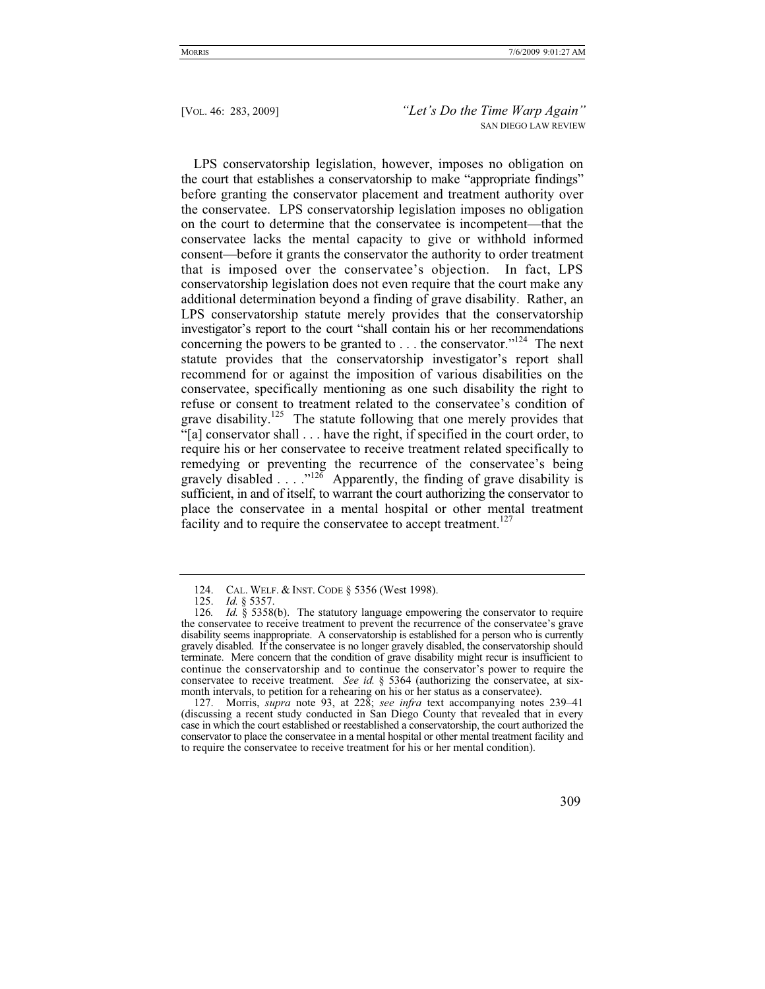LPS conservatorship legislation, however, imposes no obligation on the court that establishes a conservatorship to make "appropriate findings" before granting the conservator placement and treatment authority over the conservatee. LPS conservatorship legislation imposes no obligation on the court to determine that the conservatee is incompetent—that the conservatee lacks the mental capacity to give or withhold informed consent—before it grants the conservator the authority to order treatment that is imposed over the conservatee's objection. In fact, LPS conservatorship legislation does not even require that the court make any additional determination beyond a finding of grave disability. Rather, an LPS conservatorship statute merely provides that the conservatorship investigator's report to the court "shall contain his or her recommendations concerning the powers to be granted to  $\dots$  the conservator."<sup>124</sup> The next statute provides that the conservatorship investigator's report shall recommend for or against the imposition of various disabilities on the conservatee, specifically mentioning as one such disability the right to refuse or consent to treatment related to the conservatee's condition of grave disability.<sup>125</sup> The statute following that one merely provides that "[a] conservator shall . . . have the right, if specified in the court order, to require his or her conservatee to receive treatment related specifically to remedying or preventing the recurrence of the conservatee's being gravely disabled . . . ."126 Apparently, the finding of grave disability is sufficient, in and of itself, to warrant the court authorizing the conservator to place the conservatee in a mental hospital or other mental treatment facility and to require the conservatee to accept treatment.<sup>127</sup>

<sup>124.</sup> CAL. WELF. & INST. CODE § 5356 (West 1998).

 <sup>125.</sup> *Id.* § 5357.

<sup>126</sup>*. Id.* § 5358(b). The statutory language empowering the conservator to require the conservatee to receive treatment to prevent the recurrence of the conservatee's grave disability seems inappropriate. A conservatorship is established for a person who is currently gravely disabled. If the conservatee is no longer gravely disabled, the conservatorship should terminate. Mere concern that the condition of grave disability might recur is insufficient to continue the conservatorship and to continue the conservator's power to require the conservatee to receive treatment. *See id.* § 5364 (authorizing the conservatee, at sixmonth intervals, to petition for a rehearing on his or her status as a conservatee).

 <sup>127.</sup> Morris, *supra* note 93, at 228; *see infra* text accompanying notes 239–41 (discussing a recent study conducted in San Diego County that revealed that in every case in which the court established or reestablished a conservatorship, the court authorized the conservator to place the conservatee in a mental hospital or other mental treatment facility and to require the conservatee to receive treatment for his or her mental condition).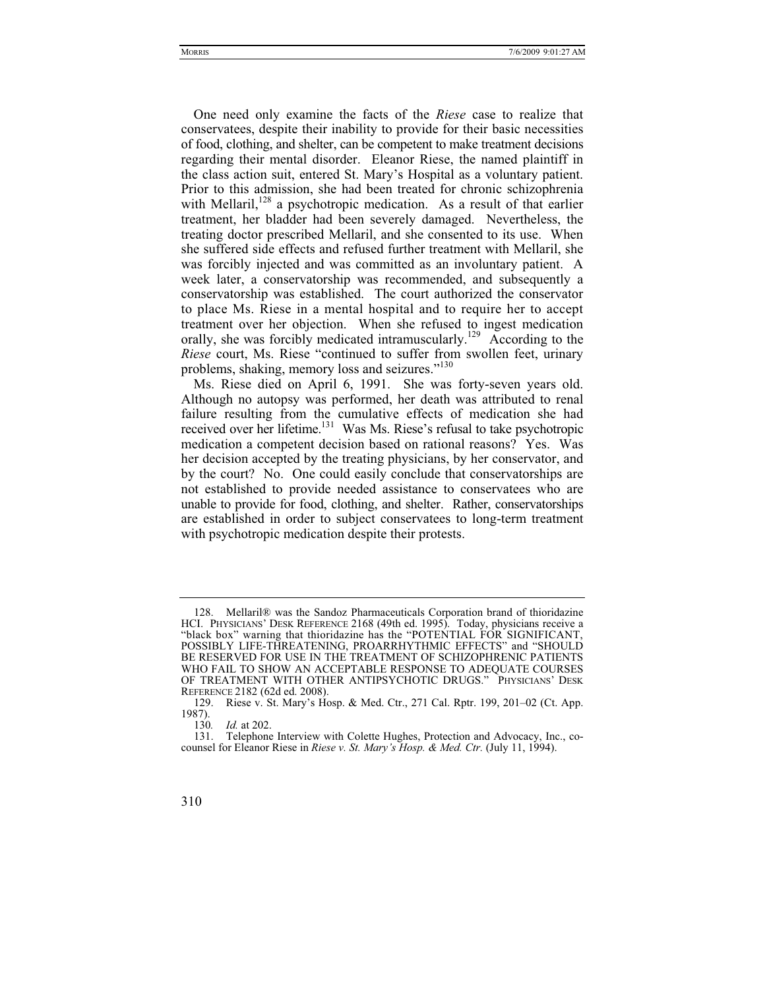One need only examine the facts of the *Riese* case to realize that conservatees, despite their inability to provide for their basic necessities of food, clothing, and shelter, can be competent to make treatment decisions regarding their mental disorder. Eleanor Riese, the named plaintiff in the class action suit, entered St. Mary's Hospital as a voluntary patient. Prior to this admission, she had been treated for chronic schizophrenia with Mellaril, $128$  a psychotropic medication. As a result of that earlier treatment, her bladder had been severely damaged. Nevertheless, the treating doctor prescribed Mellaril, and she consented to its use. When she suffered side effects and refused further treatment with Mellaril, she was forcibly injected and was committed as an involuntary patient. A week later, a conservatorship was recommended, and subsequently a conservatorship was established. The court authorized the conservator to place Ms. Riese in a mental hospital and to require her to accept treatment over her objection. When she refused to ingest medication orally, she was forcibly medicated intramuscularly.<sup>129</sup> According to the *Riese* court, Ms. Riese "continued to suffer from swollen feet, urinary problems, shaking, memory loss and seizures."<sup>130</sup>

Ms. Riese died on April 6, 1991. She was forty-seven years old. Although no autopsy was performed, her death was attributed to renal failure resulting from the cumulative effects of medication she had received over her lifetime.<sup>131</sup> Was Ms. Riese's refusal to take psychotropic medication a competent decision based on rational reasons? Yes. Was her decision accepted by the treating physicians, by her conservator, and by the court? No. One could easily conclude that conservatorships are not established to provide needed assistance to conservatees who are unable to provide for food, clothing, and shelter. Rather, conservatorships are established in order to subject conservatees to long-term treatment with psychotropic medication despite their protests.

 <sup>128.</sup> Mellaril® was the Sandoz Pharmaceuticals Corporation brand of thioridazine HCI. PHYSICIANS' DESK REFERENCE 2168 (49th ed. 1995). Today, physicians receive a "black box" warning that thioridazine has the "POTENTIAL FOR SIGNIFICANT, POSSIBLY LIFE-THREATENING, PROARRHYTHMIC EFFECTS" and "SHOULD BE RESERVED FOR USE IN THE TREATMENT OF SCHIZOPHRENIC PATIENTS WHO FAIL TO SHOW AN ACCEPTABLE RESPONSE TO ADEQUATE COURSES OF TREATMENT WITH OTHER ANTIPSYCHOTIC DRUGS." PHYSICIANS' DESK REFERENCE 2182 (62d ed. 2008).

 <sup>129.</sup> Riese v. St. Mary's Hosp. & Med. Ctr., 271 Cal. Rptr. 199, 201–02 (Ct. App.  $\frac{1987}{130}$ .

*Id.* at 202.

 <sup>131.</sup> Telephone Interview with Colette Hughes, Protection and Advocacy, Inc., cocounsel for Eleanor Riese in *Riese v. St. Mary's Hosp. & Med. Ctr.* (July 11, 1994).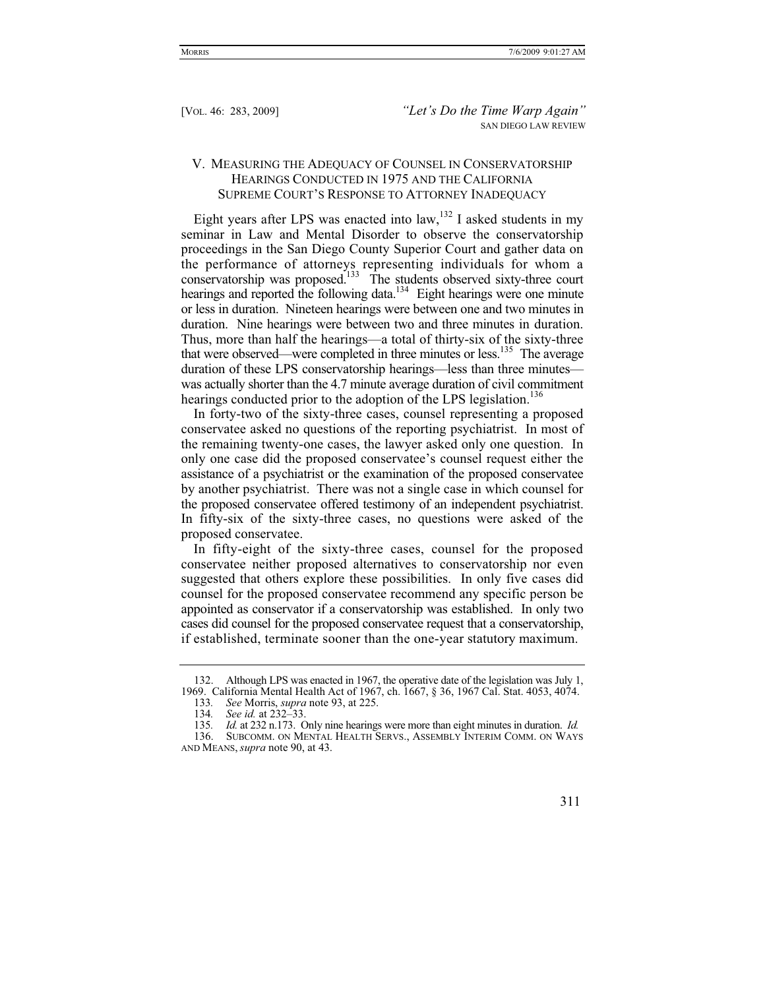# V. MEASURING THE ADEQUACY OF COUNSEL IN CONSERVATORSHIP HEARINGS CONDUCTED IN 1975 AND THE CALIFORNIA SUPREME COURT'S RESPONSE TO ATTORNEY INADEQUACY

Eight years after LPS was enacted into  $law<sub>132</sub>$  I asked students in my seminar in Law and Mental Disorder to observe the conservatorship proceedings in the San Diego County Superior Court and gather data on the performance of attorneys representing individuals for whom a conservatorship was proposed.<sup>133</sup> The students observed sixty-three court hearings and reported the following data.<sup>134</sup> Eight hearings were one minute or less in duration. Nineteen hearings were between one and two minutes in duration. Nine hearings were between two and three minutes in duration. Thus, more than half the hearings—a total of thirty-six of the sixty-three that were observed—were completed in three minutes or less.<sup>135</sup> The average duration of these LPS conservatorship hearings—less than three minutes was actually shorter than the 4.7 minute average duration of civil commitment hearings conducted prior to the adoption of the LPS legislation.<sup>136</sup>

In forty-two of the sixty-three cases, counsel representing a proposed conservatee asked no questions of the reporting psychiatrist. In most of the remaining twenty-one cases, the lawyer asked only one question. In only one case did the proposed conservatee's counsel request either the assistance of a psychiatrist or the examination of the proposed conservatee by another psychiatrist. There was not a single case in which counsel for the proposed conservatee offered testimony of an independent psychiatrist. In fifty-six of the sixty-three cases, no questions were asked of the proposed conservatee.

In fifty-eight of the sixty-three cases, counsel for the proposed conservatee neither proposed alternatives to conservatorship nor even suggested that others explore these possibilities. In only five cases did counsel for the proposed conservatee recommend any specific person be appointed as conservator if a conservatorship was established. In only two cases did counsel for the proposed conservatee request that a conservatorship, if established, terminate sooner than the one-year statutory maximum.

 <sup>132.</sup> Although LPS was enacted in 1967, the operative date of the legislation was July 1, 1969. California Mental Health Act of 1967, ch. 1667, § 36, 1967 Cal. Stat. 4053, 4074.

<sup>133</sup>*. See* Morris, *supra* note 93, at 225.

<sup>134</sup>*. See id.* at 232–33.

<sup>135</sup>*. Id.* at 232 n.173. Only nine hearings were more than eight minutes in duration. *Id.*

 <sup>136.</sup> SUBCOMM. ON MENTAL HEALTH SERVS., ASSEMBLY INTERIM COMM. ON WAYS AND MEANS, *supra* note 90, at 43.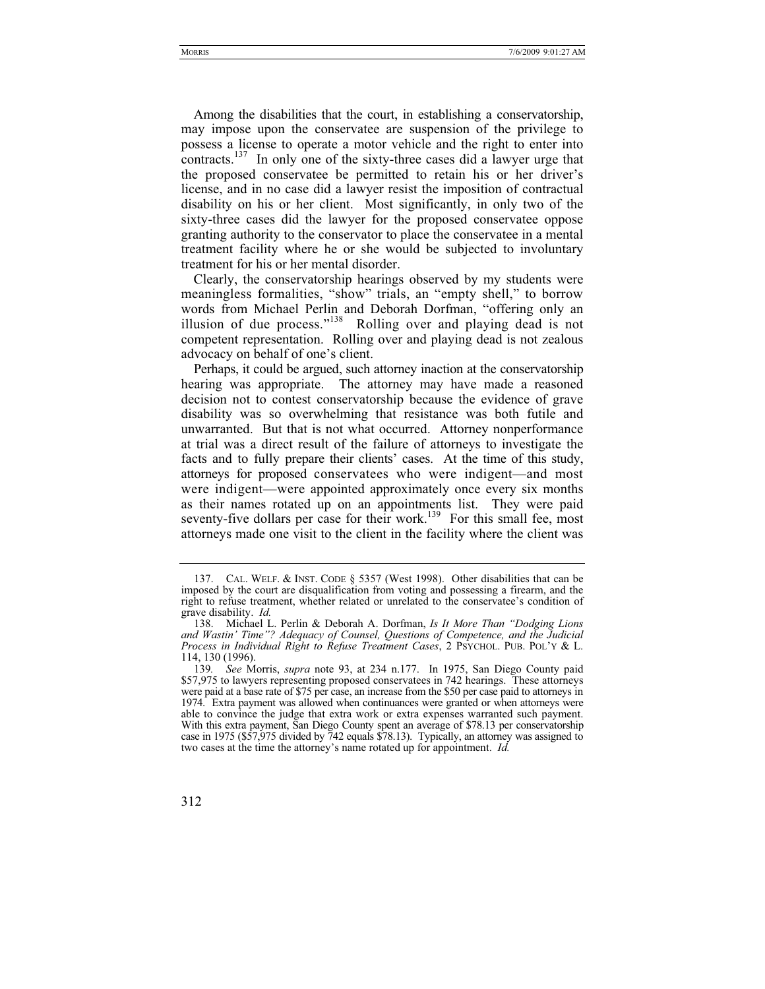Among the disabilities that the court, in establishing a conservatorship, may impose upon the conservatee are suspension of the privilege to possess a license to operate a motor vehicle and the right to enter into contracts.<sup>137</sup> In only one of the sixty-three cases did a lawyer urge that the proposed conservatee be permitted to retain his or her driver's license, and in no case did a lawyer resist the imposition of contractual disability on his or her client. Most significantly, in only two of the sixty-three cases did the lawyer for the proposed conservatee oppose granting authority to the conservator to place the conservatee in a mental treatment facility where he or she would be subjected to involuntary treatment for his or her mental disorder.

Clearly, the conservatorship hearings observed by my students were meaningless formalities, "show" trials, an "empty shell," to borrow words from Michael Perlin and Deborah Dorfman, "offering only an illusion of due process."138 Rolling over and playing dead is not competent representation. Rolling over and playing dead is not zealous advocacy on behalf of one's client.

Perhaps, it could be argued, such attorney inaction at the conservatorship hearing was appropriate. The attorney may have made a reasoned decision not to contest conservatorship because the evidence of grave disability was so overwhelming that resistance was both futile and unwarranted. But that is not what occurred. Attorney nonperformance at trial was a direct result of the failure of attorneys to investigate the facts and to fully prepare their clients' cases. At the time of this study, attorneys for proposed conservatees who were indigent—and most were indigent—were appointed approximately once every six months as their names rotated up on an appointments list. They were paid seventy-five dollars per case for their work.<sup>139</sup> For this small fee, most attorneys made one visit to the client in the facility where the client was

 <sup>137.</sup> CAL. WELF.&INST. CODE § 5357 (West 1998). Other disabilities that can be imposed by the court are disqualification from voting and possessing a firearm, and the right to refuse treatment, whether related or unrelated to the conservatee's condition of grave disability. *Id.*

 <sup>138.</sup> Michael L. Perlin & Deborah A. Dorfman, *Is It More Than "Dodging Lions and Wastin' Time"? Adequacy of Counsel, Questions of Competence, and the Judicial Process in Individual Right to Refuse Treatment Cases*, 2 PSYCHOL. PUB. POL'Y & L. 114, 130 (1996).

<sup>139</sup>*. See* Morris, *supra* note 93, at 234 n.177. In 1975, San Diego County paid \$57,975 to lawyers representing proposed conservatees in 742 hearings. These attorneys were paid at a base rate of \$75 per case, an increase from the \$50 per case paid to attorneys in 1974. Extra payment was allowed when continuances were granted or when attorneys were able to convince the judge that extra work or extra expenses warranted such payment. With this extra payment, San Diego County spent an average of \$78.13 per conservatorship case in 1975 (\$57,975 divided by 742 equals \$78.13). Typically, an attorney was assigned to two cases at the time the attorney's name rotated up for appointment. *Id.*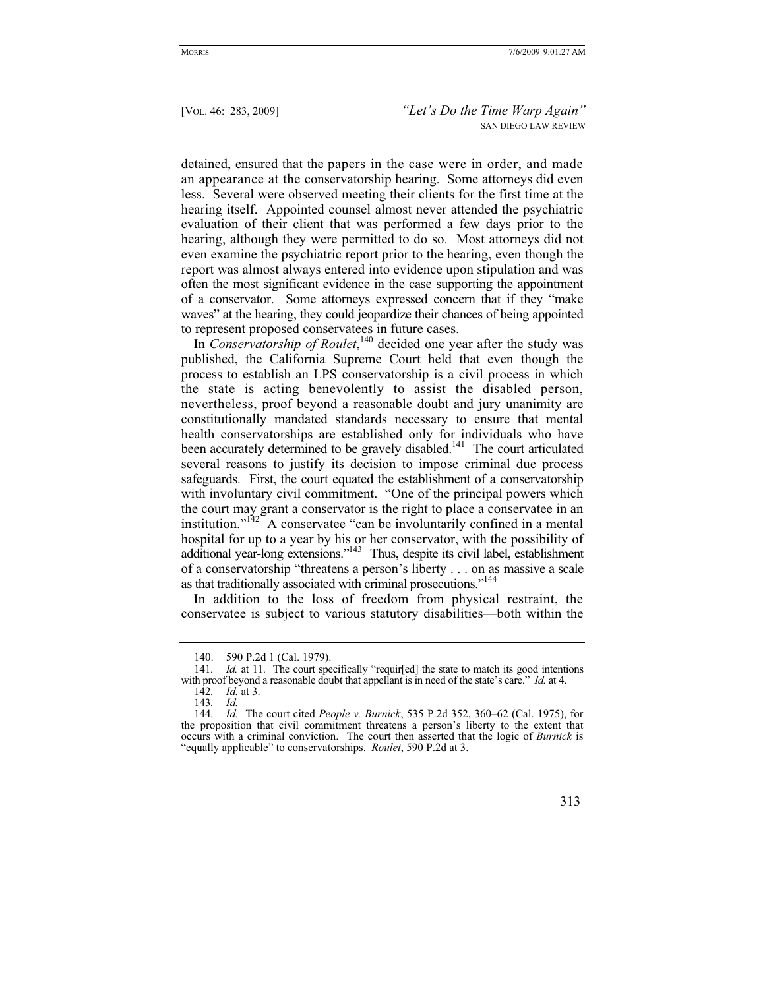detained, ensured that the papers in the case were in order, and made an appearance at the conservatorship hearing. Some attorneys did even less. Several were observed meeting their clients for the first time at the hearing itself. Appointed counsel almost never attended the psychiatric evaluation of their client that was performed a few days prior to the hearing, although they were permitted to do so. Most attorneys did not even examine the psychiatric report prior to the hearing, even though the report was almost always entered into evidence upon stipulation and was often the most significant evidence in the case supporting the appointment of a conservator. Some attorneys expressed concern that if they "make waves" at the hearing, they could jeopardize their chances of being appointed to represent proposed conservatees in future cases.

In *Conservatorship of Roulet*, 140 decided one year after the study was published, the California Supreme Court held that even though the process to establish an LPS conservatorship is a civil process in which the state is acting benevolently to assist the disabled person, nevertheless, proof beyond a reasonable doubt and jury unanimity are constitutionally mandated standards necessary to ensure that mental health conservatorships are established only for individuals who have been accurately determined to be gravely disabled.<sup>141</sup> The court articulated several reasons to justify its decision to impose criminal due process safeguards. First, the court equated the establishment of a conservatorship with involuntary civil commitment. "One of the principal powers which the court may grant a conservator is the right to place a conservatee in an institution." $142$ <sup> $\sim$ </sup>A conservatee "can be involuntarily confined in a mental hospital for up to a year by his or her conservator, with the possibility of additional year-long extensions."143 Thus, despite its civil label, establishment of a conservatorship "threatens a person's liberty . . . on as massive a scale as that traditionally associated with criminal prosecutions."<sup>144</sup>

In addition to the loss of freedom from physical restraint, the conservatee is subject to various statutory disabilities—both within the

 <sup>140. 590</sup> P.2d 1 (Cal. 1979).

<sup>141.</sup> *Id.* at 11. The court specifically "requir[ed] the state to match its good intentions with proof beyond a reasonable doubt that appellant is in need of the state's care." *Id.* at 4.

<sup>142</sup>*. Id.* at 3.

<sup>143</sup>*. Id.*

<sup>144</sup>*. Id.* The court cited *People v. Burnick*, 535 P.2d 352, 360–62 (Cal. 1975), for the proposition that civil commitment threatens a person's liberty to the extent that occurs with a criminal conviction. The court then asserted that the logic of *Burnick* is "equally applicable" to conservatorships. *Roulet*, 590 P.2d at 3.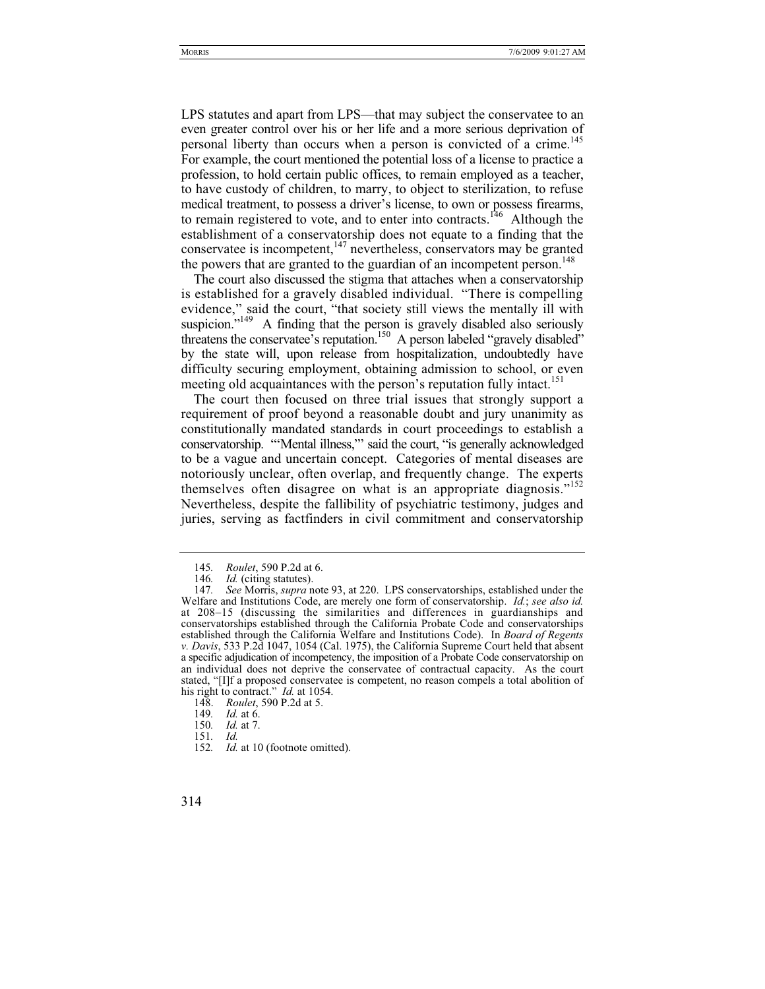LPS statutes and apart from LPS—that may subject the conservatee to an even greater control over his or her life and a more serious deprivation of personal liberty than occurs when a person is convicted of a crime.<sup>145</sup> For example, the court mentioned the potential loss of a license to practice a profession, to hold certain public offices, to remain employed as a teacher, to have custody of children, to marry, to object to sterilization, to refuse medical treatment, to possess a driver's license, to own or possess firearms, to remain registered to vote, and to enter into contracts.<sup>146</sup> Although the establishment of a conservatorship does not equate to a finding that the conservatee is incompetent,<sup>147</sup> nevertheless, conservators may be granted the powers that are granted to the guardian of an incompetent person.<sup>148</sup>

The court also discussed the stigma that attaches when a conservatorship is established for a gravely disabled individual. "There is compelling evidence," said the court, "that society still views the mentally ill with suspicion. $149$  A finding that the person is gravely disabled also seriously threatens the conservatee's reputation.<sup>150</sup> A person labeled "gravely disabled" by the state will, upon release from hospitalization, undoubtedly have difficulty securing employment, obtaining admission to school, or even meeting old acquaintances with the person's reputation fully intact.<sup>151</sup>

The court then focused on three trial issues that strongly support a requirement of proof beyond a reasonable doubt and jury unanimity as constitutionally mandated standards in court proceedings to establish a conservatorship. "'Mental illness,"' said the court, "is generally acknowledged to be a vague and uncertain concept. Categories of mental diseases are notoriously unclear, often overlap, and frequently change. The experts themselves often disagree on what is an appropriate diagnosis."<sup>152</sup> Nevertheless, despite the fallibility of psychiatric testimony, judges and juries, serving as factfinders in civil commitment and conservatorship

<sup>145</sup>*. Roulet*, 590 P.2d at 6.

*Id.* (citing statutes).

<sup>147</sup>*. See* Morris, *supra* note 93, at 220. LPS conservatorships, established under the Welfare and Institutions Code, are merely one form of conservatorship. *Id.*; *see also id.*  at 208–15 (discussing the similarities and differences in guardianships and conservatorships established through the California Probate Code and conservatorships established through the California Welfare and Institutions Code). In *Board of Regents v. Davis*, 533 P.2d 1047, 1054 (Cal. 1975), the California Supreme Court held that absent a specific adjudication of incompetency, the imposition of a Probate Code conservatorship on an individual does not deprive the conservatee of contractual capacity. As the court stated, "[I]f a proposed conservatee is competent, no reason compels a total abolition of his right to contract." *Id.* at 1054.

 <sup>148.</sup> *Roulet*, 590 P.2d at 5.

<sup>149</sup>*. Id.* at 6.

<sup>150</sup>*. Id.* at 7.

<sup>151</sup>*. Id.*

<sup>152</sup>*. Id.* at 10 (footnote omitted).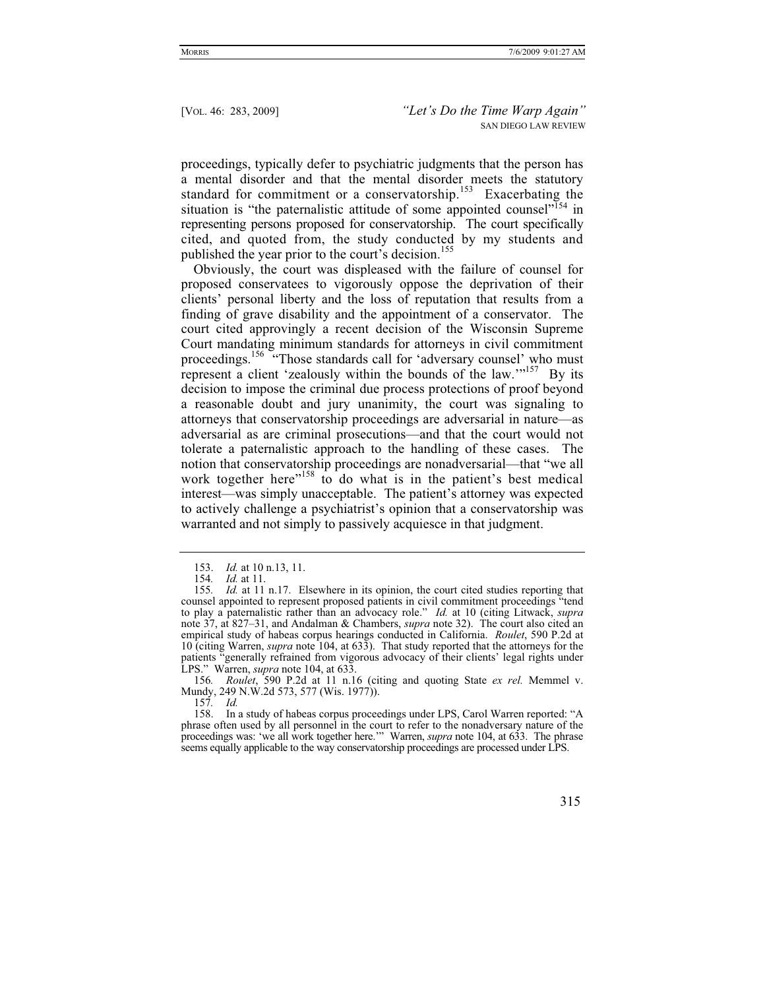proceedings, typically defer to psychiatric judgments that the person has a mental disorder and that the mental disorder meets the statutory standard for commitment or a conservatorship.<sup>153</sup> Exacerbating the situation is "the paternalistic attitude of some appointed counsel"<sup>154</sup> in representing persons proposed for conservatorship. The court specifically cited, and quoted from, the study conducted by my students and published the year prior to the court's decision.<sup>155</sup>

Obviously, the court was displeased with the failure of counsel for proposed conservatees to vigorously oppose the deprivation of their clients' personal liberty and the loss of reputation that results from a finding of grave disability and the appointment of a conservator. The court cited approvingly a recent decision of the Wisconsin Supreme Court mandating minimum standards for attorneys in civil commitment proceedings.<sup>156</sup> "Those standards call for 'adversary counsel' who must represent a client 'zealously within the bounds of the law.'"157 By its decision to impose the criminal due process protections of proof beyond a reasonable doubt and jury unanimity, the court was signaling to attorneys that conservatorship proceedings are adversarial in nature—as adversarial as are criminal prosecutions—and that the court would not tolerate a paternalistic approach to the handling of these cases. The notion that conservatorship proceedings are nonadversarial—that "we all work together here<sup> $n_{158}$ </sup> to do what is in the patient's best medical interest—was simply unacceptable. The patient's attorney was expected to actively challenge a psychiatrist's opinion that a conservatorship was warranted and not simply to passively acquiesce in that judgment.

 <sup>153.</sup> *Id.* at 10 n.13, 11.

<sup>154</sup>*. Id.* at 11.

<sup>155</sup>*. Id.* at 11 n.17. Elsewhere in its opinion, the court cited studies reporting that counsel appointed to represent proposed patients in civil commitment proceedings "tend to play a paternalistic rather than an advocacy role." *Id.* at 10 (citing Litwack, *supra*  note 37, at 827–31, and Andalman & Chambers, *supra* note 32). The court also cited an empirical study of habeas corpus hearings conducted in California. *Roulet*, 590 P.2d at 10 (citing Warren, *supra* note 104, at 633). That study reported that the attorneys for the patients "generally refrained from vigorous advocacy of their clients' legal rights under LPS." Warren, *supra* note 104, at 633.

<sup>156</sup>*. Roulet*, 590 P.2d at 11 n.16 (citing and quoting State *ex rel.* Memmel v. Mundy, 249 N.W.2d 573, 577 (Wis. 1977)).

<sup>157</sup>*. Id.*

 <sup>158.</sup> In a study of habeas corpus proceedings under LPS, Carol Warren reported: "A phrase often used by all personnel in the court to refer to the nonadversary nature of the proceedings was: 'we all work together here.'" Warren, *supra* note 104, at 633. The phrase seems equally applicable to the way conservatorship proceedings are processed under LPS.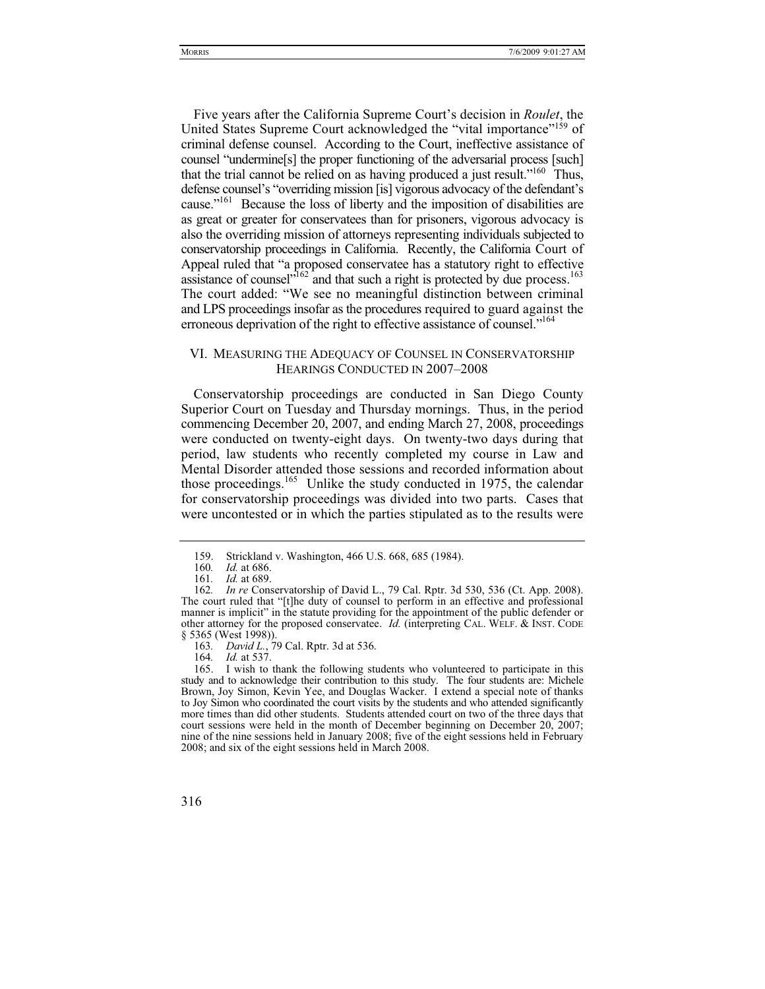Five years after the California Supreme Court's decision in *Roulet*, the United States Supreme Court acknowledged the "vital importance"159 of criminal defense counsel. According to the Court, ineffective assistance of counsel "undermine[s] the proper functioning of the adversarial process [such] that the trial cannot be relied on as having produced a just result."160 Thus, defense counsel's "overriding mission [is] vigorous advocacy of the defendant's cause."161 Because the loss of liberty and the imposition of disabilities are as great or greater for conservatees than for prisoners, vigorous advocacy is also the overriding mission of attorneys representing individuals subjected to conservatorship proceedings in California. Recently, the California Court of Appeal ruled that "a proposed conservatee has a statutory right to effective assistance of counsel<sup> $162$ </sup> and that such a right is protected by due process.<sup>163</sup> The court added: "We see no meaningful distinction between criminal and LPS proceedings insofar as the procedures required to guard against the erroneous deprivation of the right to effective assistance of counsel."<sup>164</sup>

## VI. MEASURING THE ADEQUACY OF COUNSEL IN CONSERVATORSHIP HEARINGS CONDUCTED IN 2007–2008

Conservatorship proceedings are conducted in San Diego County Superior Court on Tuesday and Thursday mornings. Thus, in the period commencing December 20, 2007, and ending March 27, 2008, proceedings were conducted on twenty-eight days. On twenty-two days during that period, law students who recently completed my course in Law and Mental Disorder attended those sessions and recorded information about those proceedings.<sup>165</sup> Unlike the study conducted in 1975, the calendar for conservatorship proceedings was divided into two parts. Cases that were uncontested or in which the parties stipulated as to the results were

164*. Id.* at 537.

<sup>159.</sup> Strickland v. Washington, 466 U.S. 668, 685 (1984).<br>160. *Id.* at 686.

*Id.* at 686.

<sup>161</sup>*. Id.* at 689.

<sup>162</sup>*. In re* Conservatorship of David L., 79 Cal. Rptr. 3d 530, 536 (Ct. App. 2008). The court ruled that "[t]he duty of counsel to perform in an effective and professional manner is implicit" in the statute providing for the appointment of the public defender or other attorney for the proposed conservatee. *Id.* (interpreting CAL. WELF.&INST. CODE § 5365 (West 1998)).

<sup>163</sup>*. David L.*, 79 Cal. Rptr. 3d at 536.

 <sup>165.</sup> I wish to thank the following students who volunteered to participate in this study and to acknowledge their contribution to this study. The four students are: Michele Brown, Joy Simon, Kevin Yee, and Douglas Wacker. I extend a special note of thanks to Joy Simon who coordinated the court visits by the students and who attended significantly more times than did other students. Students attended court on two of the three days that court sessions were held in the month of December beginning on December 20, 2007; nine of the nine sessions held in January 2008; five of the eight sessions held in February 2008; and six of the eight sessions held in March 2008.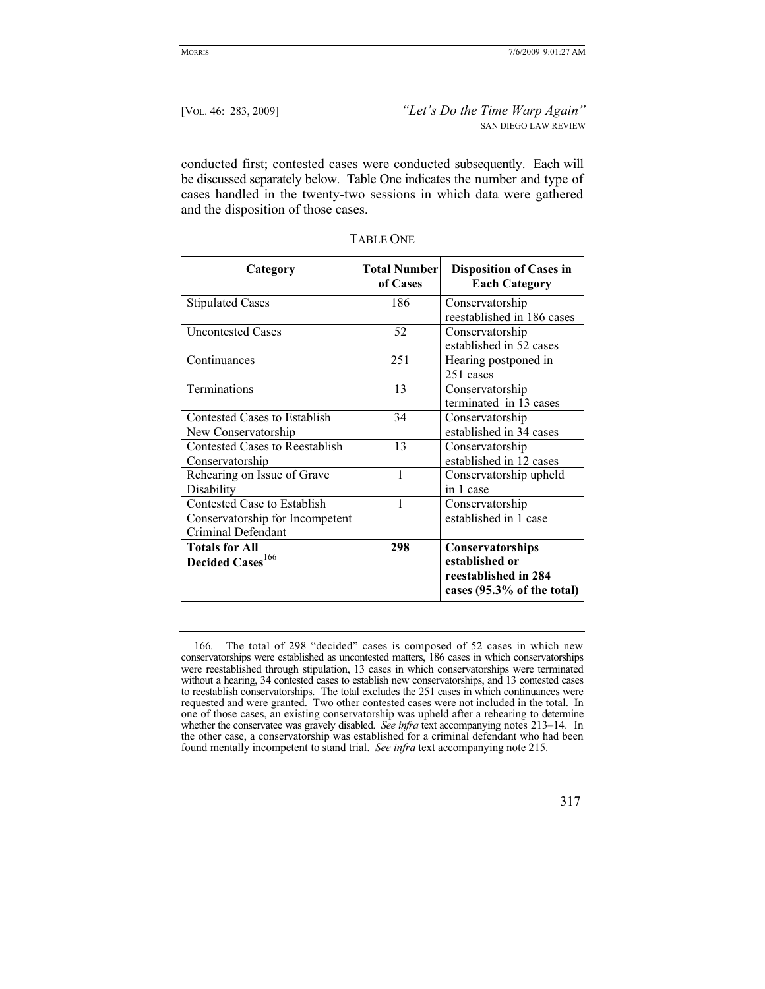conducted first; contested cases were conducted subsequently. Each will be discussed separately below. Table One indicates the number and type of cases handled in the twenty-two sessions in which data were gathered and the disposition of those cases.

| Category                              | <b>Total Number</b><br>of Cases | <b>Disposition of Cases in</b><br><b>Each Category</b>        |
|---------------------------------------|---------------------------------|---------------------------------------------------------------|
| <b>Stipulated Cases</b>               | 186                             | Conservatorship                                               |
|                                       |                                 | reestablished in 186 cases                                    |
| <b>Uncontested Cases</b>              | 52                              | Conservatorship                                               |
|                                       |                                 | established in 52 cases                                       |
| Continuances                          | 251                             | Hearing postponed in                                          |
|                                       |                                 | 251 cases                                                     |
| <b>Terminations</b>                   | 13                              | Conservatorship                                               |
|                                       |                                 | terminated in 13 cases                                        |
| Contested Cases to Establish          | 34                              | Conservatorship                                               |
| New Conservatorship                   |                                 | established in 34 cases                                       |
| <b>Contested Cases to Reestablish</b> | 13                              | Conservatorship                                               |
| Conservatorship                       |                                 | established in 12 cases                                       |
| Rehearing on Issue of Grave           | 1                               | Conservatorship upheld                                        |
| Disability                            |                                 | in 1 case                                                     |
| Contested Case to Establish           |                                 | Conservatorship                                               |
| Conservatorship for Incompetent       |                                 | established in 1 case                                         |
| Criminal Defendant                    |                                 |                                                               |
| <b>Totals for All</b>                 | 298                             | Conservatorships                                              |
| Decided Cases <sup>166</sup>          |                                 | established or                                                |
|                                       |                                 | reestablished in 284<br>cases $(95.3\% \text{ of the total})$ |

| ABLE ONE |
|----------|
|----------|

<sup>166</sup>*.* The total of 298 "decided" cases is composed of 52 cases in which new conservatorships were established as uncontested matters, 186 cases in which conservatorships were reestablished through stipulation, 13 cases in which conservatorships were terminated without a hearing, 34 contested cases to establish new conservatorships, and 13 contested cases to reestablish conservatorships. The total excludes the 251 cases in which continuances were requested and were granted. Two other contested cases were not included in the total. In one of those cases, an existing conservatorship was upheld after a rehearing to determine whether the conservatee was gravely disabled. *See infra* text accompanying notes 213–14. In the other case, a conservatorship was established for a criminal defendant who had been found mentally incompetent to stand trial. *See infra* text accompanying note 215.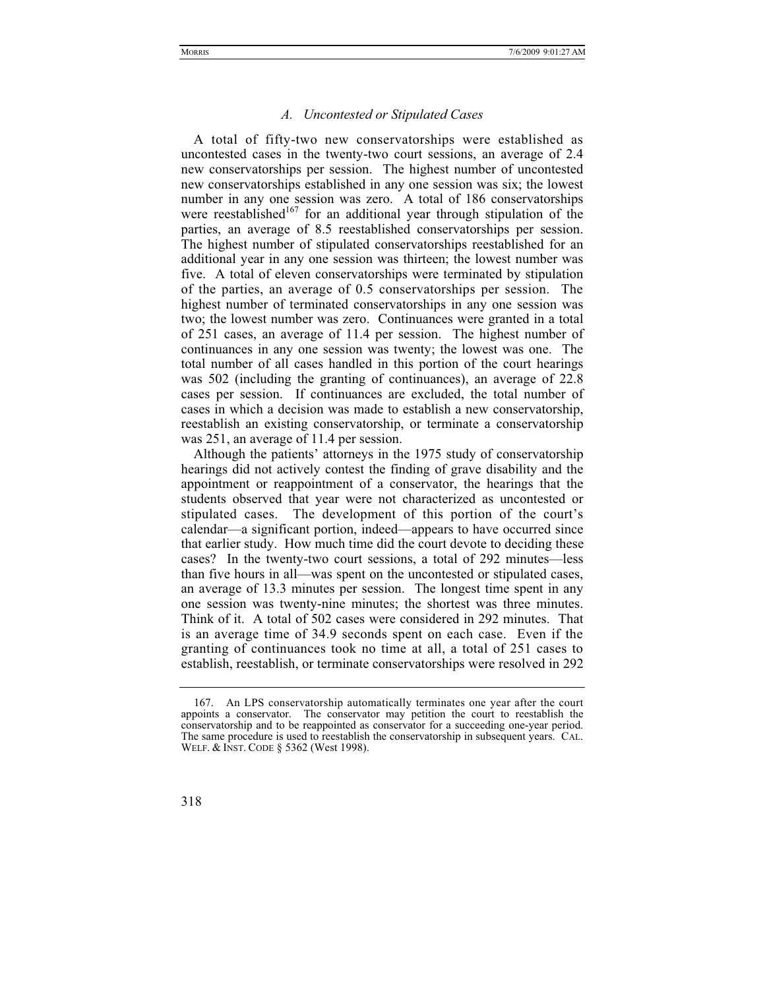## *A. Uncontested or Stipulated Cases*

A total of fifty-two new conservatorships were established as uncontested cases in the twenty-two court sessions, an average of 2.4 new conservatorships per session. The highest number of uncontested new conservatorships established in any one session was six; the lowest number in any one session was zero. A total of 186 conservatorships were reestablished<sup>167</sup> for an additional year through stipulation of the parties, an average of 8.5 reestablished conservatorships per session. The highest number of stipulated conservatorships reestablished for an additional year in any one session was thirteen; the lowest number was five. A total of eleven conservatorships were terminated by stipulation of the parties, an average of 0.5 conservatorships per session. The highest number of terminated conservatorships in any one session was two; the lowest number was zero. Continuances were granted in a total of 251 cases, an average of 11.4 per session. The highest number of continuances in any one session was twenty; the lowest was one. The total number of all cases handled in this portion of the court hearings was 502 (including the granting of continuances), an average of 22.8 cases per session. If continuances are excluded, the total number of cases in which a decision was made to establish a new conservatorship, reestablish an existing conservatorship, or terminate a conservatorship was 251, an average of 11.4 per session.

Although the patients' attorneys in the 1975 study of conservatorship hearings did not actively contest the finding of grave disability and the appointment or reappointment of a conservator, the hearings that the students observed that year were not characterized as uncontested or stipulated cases. The development of this portion of the court's calendar—a significant portion, indeed—appears to have occurred since that earlier study. How much time did the court devote to deciding these cases? In the twenty-two court sessions, a total of 292 minutes—less than five hours in all—was spent on the uncontested or stipulated cases, an average of 13.3 minutes per session. The longest time spent in any one session was twenty-nine minutes; the shortest was three minutes. Think of it. A total of 502 cases were considered in 292 minutes. That is an average time of 34.9 seconds spent on each case. Even if the granting of continuances took no time at all, a total of 251 cases to establish, reestablish, or terminate conservatorships were resolved in 292

 <sup>167.</sup> An LPS conservatorship automatically terminates one year after the court appoints a conservator. The conservator may petition the court to reestablish the conservatorship and to be reappointed as conservator for a succeeding one-year period. The same procedure is used to reestablish the conservatorship in subsequent years. CAL. WELF. & INST. CODE § 5362 (West 1998).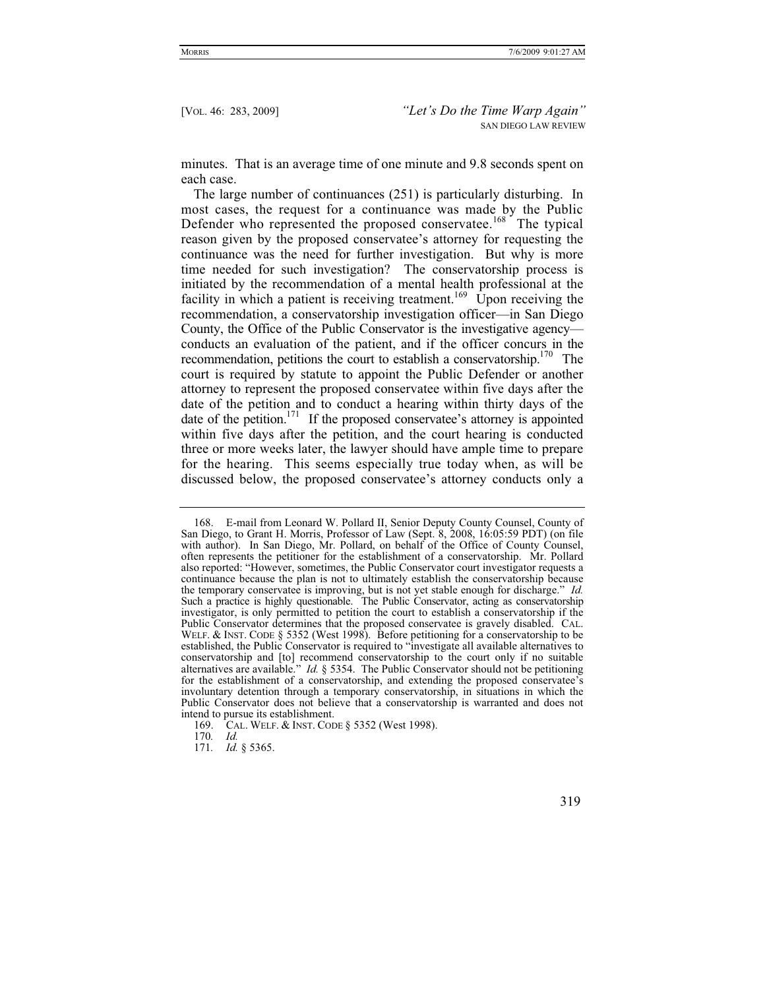minutes. That is an average time of one minute and 9.8 seconds spent on each case.

The large number of continuances (251) is particularly disturbing. In most cases, the request for a continuance was made by the Public Defender who represented the proposed conservatee.<sup>168</sup> The typical reason given by the proposed conservatee's attorney for requesting the continuance was the need for further investigation. But why is more time needed for such investigation? The conservatorship process is initiated by the recommendation of a mental health professional at the facility in which a patient is receiving treatment.<sup>169</sup> Upon receiving the recommendation, a conservatorship investigation officer—in San Diego County, the Office of the Public Conservator is the investigative agency conducts an evaluation of the patient, and if the officer concurs in the recommendation, petitions the court to establish a conservatorship.<sup>170</sup> The court is required by statute to appoint the Public Defender or another attorney to represent the proposed conservatee within five days after the date of the petition and to conduct a hearing within thirty days of the date of the petition.<sup>171</sup> If the proposed conservatee's attorney is appointed within five days after the petition, and the court hearing is conducted three or more weeks later, the lawyer should have ample time to prepare for the hearing. This seems especially true today when, as will be discussed below, the proposed conservatee's attorney conducts only a

170*. Id.*

 <sup>168.</sup> E-mail from Leonard W. Pollard II, Senior Deputy County Counsel, County of San Diego, to Grant H. Morris, Professor of Law (Sept. 8, 2008, 16:05:59 PDT) (on file with author). In San Diego, Mr. Pollard, on behalf of the Office of County Counsel, often represents the petitioner for the establishment of a conservatorship. Mr. Pollard also reported: "However, sometimes, the Public Conservator court investigator requests a continuance because the plan is not to ultimately establish the conservatorship because the temporary conservatee is improving, but is not yet stable enough for discharge." *Id.* Such a practice is highly questionable. The Public Conservator, acting as conservatorship investigator, is only permitted to petition the court to establish a conservatorship if the WELF. & INST. CODE § 5352 (West 1998). Before petitioning for a conservatorship to be established, the Public Conservator is required to "investigate all available alternatives to conservatorship and [to] recommend conservatorship to the court only if no suitable alternatives are available." *Id.* § 5354. The Public Conservator should not be petitioning for the establishment of a conservatorship, and extending the proposed conservatee's involuntary detention through a temporary conservatorship, in situations in which the Public Conservator does not believe that a conservatorship is warranted and does not intend to pursue its establishment.

 <sup>169.</sup> CAL. WELF.&INST. CODE § 5352 (West 1998).

<sup>171</sup>*. Id.* § 5365.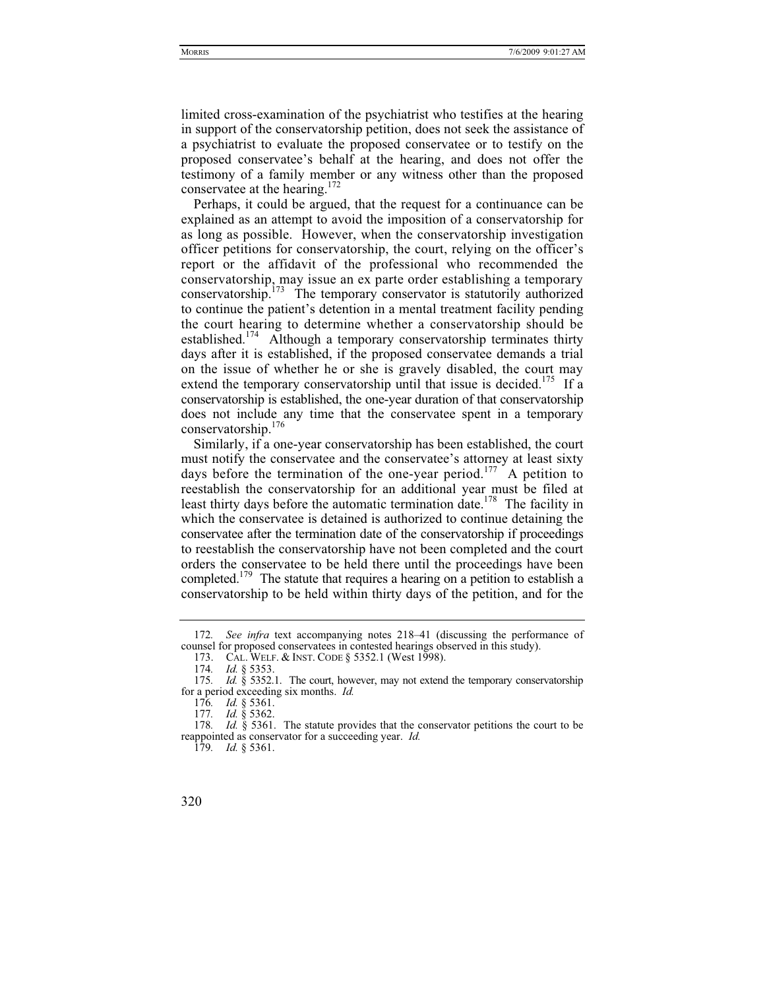limited cross-examination of the psychiatrist who testifies at the hearing in support of the conservatorship petition, does not seek the assistance of a psychiatrist to evaluate the proposed conservatee or to testify on the proposed conservatee's behalf at the hearing, and does not offer the testimony of a family member or any witness other than the proposed conservatee at the hearing.<sup>172</sup>

Perhaps, it could be argued, that the request for a continuance can be explained as an attempt to avoid the imposition of a conservatorship for as long as possible. However, when the conservatorship investigation officer petitions for conservatorship, the court, relying on the officer's report or the affidavit of the professional who recommended the conservatorship, may issue an ex parte order establishing a temporary conservatorship.<sup> $173$ </sup> The temporary conservator is statutorily authorized to continue the patient's detention in a mental treatment facility pending the court hearing to determine whether a conservatorship should be established.<sup>174</sup> Although a temporary conservatorship terminates thirty days after it is established, if the proposed conservatee demands a trial on the issue of whether he or she is gravely disabled, the court may extend the temporary conservatorship until that issue is decided.<sup>175</sup> If a conservatorship is established, the one-year duration of that conservatorship does not include any time that the conservatee spent in a temporary conservatorship.176

Similarly, if a one-year conservatorship has been established, the court must notify the conservatee and the conservatee's attorney at least sixty days before the termination of the one-year period.<sup>177</sup> A petition to reestablish the conservatorship for an additional year must be filed at least thirty days before the automatic termination date.<sup>178</sup> The facility in which the conservatee is detained is authorized to continue detaining the conservatee after the termination date of the conservatorship if proceedings to reestablish the conservatorship have not been completed and the court orders the conservatee to be held there until the proceedings have been completed.<sup>179</sup> The statute that requires a hearing on a petition to establish a conservatorship to be held within thirty days of the petition, and for the

<sup>172</sup>*. See infra* text accompanying notes 218–41 (discussing the performance of counsel for proposed conservatees in contested hearings observed in this study).

 <sup>173.</sup> CAL. WELF.&INST. CODE § 5352.1 (West 1998).

<sup>174</sup>*. Id.* § 5353.

<sup>175</sup>*. Id.* § 5352.1. The court, however, may not extend the temporary conservatorship for a period exceeding six months. *Id.*

<sup>176</sup>*. Id.* § 5361.

<sup>177</sup>*. Id.* § 5362.

<sup>178</sup>*. Id.* § 5361. The statute provides that the conservator petitions the court to be reappointed as conservator for a succeeding year. *Id.*

<sup>179</sup>*. Id.* § 5361.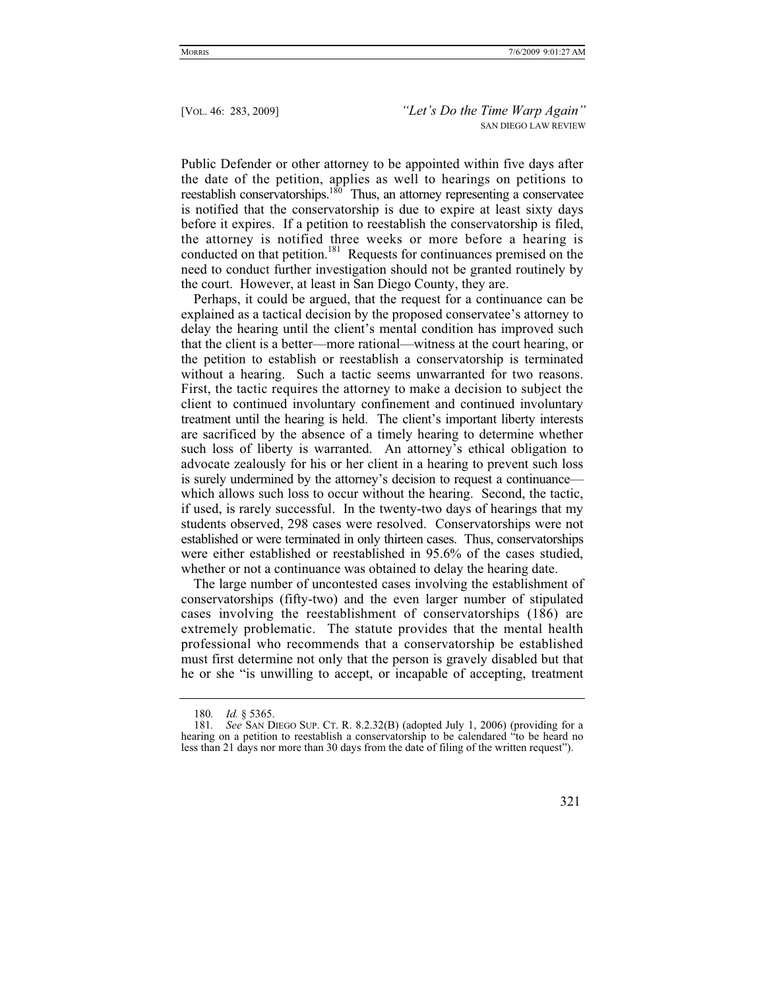Public Defender or other attorney to be appointed within five days after the date of the petition, applies as well to hearings on petitions to reestablish conservatorships.<sup>180</sup> Thus, an attorney representing a conservatee is notified that the conservatorship is due to expire at least sixty days before it expires. If a petition to reestablish the conservatorship is filed, the attorney is notified three weeks or more before a hearing is conducted on that petition.<sup>181</sup> Requests for continuances premised on the need to conduct further investigation should not be granted routinely by the court. However, at least in San Diego County, they are.

Perhaps, it could be argued, that the request for a continuance can be explained as a tactical decision by the proposed conservatee's attorney to delay the hearing until the client's mental condition has improved such that the client is a better—more rational—witness at the court hearing, or the petition to establish or reestablish a conservatorship is terminated without a hearing. Such a tactic seems unwarranted for two reasons. First, the tactic requires the attorney to make a decision to subject the client to continued involuntary confinement and continued involuntary treatment until the hearing is held. The client's important liberty interests are sacrificed by the absence of a timely hearing to determine whether such loss of liberty is warranted. An attorney's ethical obligation to advocate zealously for his or her client in a hearing to prevent such loss is surely undermined by the attorney's decision to request a continuance which allows such loss to occur without the hearing. Second, the tactic, if used, is rarely successful. In the twenty-two days of hearings that my students observed, 298 cases were resolved. Conservatorships were not established or were terminated in only thirteen cases. Thus, conservatorships were either established or reestablished in 95.6% of the cases studied, whether or not a continuance was obtained to delay the hearing date.

The large number of uncontested cases involving the establishment of conservatorships (fifty-two) and the even larger number of stipulated cases involving the reestablishment of conservatorships (186) are extremely problematic. The statute provides that the mental health professional who recommends that a conservatorship be established must first determine not only that the person is gravely disabled but that he or she "is unwilling to accept, or incapable of accepting, treatment

<sup>180</sup>*. Id.* § 5365.

<sup>181</sup>*. See* SAN DIEGO SUP. CT. R. 8.2.32(B) (adopted July 1, 2006) (providing for a hearing on a petition to reestablish a conservatorship to be calendared "to be heard no less than 21 days nor more than 30 days from the date of filing of the written request").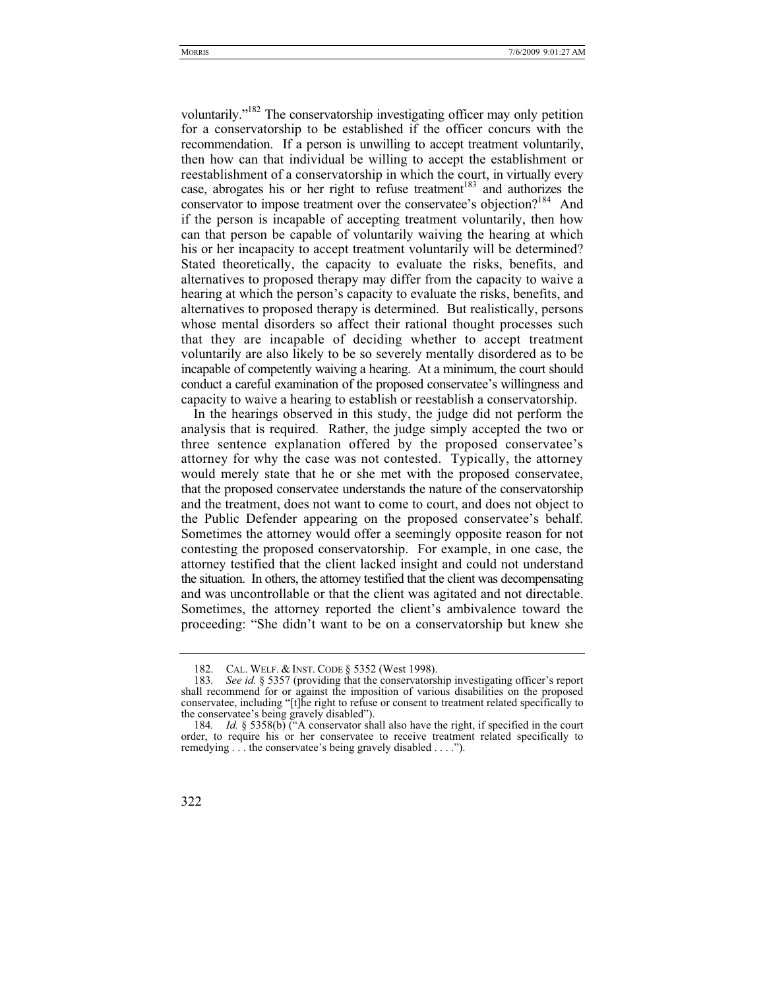voluntarily."182 The conservatorship investigating officer may only petition for a conservatorship to be established if the officer concurs with the recommendation. If a person is unwilling to accept treatment voluntarily, then how can that individual be willing to accept the establishment or reestablishment of a conservatorship in which the court, in virtually every case, abrogates his or her right to refuse treatment<sup>183</sup> and authorizes the conservator to impose treatment over the conservatee's objection?<sup>184</sup> And if the person is incapable of accepting treatment voluntarily, then how can that person be capable of voluntarily waiving the hearing at which his or her incapacity to accept treatment voluntarily will be determined? Stated theoretically, the capacity to evaluate the risks, benefits, and alternatives to proposed therapy may differ from the capacity to waive a hearing at which the person's capacity to evaluate the risks, benefits, and alternatives to proposed therapy is determined. But realistically, persons whose mental disorders so affect their rational thought processes such that they are incapable of deciding whether to accept treatment voluntarily are also likely to be so severely mentally disordered as to be incapable of competently waiving a hearing. At a minimum, the court should conduct a careful examination of the proposed conservatee's willingness and capacity to waive a hearing to establish or reestablish a conservatorship.

In the hearings observed in this study, the judge did not perform the analysis that is required. Rather, the judge simply accepted the two or three sentence explanation offered by the proposed conservatee's attorney for why the case was not contested. Typically, the attorney would merely state that he or she met with the proposed conservatee, that the proposed conservatee understands the nature of the conservatorship and the treatment, does not want to come to court, and does not object to the Public Defender appearing on the proposed conservatee's behalf. Sometimes the attorney would offer a seemingly opposite reason for not contesting the proposed conservatorship. For example, in one case, the attorney testified that the client lacked insight and could not understand the situation. In others, the attorney testified that the client was decompensating and was uncontrollable or that the client was agitated and not directable. Sometimes, the attorney reported the client's ambivalence toward the proceeding: "She didn't want to be on a conservatorship but knew she

<sup>182.</sup> CAL. WELF. & INST. CODE § 5352 (West 1998).<br>183 See id. § 5357 (providing that the conservators)

See id. § 5357 (providing that the conservatorship investigating officer's report shall recommend for or against the imposition of various disabilities on the proposed conservatee, including "[t]he right to refuse or consent to treatment related specifically to the conservatee's being gravely disabled").

<sup>184</sup>*. Id.* § 5358(b) ("A conservator shall also have the right, if specified in the court order, to require his or her conservatee to receive treatment related specifically to remedying . . . the conservatee's being gravely disabled . . . .").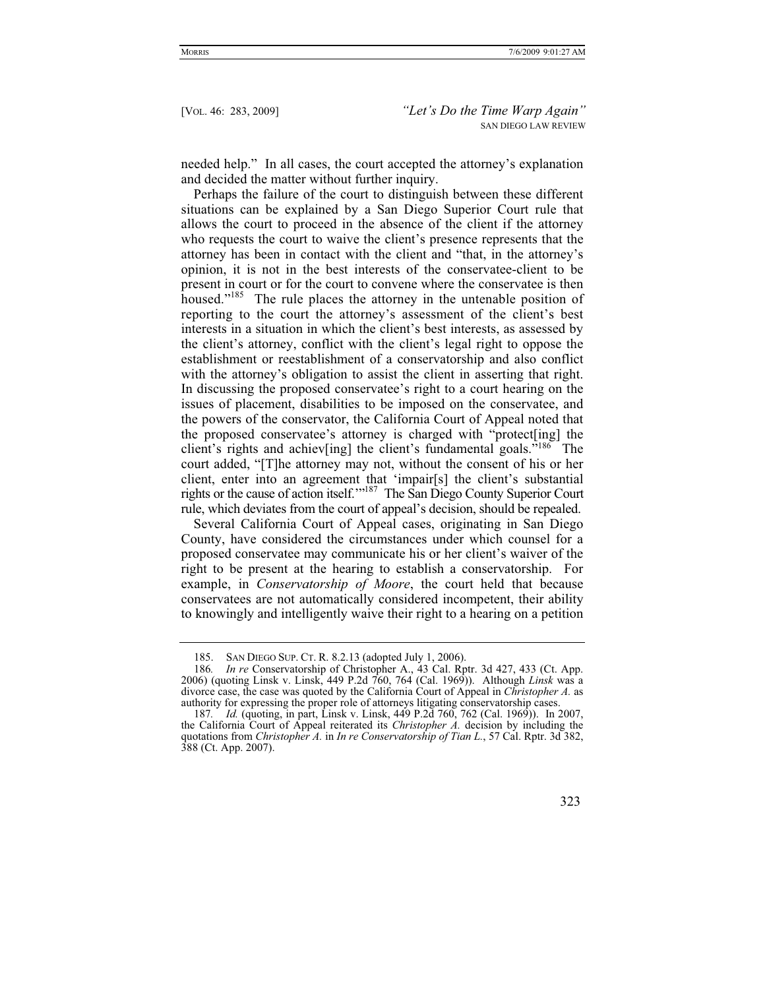needed help." In all cases, the court accepted the attorney's explanation and decided the matter without further inquiry.

Perhaps the failure of the court to distinguish between these different situations can be explained by a San Diego Superior Court rule that allows the court to proceed in the absence of the client if the attorney who requests the court to waive the client's presence represents that the attorney has been in contact with the client and "that, in the attorney's opinion, it is not in the best interests of the conservatee-client to be present in court or for the court to convene where the conservatee is then housed."<sup>185</sup> The rule places the attorney in the untenable position of reporting to the court the attorney's assessment of the client's best interests in a situation in which the client's best interests, as assessed by the client's attorney, conflict with the client's legal right to oppose the establishment or reestablishment of a conservatorship and also conflict with the attorney's obligation to assist the client in asserting that right. In discussing the proposed conservatee's right to a court hearing on the issues of placement, disabilities to be imposed on the conservatee, and the powers of the conservator, the California Court of Appeal noted that the proposed conservatee's attorney is charged with "protect[ing] the client's rights and achiev[ing] the client's fundamental goals."186 The court added, "[T]he attorney may not, without the consent of his or her client, enter into an agreement that 'impair[s] the client's substantial rights or the cause of action itself.'"187 The San Diego County Superior Court rule, which deviates from the court of appeal's decision, should be repealed.

Several California Court of Appeal cases, originating in San Diego County, have considered the circumstances under which counsel for a proposed conservatee may communicate his or her client's waiver of the right to be present at the hearing to establish a conservatorship. For example, in *Conservatorship of Moore*, the court held that because conservatees are not automatically considered incompetent, their ability to knowingly and intelligently waive their right to a hearing on a petition

 <sup>185.</sup> SAN DIEGO SUP. CT. R. 8.2.13 (adopted July 1, 2006).

<sup>186</sup>*. In re* Conservatorship of Christopher A., 43 Cal. Rptr. 3d 427, 433 (Ct. App. divorce case, the case was quoted by the California Court of Appeal in *Christopher A*. as authority for expressing the proper role of attorneys litigating conservatorship cases.

<sup>187</sup>*. Id.* (quoting, in part, Linsk v. Linsk, 449 P.2d 760, 762 (Cal. 1969)). In 2007, the California Court of Appeal reiterated its *Christopher A.* decision by including the quotations from *Christopher A.* in *In re Conservatorship of Tian L.*, 57 Cal. Rptr. 3d 382, 388 (Ct. App. 2007).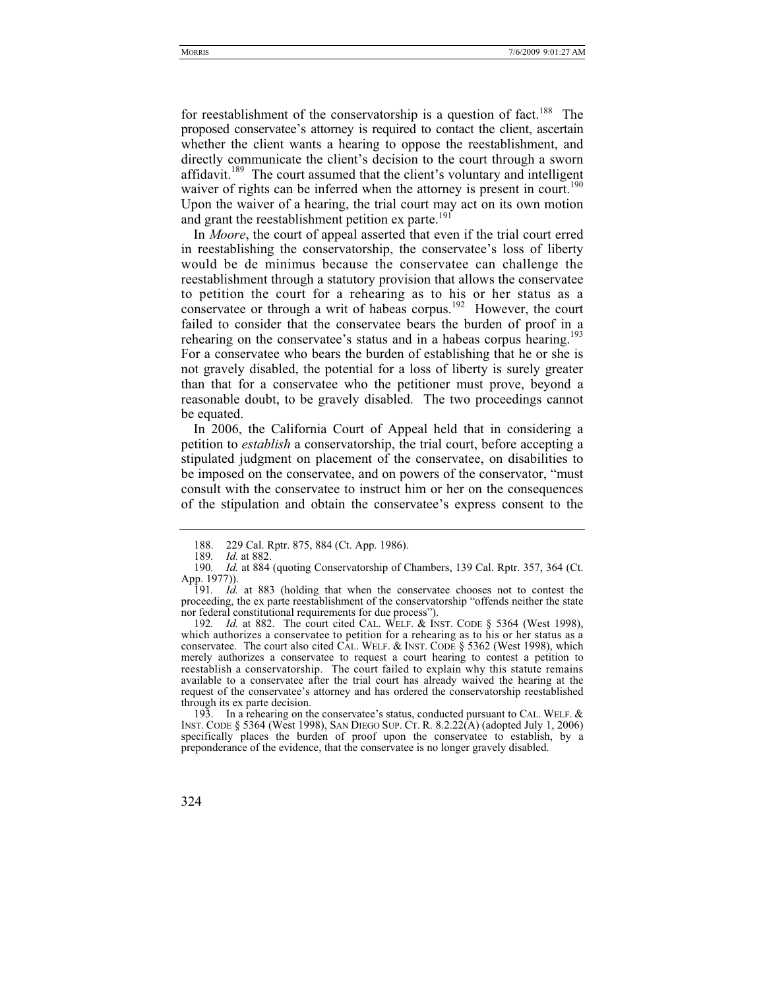for reestablishment of the conservatorship is a question of fact.<sup>188</sup> The proposed conservatee's attorney is required to contact the client, ascertain whether the client wants a hearing to oppose the reestablishment, and directly communicate the client's decision to the court through a sworn affidavit.<sup>189</sup> The court assumed that the client's voluntary and intelligent waiver of rights can be inferred when the attorney is present in court.<sup>190</sup> Upon the waiver of a hearing, the trial court may act on its own motion and grant the reestablishment petition ex parte.<sup>191</sup>

In *Moore*, the court of appeal asserted that even if the trial court erred in reestablishing the conservatorship, the conservatee's loss of liberty would be de minimus because the conservatee can challenge the reestablishment through a statutory provision that allows the conservatee to petition the court for a rehearing as to his or her status as a conservatee or through a writ of habeas corpus.<sup>192</sup> However, the court failed to consider that the conservatee bears the burden of proof in a rehearing on the conservatee's status and in a habeas corpus hearing.<sup>193</sup> For a conservatee who bears the burden of establishing that he or she is not gravely disabled, the potential for a loss of liberty is surely greater than that for a conservatee who the petitioner must prove, beyond a reasonable doubt, to be gravely disabled. The two proceedings cannot be equated.

In 2006, the California Court of Appeal held that in considering a petition to *establish* a conservatorship, the trial court, before accepting a stipulated judgment on placement of the conservatee, on disabilities to be imposed on the conservatee, and on powers of the conservator, "must consult with the conservatee to instruct him or her on the consequences of the stipulation and obtain the conservatee's express consent to the

192*. Id.* at 882. The court cited CAL. WELF.&INST. CODE § 5364 (West 1998), which authorizes a conservatee to petition for a rehearing as to his or her status as a conservatee. The court also cited CAL. WELF. & INST. CODE  $\S$  5362 (West 1998), which merely authorizes a conservatee to request a court hearing to contest a petition to reestablish a conservatorship. The court failed to explain why this statute remains available to a conservatee after the trial court has already waived the hearing at the request of the conservatee's attorney and has ordered the conservatorship reestablished through its ex parte decision.

 193. In a rehearing on the conservatee's status, conducted pursuant to CAL. WELF. & INST. CODE § 5364 (West 1998), SAN DIEGO SUP. CT. R. 8.2.22(A) (adopted July 1, 2006) specifically places the burden of proof upon the conservatee to establish, by a preponderance of the evidence, that the conservatee is no longer gravely disabled.

<sup>188. 229</sup> Cal. Rptr. 875, 884 (Ct. App. 1986).<br>189. Id. at 882.

*Id.* at 882.

<sup>190</sup>*. Id.* at 884 (quoting Conservatorship of Chambers, 139 Cal. Rptr. 357, 364 (Ct. App. 1977)).

<sup>191</sup>*. Id.* at 883 (holding that when the conservatee chooses not to contest the proceeding, the ex parte reestablishment of the conservatorship "offends neither the state nor federal constitutional requirements for due process").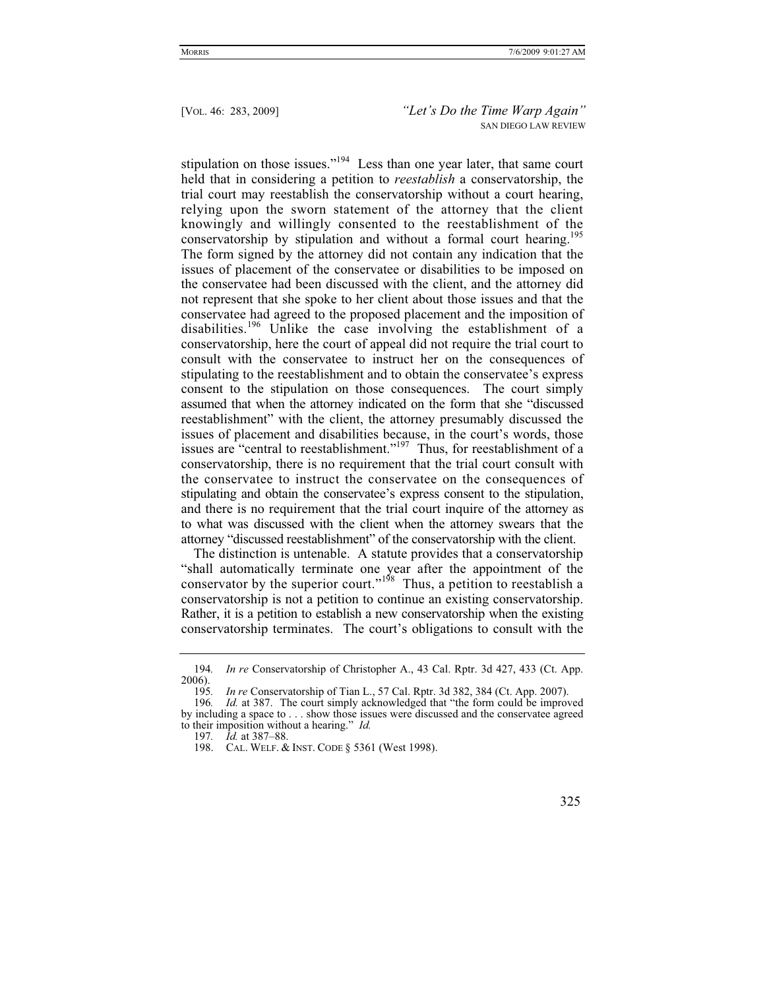stipulation on those issues."<sup>194</sup> Less than one year later, that same court held that in considering a petition to *reestablish* a conservatorship, the trial court may reestablish the conservatorship without a court hearing, relying upon the sworn statement of the attorney that the client knowingly and willingly consented to the reestablishment of the conservatorship by stipulation and without a formal court hearing.<sup>195</sup> The form signed by the attorney did not contain any indication that the issues of placement of the conservatee or disabilities to be imposed on the conservatee had been discussed with the client, and the attorney did not represent that she spoke to her client about those issues and that the conservatee had agreed to the proposed placement and the imposition of disabilities.<sup>196</sup> Unlike the case involving the establishment of a conservatorship, here the court of appeal did not require the trial court to consult with the conservatee to instruct her on the consequences of stipulating to the reestablishment and to obtain the conservatee's express consent to the stipulation on those consequences. The court simply assumed that when the attorney indicated on the form that she "discussed reestablishment" with the client, the attorney presumably discussed the issues of placement and disabilities because, in the court's words, those issues are "central to reestablishment."<sup>197</sup> Thus, for reestablishment of a conservatorship, there is no requirement that the trial court consult with the conservatee to instruct the conservatee on the consequences of stipulating and obtain the conservatee's express consent to the stipulation, and there is no requirement that the trial court inquire of the attorney as to what was discussed with the client when the attorney swears that the attorney "discussed reestablishment" of the conservatorship with the client.

The distinction is untenable. A statute provides that a conservatorship "shall automatically terminate one year after the appointment of the conservator by the superior court."<sup>198</sup> Thus, a petition to reestablish a conservatorship is not a petition to continue an existing conservatorship. Rather, it is a petition to establish a new conservatorship when the existing conservatorship terminates. The court's obligations to consult with the

197*. Id.* at 387–88.

<sup>194</sup>*. In re* Conservatorship of Christopher A., 43 Cal. Rptr. 3d 427, 433 (Ct. App.  $2006$ ).

<sup>195</sup>*. In re* Conservatorship of Tian L., 57 Cal. Rptr. 3d 382, 384 (Ct. App. 2007).

<sup>196</sup>*. Id.* at 387. The court simply acknowledged that "the form could be improved by including a space to . . . show those issues were discussed and the conservatee agreed to their imposition without a hearing." *Id.*

 <sup>198.</sup> CAL. WELF.&INST. CODE § 5361 (West 1998).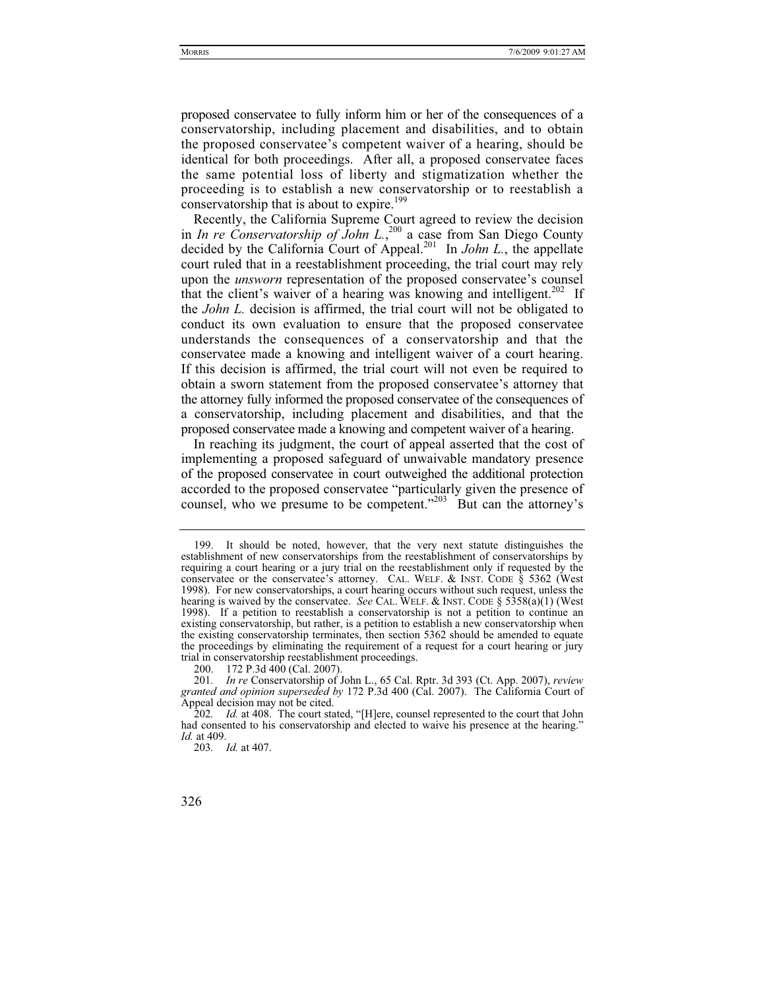proposed conservatee to fully inform him or her of the consequences of a conservatorship, including placement and disabilities, and to obtain the proposed conservatee's competent waiver of a hearing, should be identical for both proceedings. After all, a proposed conservatee faces the same potential loss of liberty and stigmatization whether the proceeding is to establish a new conservatorship or to reestablish a conservatorship that is about to expire.<sup>199</sup>

Recently, the California Supreme Court agreed to review the decision in *In re Conservatorship of John L.*, 200 a case from San Diego County decided by the California Court of Appeal.<sup>201</sup> In *John L.*, the appellate court ruled that in a reestablishment proceeding, the trial court may rely upon the *unsworn* representation of the proposed conservatee's counsel that the client's waiver of a hearing was knowing and intelligent.<sup>202</sup> If the *John L.* decision is affirmed, the trial court will not be obligated to conduct its own evaluation to ensure that the proposed conservatee understands the consequences of a conservatorship and that the conservatee made a knowing and intelligent waiver of a court hearing. If this decision is affirmed, the trial court will not even be required to obtain a sworn statement from the proposed conservatee's attorney that the attorney fully informed the proposed conservatee of the consequences of a conservatorship, including placement and disabilities, and that the proposed conservatee made a knowing and competent waiver of a hearing.

In reaching its judgment, the court of appeal asserted that the cost of implementing a proposed safeguard of unwaivable mandatory presence of the proposed conservatee in court outweighed the additional protection accorded to the proposed conservatee "particularly given the presence of counsel, who we presume to be competent."<sup>203</sup> But can the attorney's

 <sup>199.</sup> It should be noted, however, that the very next statute distinguishes the establishment of new conservatorships from the reestablishment of conservatorships by requiring a court hearing or a jury trial on the reestablishment only if requested by the conservatee or the conservatee's attorney. CAL. WELF. & INST. CODE  $\hat{\S}$  5362 (West 1998). For new conservatorships, a court hearing occurs without such request, unless the hearing is waived by the conservatee. *See* CAL. WELF.&INST. CODE § 5358(a)(1) (West 1998). If a petition to reestablish a conservatorship is not a petition to continue an existing conservatorship, but rather, is a petition to establish a new conservatorship when the existing conservatorship terminates, then section 5362 should be amended to equate the proceedings by eliminating the requirement of a request for a court hearing or jury trial in conservatorship reestablishment proceedings.

 <sup>200. 172</sup> P.3d 400 (Cal. 2007).

<sup>201</sup>*. In re* Conservatorship of John L., 65 Cal. Rptr. 3d 393 (Ct. App. 2007), *review granted and opinion superseded by* 172 P.3d 400 (Cal. 2007). The California Court of Appeal decision may not be cited.

<sup>202</sup>*. Id.* at 408. The court stated, "[H]ere, counsel represented to the court that John had consented to his conservatorship and elected to waive his presence at the hearing." *Id.* at 409.

<sup>203</sup>*. Id.* at 407.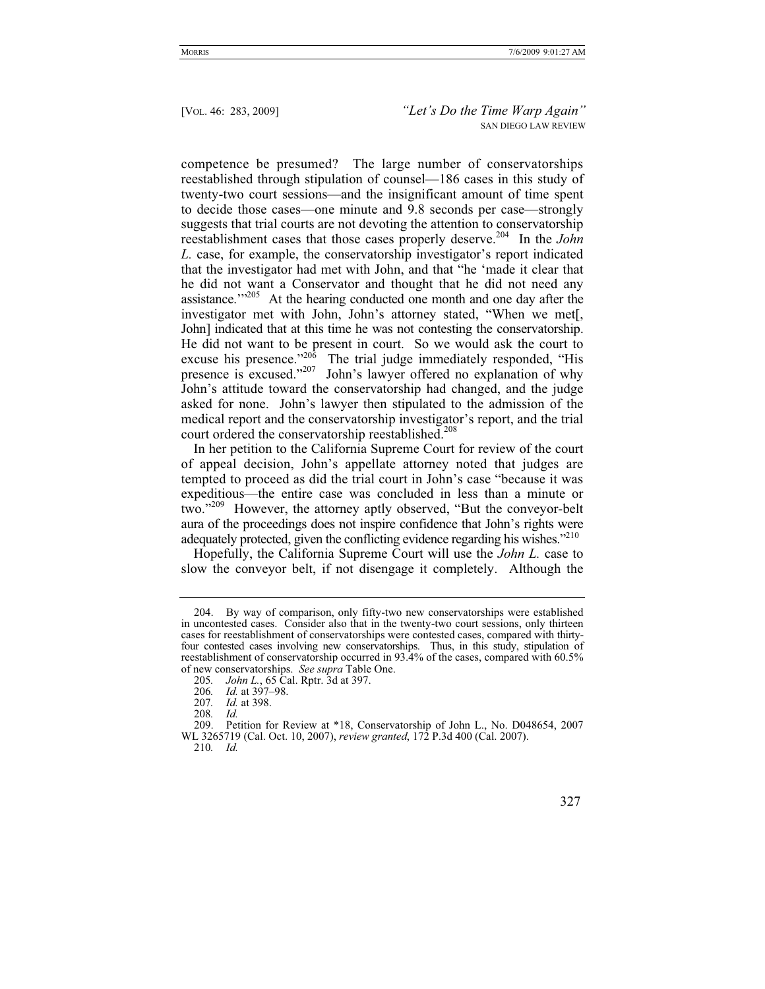competence be presumed? The large number of conservatorships reestablished through stipulation of counsel—186 cases in this study of twenty-two court sessions—and the insignificant amount of time spent to decide those cases—one minute and 9.8 seconds per case—strongly suggests that trial courts are not devoting the attention to conservatorship reestablishment cases that those cases properly deserve.204 In the *John L.* case, for example, the conservatorship investigator's report indicated that the investigator had met with John, and that "he 'made it clear that he did not want a Conservator and thought that he did not need any assistance.'"<sup>205</sup> At the hearing conducted one month and one day after the investigator met with John, John's attorney stated, "When we met[, John] indicated that at this time he was not contesting the conservatorship. He did not want to be present in court. So we would ask the court to excuse his presence."<sup>206</sup> The trial judge immediately responded, "His presence is excused."<sup>207</sup> John's lawyer offered no explanation of why John's attitude toward the conservatorship had changed, and the judge asked for none. John's lawyer then stipulated to the admission of the medical report and the conservatorship investigator's report, and the trial court ordered the conservatorship reestablished.<sup>208</sup>

In her petition to the California Supreme Court for review of the court of appeal decision, John's appellate attorney noted that judges are tempted to proceed as did the trial court in John's case "because it was expeditious—the entire case was concluded in less than a minute or two."209 However, the attorney aptly observed, "But the conveyor-belt aura of the proceedings does not inspire confidence that John's rights were adequately protected, given the conflicting evidence regarding his wishes."210

Hopefully, the California Supreme Court will use the *John L.* case to slow the conveyor belt, if not disengage it completely. Although the

 <sup>204.</sup> By way of comparison, only fifty-two new conservatorships were established in uncontested cases. Consider also that in the twenty-two court sessions, only thirteen cases for reestablishment of conservatorships were contested cases, compared with thirtyfour contested cases involving new conservatorships. Thus, in this study, stipulation of reestablishment of conservatorship occurred in 93.4% of the cases, compared with 60.5% of new conservatorships. *See supra* Table One.

<sup>205</sup>*. John L.*, 65 Cal. Rptr. 3d at 397.

<sup>206</sup>*. Id.* at 397–98.

<sup>207</sup>*. Id.* at 398.

<sup>208</sup>*. Id.*

 <sup>209.</sup> Petition for Review at \*18, Conservatorship of John L., No. D048654, 2007 WL 3265719 (Cal. Oct. 10, 2007), *review granted*, 172 P.3d 400 (Cal. 2007).

<sup>210</sup>*. Id.*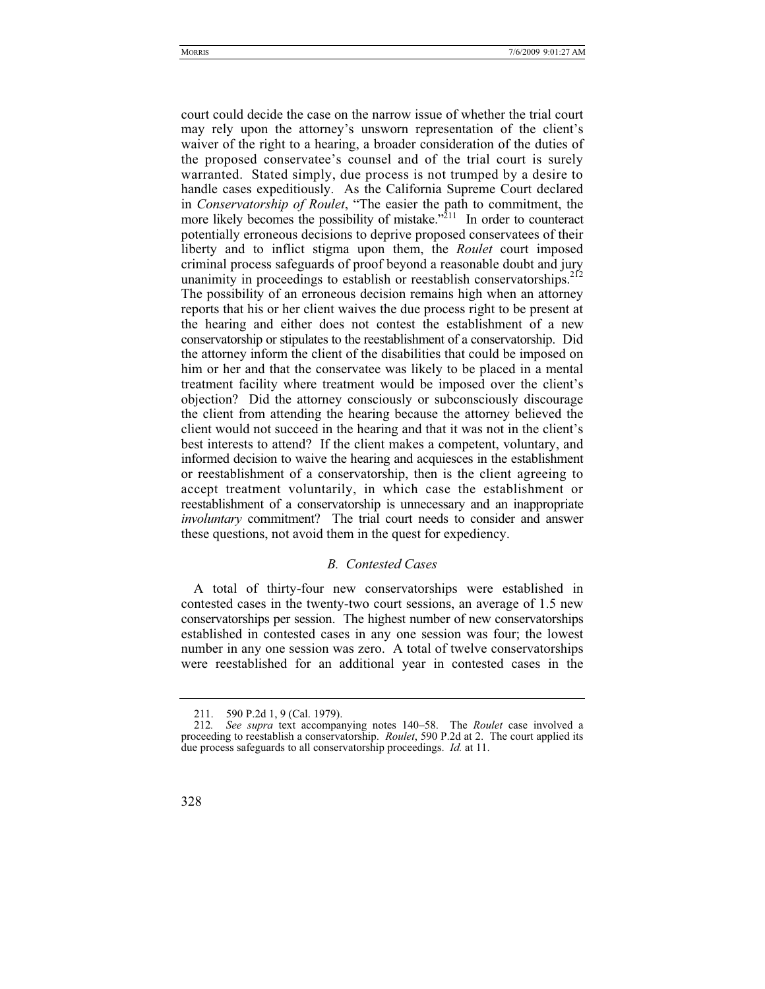court could decide the case on the narrow issue of whether the trial court may rely upon the attorney's unsworn representation of the client's waiver of the right to a hearing, a broader consideration of the duties of the proposed conservatee's counsel and of the trial court is surely warranted. Stated simply, due process is not trumped by a desire to handle cases expeditiously. As the California Supreme Court declared in *Conservatorship of Roulet*, "The easier the path to commitment, the more likely becomes the possibility of mistake. $\frac{1}{2}$  In order to counteract potentially erroneous decisions to deprive proposed conservatees of their liberty and to inflict stigma upon them, the *Roulet* court imposed criminal process safeguards of proof beyond a reasonable doubt and jury unanimity in proceedings to establish or reestablish conservatorships.<sup>212</sup> The possibility of an erroneous decision remains high when an attorney reports that his or her client waives the due process right to be present at the hearing and either does not contest the establishment of a new conservatorship or stipulates to the reestablishment of a conservatorship. Did the attorney inform the client of the disabilities that could be imposed on him or her and that the conservatee was likely to be placed in a mental treatment facility where treatment would be imposed over the client's objection? Did the attorney consciously or subconsciously discourage the client from attending the hearing because the attorney believed the client would not succeed in the hearing and that it was not in the client's best interests to attend? If the client makes a competent, voluntary, and informed decision to waive the hearing and acquiesces in the establishment or reestablishment of a conservatorship, then is the client agreeing to accept treatment voluntarily, in which case the establishment or reestablishment of a conservatorship is unnecessary and an inappropriate *involuntary* commitment? The trial court needs to consider and answer these questions, not avoid them in the quest for expediency.

#### *B. Contested Cases*

A total of thirty-four new conservatorships were established in contested cases in the twenty-two court sessions, an average of 1.5 new conservatorships per session. The highest number of new conservatorships established in contested cases in any one session was four; the lowest number in any one session was zero. A total of twelve conservatorships were reestablished for an additional year in contested cases in the

 <sup>211. 590</sup> P.2d 1, 9 (Cal. 1979).

<sup>212</sup>*. See supra* text accompanying notes 140–58. The *Roulet* case involved a proceeding to reestablish a conservatorship. *Roulet*, 590 P.2d at 2. The court applied its due process safeguards to all conservatorship proceedings. *Id.* at 11.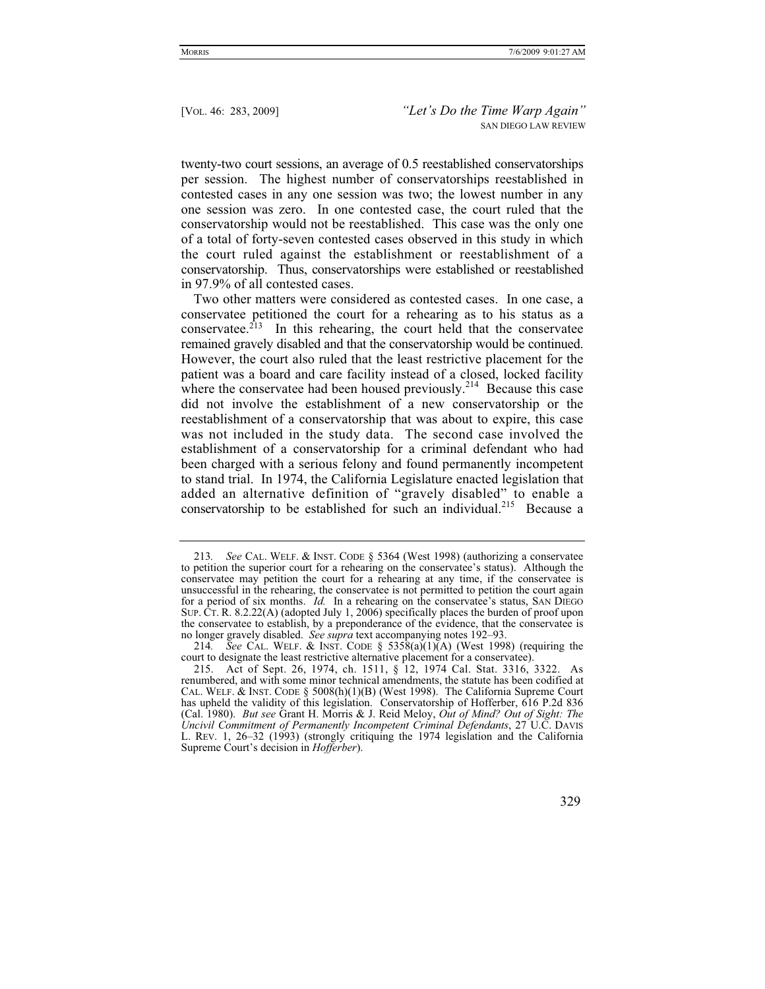twenty-two court sessions, an average of 0.5 reestablished conservatorships per session. The highest number of conservatorships reestablished in contested cases in any one session was two; the lowest number in any one session was zero. In one contested case, the court ruled that the conservatorship would not be reestablished. This case was the only one of a total of forty-seven contested cases observed in this study in which the court ruled against the establishment or reestablishment of a conservatorship. Thus, conservatorships were established or reestablished in 97.9% of all contested cases.

Two other matters were considered as contested cases. In one case, a conservatee petitioned the court for a rehearing as to his status as a conservate  $e^{213}$  In this rehearing, the court held that the conservatee remained gravely disabled and that the conservatorship would be continued. However, the court also ruled that the least restrictive placement for the patient was a board and care facility instead of a closed, locked facility where the conservatee had been housed previously.<sup>214</sup> Because this case did not involve the establishment of a new conservatorship or the reestablishment of a conservatorship that was about to expire, this case was not included in the study data. The second case involved the establishment of a conservatorship for a criminal defendant who had been charged with a serious felony and found permanently incompetent to stand trial. In 1974, the California Legislature enacted legislation that added an alternative definition of "gravely disabled" to enable a conservatorship to be established for such an individual.<sup>215</sup> Because a

<sup>213</sup>*. See* CAL. WELF.&INST. CODE § 5364 (West 1998) (authorizing a conservatee to petition the superior court for a rehearing on the conservatee's status). Although the conservatee may petition the court for a rehearing at any time, if the conservatee is unsuccessful in the rehearing, the conservatee is not permitted to petition the court again for a period of six months. *Id.* In a rehearing on the conservatee's status, SAN DIEGO SUP. CT. R. 8.2.22(A) (adopted July 1, 2006) specifically places the burden of proof upon the conservatee to establish, by a preponderance of the evidence, that the conservatee is no longer gravely disabled. *See supra* text accompanying notes 192–93.

<sup>214.</sup> See CAL. WELF. & INST. CODE §  $5358(a)(1)(A)$  (West 1998) (requiring the court to designate the least restrictive alternative placement for a conservatee).

 <sup>215.</sup> Act of Sept. 26, 1974, ch. 1511, § 12, 1974 Cal. Stat. 3316, 3322. As renumbered, and with some minor technical amendments, the statute has been codified at CAL. WELF. & INST. CODE §  $5008(h)(1)(B)$  (West 1998). The California Supreme Court has upheld the validity of this legislation. Conservatorship of Hofferber, 616 P.2d 836 (Cal. 1980). *But see* Grant H. Morris & J. Reid Meloy, *Out of Mind? Out of Sight: The Uncivil Commitment of Permanently Incompetent Criminal Defendants*, 27 U.C. DAVIS L. REV. 1, 26–32 (1993) (strongly critiquing the 1974 legislation and the California Supreme Court's decision in *Hofferber*).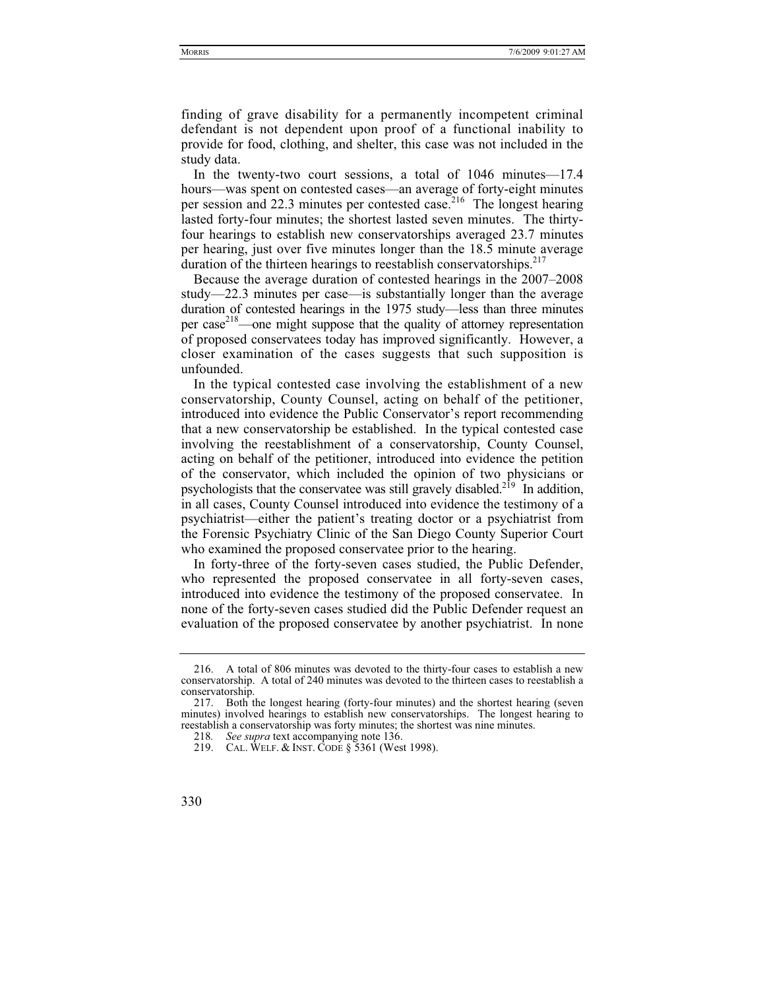finding of grave disability for a permanently incompetent criminal defendant is not dependent upon proof of a functional inability to provide for food, clothing, and shelter, this case was not included in the study data.

In the twenty-two court sessions, a total of 1046 minutes—17.4 hours—was spent on contested cases—an average of forty-eight minutes per session and  $22.3$  minutes per contested case.<sup>216</sup> The longest hearing lasted forty-four minutes; the shortest lasted seven minutes. The thirtyfour hearings to establish new conservatorships averaged 23.7 minutes per hearing, just over five minutes longer than the 18.5 minute average duration of the thirteen hearings to reestablish conservatorships. $217$ 

Because the average duration of contested hearings in the 2007–2008 study—22.3 minutes per case—is substantially longer than the average duration of contested hearings in the 1975 study—less than three minutes per case<sup>218</sup>—one might suppose that the quality of attorney representation of proposed conservatees today has improved significantly. However, a closer examination of the cases suggests that such supposition is unfounded.

In the typical contested case involving the establishment of a new conservatorship, County Counsel, acting on behalf of the petitioner, introduced into evidence the Public Conservator's report recommending that a new conservatorship be established. In the typical contested case involving the reestablishment of a conservatorship, County Counsel, acting on behalf of the petitioner, introduced into evidence the petition of the conservator, which included the opinion of two physicians or psychologists that the conservatee was still gravely disabled.<sup>219</sup> In addition, in all cases, County Counsel introduced into evidence the testimony of a psychiatrist—either the patient's treating doctor or a psychiatrist from the Forensic Psychiatry Clinic of the San Diego County Superior Court who examined the proposed conservatee prior to the hearing.

In forty-three of the forty-seven cases studied, the Public Defender, who represented the proposed conservatee in all forty-seven cases, introduced into evidence the testimony of the proposed conservatee. In none of the forty-seven cases studied did the Public Defender request an evaluation of the proposed conservatee by another psychiatrist. In none

 <sup>216.</sup> A total of 806 minutes was devoted to the thirty-four cases to establish a new conservatorship. A total of 240 minutes was devoted to the thirteen cases to reestablish a conservatorship.<br>217. Both t

Both the longest hearing (forty-four minutes) and the shortest hearing (seven minutes) involved hearings to establish new conservatorships. The longest hearing to reestablish a conservatorship was forty minutes; the shortest was nine minutes.

<sup>218</sup>*. See supra* text accompanying note 136.

 <sup>219.</sup> CAL. WELF.&INST. CODE § 5361 (West 1998).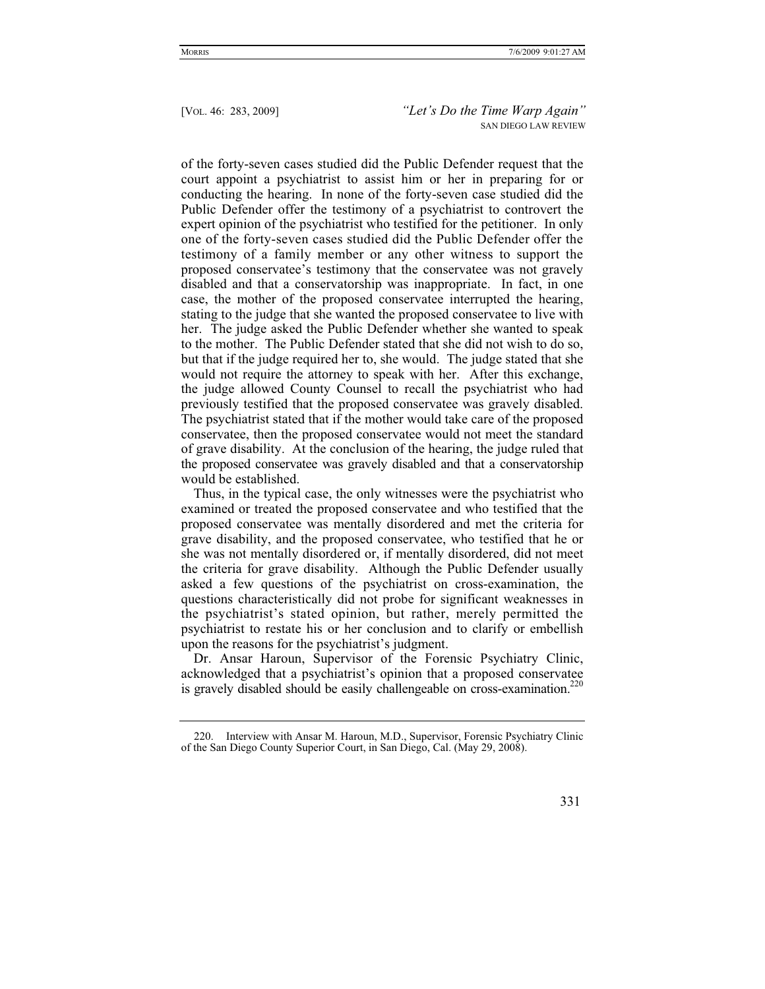of the forty-seven cases studied did the Public Defender request that the court appoint a psychiatrist to assist him or her in preparing for or conducting the hearing. In none of the forty-seven case studied did the Public Defender offer the testimony of a psychiatrist to controvert the expert opinion of the psychiatrist who testified for the petitioner. In only one of the forty-seven cases studied did the Public Defender offer the testimony of a family member or any other witness to support the proposed conservatee's testimony that the conservatee was not gravely disabled and that a conservatorship was inappropriate. In fact, in one case, the mother of the proposed conservatee interrupted the hearing, stating to the judge that she wanted the proposed conservatee to live with her. The judge asked the Public Defender whether she wanted to speak to the mother. The Public Defender stated that she did not wish to do so, but that if the judge required her to, she would. The judge stated that she would not require the attorney to speak with her. After this exchange, the judge allowed County Counsel to recall the psychiatrist who had previously testified that the proposed conservatee was gravely disabled. The psychiatrist stated that if the mother would take care of the proposed conservatee, then the proposed conservatee would not meet the standard of grave disability. At the conclusion of the hearing, the judge ruled that the proposed conservatee was gravely disabled and that a conservatorship would be established.

Thus, in the typical case, the only witnesses were the psychiatrist who examined or treated the proposed conservatee and who testified that the proposed conservatee was mentally disordered and met the criteria for grave disability, and the proposed conservatee, who testified that he or she was not mentally disordered or, if mentally disordered, did not meet the criteria for grave disability. Although the Public Defender usually asked a few questions of the psychiatrist on cross-examination, the questions characteristically did not probe for significant weaknesses in the psychiatrist's stated opinion, but rather, merely permitted the psychiatrist to restate his or her conclusion and to clarify or embellish upon the reasons for the psychiatrist's judgment.

Dr. Ansar Haroun, Supervisor of the Forensic Psychiatry Clinic, acknowledged that a psychiatrist's opinion that a proposed conservatee is gravely disabled should be easily challengeable on cross-examination.<sup>220</sup>

 <sup>220.</sup> Interview with Ansar M. Haroun, M.D., Supervisor, Forensic Psychiatry Clinic of the San Diego County Superior Court, in San Diego, Cal. (May 29, 2008).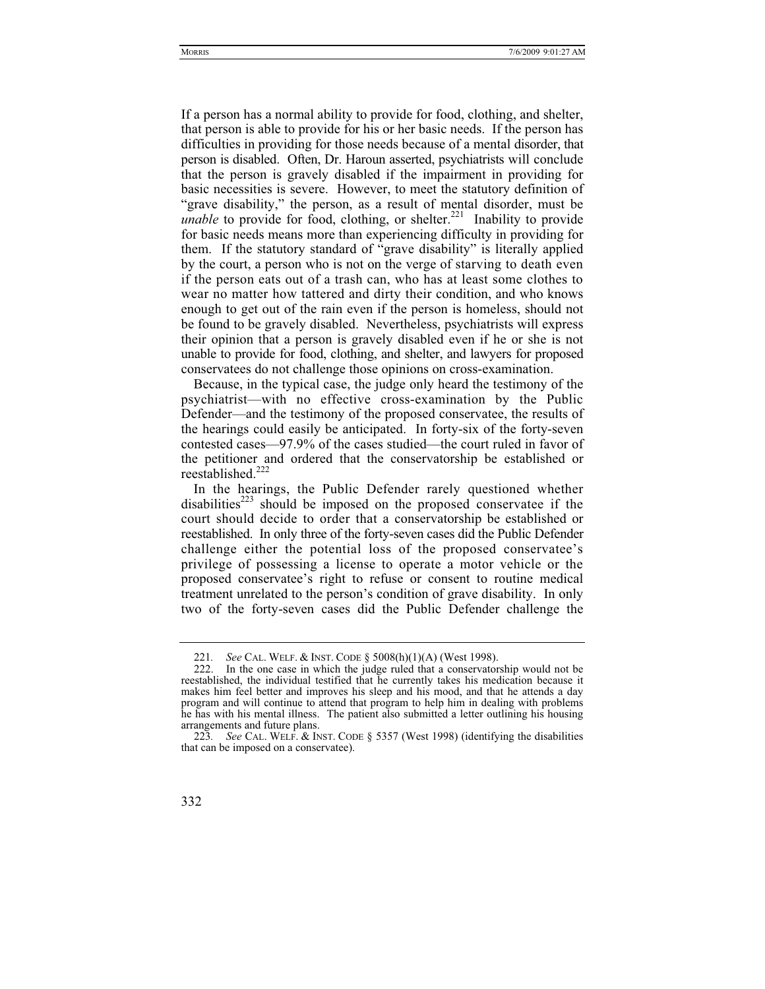If a person has a normal ability to provide for food, clothing, and shelter, that person is able to provide for his or her basic needs. If the person has difficulties in providing for those needs because of a mental disorder, that person is disabled. Often, Dr. Haroun asserted, psychiatrists will conclude that the person is gravely disabled if the impairment in providing for basic necessities is severe. However, to meet the statutory definition of "grave disability," the person, as a result of mental disorder, must be *unable* to provide for food, clothing, or shelter.<sup>221</sup> Inability to provide for basic needs means more than experiencing difficulty in providing for them. If the statutory standard of "grave disability" is literally applied by the court, a person who is not on the verge of starving to death even if the person eats out of a trash can, who has at least some clothes to wear no matter how tattered and dirty their condition, and who knows enough to get out of the rain even if the person is homeless, should not be found to be gravely disabled. Nevertheless, psychiatrists will express their opinion that a person is gravely disabled even if he or she is not unable to provide for food, clothing, and shelter, and lawyers for proposed conservatees do not challenge those opinions on cross-examination.

Because, in the typical case, the judge only heard the testimony of the psychiatrist—with no effective cross-examination by the Public Defender—and the testimony of the proposed conservatee, the results of the hearings could easily be anticipated. In forty-six of the forty-seven contested cases—97.9% of the cases studied—the court ruled in favor of the petitioner and ordered that the conservatorship be established or reestablished.<sup>222</sup>

In the hearings, the Public Defender rarely questioned whether disabilities<sup> $223$ </sup> should be imposed on the proposed conservatee if the court should decide to order that a conservatorship be established or reestablished. In only three of the forty-seven cases did the Public Defender challenge either the potential loss of the proposed conservatee's privilege of possessing a license to operate a motor vehicle or the proposed conservatee's right to refuse or consent to routine medical treatment unrelated to the person's condition of grave disability. In only two of the forty-seven cases did the Public Defender challenge the

<sup>221</sup>*. See* CAL. WELF.&INST. CODE § 5008(h)(1)(A) (West 1998).

 <sup>222.</sup> In the one case in which the judge ruled that a conservatorship would not be reestablished, the individual testified that he currently takes his medication because it makes him feel better and improves his sleep and his mood, and that he attends a day program and will continue to attend that program to help him in dealing with problems he has with his mental illness. The patient also submitted a letter outlining his housing arrangements and future plans.

<sup>223</sup>*. See* CAL. WELF.&INST. CODE § 5357 (West 1998) (identifying the disabilities that can be imposed on a conservatee).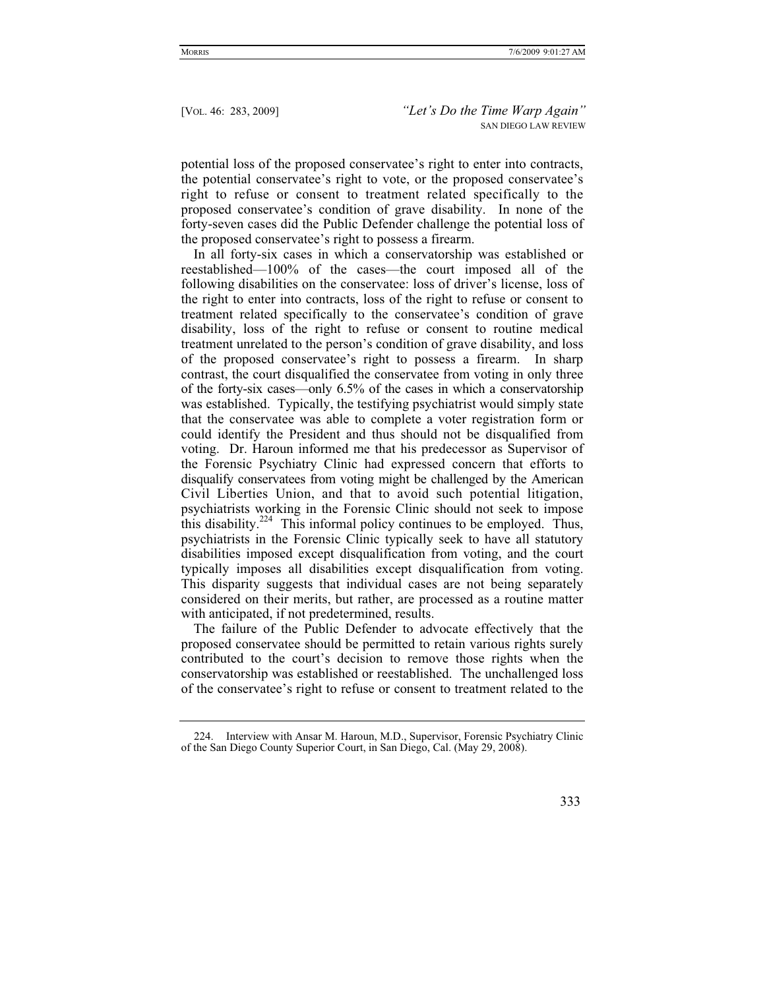potential loss of the proposed conservatee's right to enter into contracts, the potential conservatee's right to vote, or the proposed conservatee's right to refuse or consent to treatment related specifically to the proposed conservatee's condition of grave disability. In none of the forty-seven cases did the Public Defender challenge the potential loss of the proposed conservatee's right to possess a firearm.

In all forty-six cases in which a conservatorship was established or reestablished—100% of the cases—the court imposed all of the following disabilities on the conservatee: loss of driver's license, loss of the right to enter into contracts, loss of the right to refuse or consent to treatment related specifically to the conservatee's condition of grave disability, loss of the right to refuse or consent to routine medical treatment unrelated to the person's condition of grave disability, and loss of the proposed conservatee's right to possess a firearm. In sharp contrast, the court disqualified the conservatee from voting in only three of the forty-six cases—only 6.5% of the cases in which a conservatorship was established. Typically, the testifying psychiatrist would simply state that the conservatee was able to complete a voter registration form or could identify the President and thus should not be disqualified from voting. Dr. Haroun informed me that his predecessor as Supervisor of the Forensic Psychiatry Clinic had expressed concern that efforts to disqualify conservatees from voting might be challenged by the American Civil Liberties Union, and that to avoid such potential litigation, psychiatrists working in the Forensic Clinic should not seek to impose this disability. $224$  This informal policy continues to be employed. Thus, psychiatrists in the Forensic Clinic typically seek to have all statutory disabilities imposed except disqualification from voting, and the court typically imposes all disabilities except disqualification from voting. This disparity suggests that individual cases are not being separately considered on their merits, but rather, are processed as a routine matter with anticipated, if not predetermined, results.

The failure of the Public Defender to advocate effectively that the proposed conservatee should be permitted to retain various rights surely contributed to the court's decision to remove those rights when the conservatorship was established or reestablished. The unchallenged loss of the conservatee's right to refuse or consent to treatment related to the

 <sup>224.</sup> Interview with Ansar M. Haroun, M.D., Supervisor, Forensic Psychiatry Clinic of the San Diego County Superior Court, in San Diego, Cal. (May 29, 2008).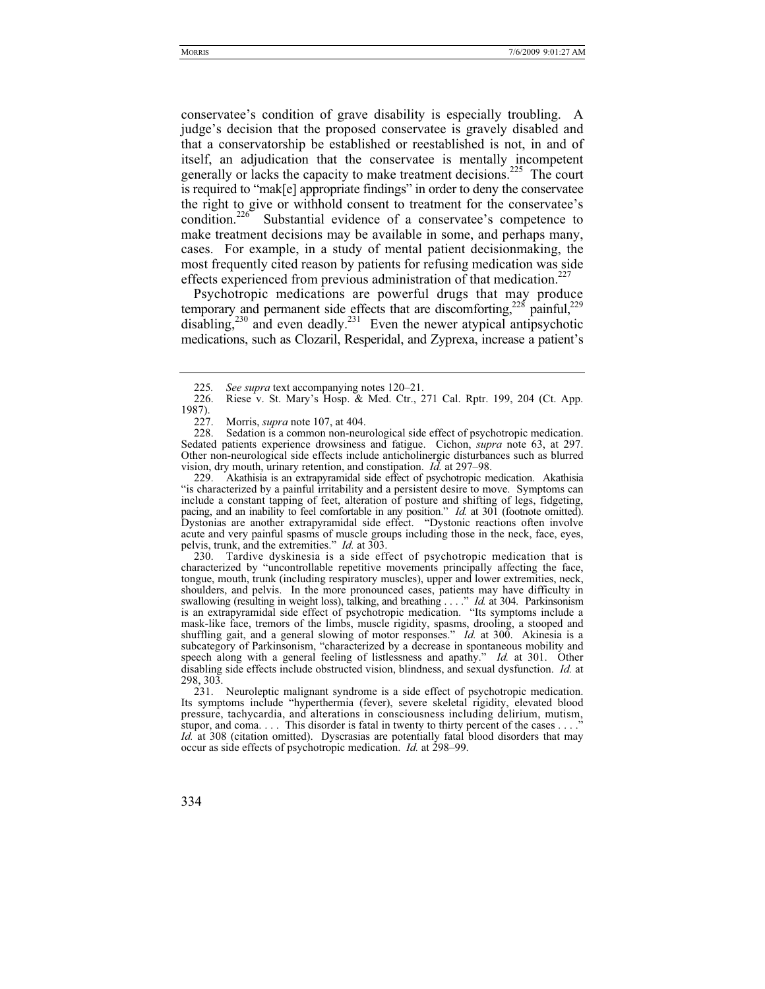conservatee's condition of grave disability is especially troubling. A judge's decision that the proposed conservatee is gravely disabled and that a conservatorship be established or reestablished is not, in and of itself, an adjudication that the conservatee is mentally incompetent generally or lacks the capacity to make treatment decisions.225 The court is required to "mak[e] appropriate findings" in order to deny the conservatee the right to give or withhold consent to treatment for the conservatee's condition.<sup>226</sup> Substantial evidence of a conservatee's competence to make treatment decisions may be available in some, and perhaps many, cases. For example, in a study of mental patient decisionmaking, the most frequently cited reason by patients for refusing medication was side effects experienced from previous administration of that medication.<sup>227</sup>

Psychotropic medications are powerful drugs that may produce temporary and permanent side effects that are discomforting,<sup>228</sup> painful,<sup>229</sup>  $\frac{1}{230}$  and even deadly.<sup>231</sup> Even the newer atypical antipsychotic medications, such as Clozaril, Resperidal, and Zyprexa, increase a patient's

 230. Tardive dyskinesia is a side effect of psychotropic medication that is characterized by "uncontrollable repetitive movements principally affecting the face, tongue, mouth, trunk (including respiratory muscles), upper and lower extremities, neck, shoulders, and pelvis. In the more pronounced cases, patients may have difficulty in swallowing (resulting in weight loss), talking, and breathing . . . ." *Id.* at 304. Parkinsonism is an extrapyramidal side effect of psychotropic medication. "Its symptoms include a mask-like face, tremors of the limbs, muscle rigidity, spasms, drooling, a stooped and shuffling gait, and a general slowing of motor responses." *Id.* at 300. Akinesia is a subcategory of Parkinsonism, "characterized by a decrease in spontaneous mobility and speech along with a general feeling of listlessness and apathy." *Id.* at 301. Other disabling side effects include obstructed vision, blindness, and sexual dysfunction. *Id.* at 298, 303.

 231. Neuroleptic malignant syndrome is a side effect of psychotropic medication. Its symptoms include "hyperthermia (fever), severe skeletal rigidity, elevated blood pressure, tachycardia, and alterations in consciousness including delirium, mutism, stupor, and coma. . . . This disorder is fatal in twenty to thirty percent of the cases . . . ." *Id.* at 308 (citation omitted). Dyscrasias are potentially fatal blood disorders that may occur as side effects of psychotropic medication. *Id.* at 298–99.

<sup>225</sup>*. See supra* text accompanying notes 120–21.

Riese v. St. Mary's Hosp. & Med. Ctr., 271 Cal. Rptr. 199, 204 (Ct. App. 1987).<br>227.

Morris, *supra* note 107, at 404.

 <sup>228.</sup> Sedation is a common non-neurological side effect of psychotropic medication. Sedated patients experience drowsiness and fatigue. Cichon, *supra* note 63, at 297. Other non-neurological side effects include anticholinergic disturbances such as blurred vision, dry mouth, urinary retention, and constipation. *Id.* at 297–98.

 <sup>229.</sup> Akathisia is an extrapyramidal side effect of psychotropic medication. Akathisia "is characterized by a painful irritability and a persistent desire to move. Symptoms can include a constant tapping of feet, alteration of posture and shifting of legs, fidgeting, pacing, and an inability to feel comfortable in any position." *Id.* at 301 (footnote omitted). Dystonias are another extrapyramidal side effect. "Dystonic reactions often involve acute and very painful spasms of muscle groups including those in the neck, face, eyes, pelvis, trunk, and the extremities." *Id.* at 303.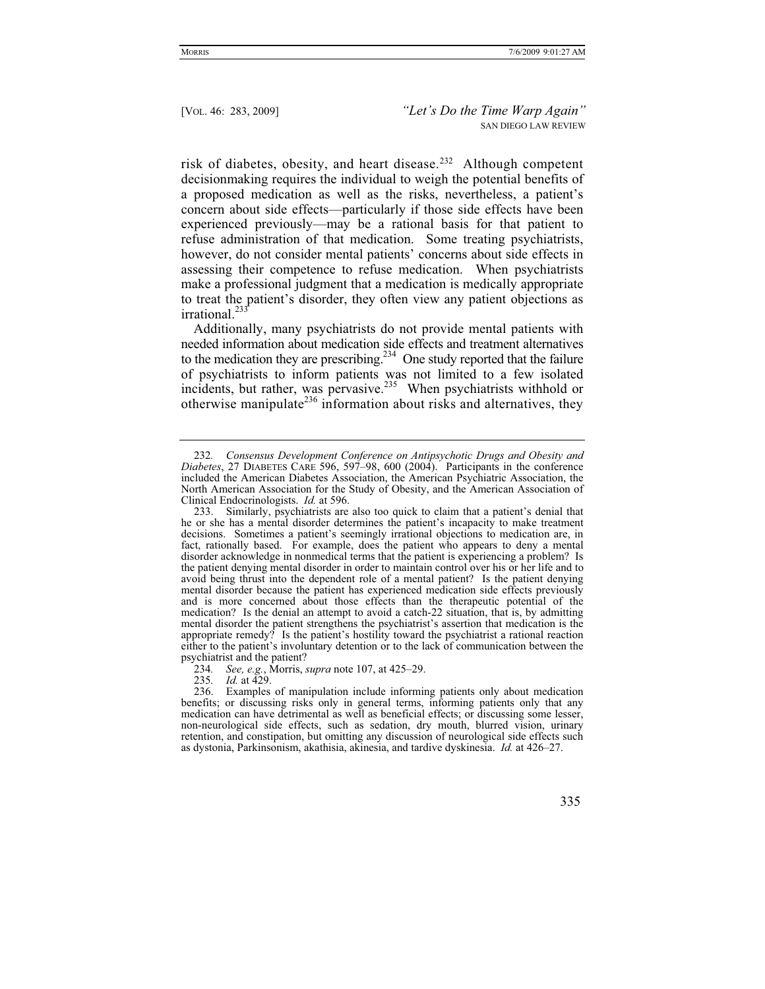risk of diabetes, obesity, and heart disease.232 Although competent decisionmaking requires the individual to weigh the potential benefits of a proposed medication as well as the risks, nevertheless, a patient's concern about side effects—particularly if those side effects have been experienced previously—may be a rational basis for that patient to refuse administration of that medication. Some treating psychiatrists, however, do not consider mental patients' concerns about side effects in assessing their competence to refuse medication. When psychiatrists make a professional judgment that a medication is medically appropriate to treat the patient's disorder, they often view any patient objections as irrational.<sup>233</sup>

Additionally, many psychiatrists do not provide mental patients with needed information about medication side effects and treatment alternatives to the medication they are prescribing.<sup>234</sup> One study reported that the failure of psychiatrists to inform patients was not limited to a few isolated incidents, but rather, was pervasive.<sup>235</sup> When psychiatrists withhold or otherwise manipulate<sup>236</sup> information about risks and alternatives, they

<sup>232</sup>*. Consensus Development Conference on Antipsychotic Drugs and Obesity and Diabetes*, 27 DIABETES CARE 596, 597–98, 600 (2004). Participants in the conference included the American Diabetes Association, the American Psychiatric Association, the North American Association for the Study of Obesity, and the American Association of Clinical Endocrinologists. *Id.* at 596.

 <sup>233.</sup> Similarly, psychiatrists are also too quick to claim that a patient's denial that he or she has a mental disorder determines the patient's incapacity to make treatment decisions. Sometimes a patient's seemingly irrational objections to medication are, in fact, rationally based. For example, does the patient who appears to deny a mental disorder acknowledge in nonmedical terms that the patient is experiencing a problem? Is the patient denying mental disorder in order to maintain control over his or her life and to avoid being thrust into the dependent role of a mental patient? Is the patient denying mental disorder because the patient has experienced medication side effects previously and is more concerned about those effects than the therapeutic potential of the medication? Is the denial an attempt to avoid a catch-22 situation, that is, by admitting mental disorder the patient strengthens the psychiatrist's assertion that medication is the appropriate remedy? Is the patient's hostility toward the psychiatrist a rational reaction either to the patient's involuntary detention or to the lack of communication between the psychiatrist and the patient?

<sup>234</sup>*. See, e.g.*, Morris, *supra* note 107, at 425–29.

<sup>235</sup>*. Id.* at 429.

 <sup>236.</sup> Examples of manipulation include informing patients only about medication benefits; or discussing risks only in general terms, informing patients only that any medication can have detrimental as well as beneficial effects; or discussing some lesser, non-neurological side effects, such as sedation, dry mouth, blurred vision, urinary retention, and constipation, but omitting any discussion of neurological side effects such as dystonia, Parkinsonism, akathisia, akinesia, and tardive dyskinesia. *Id.* at 426–27.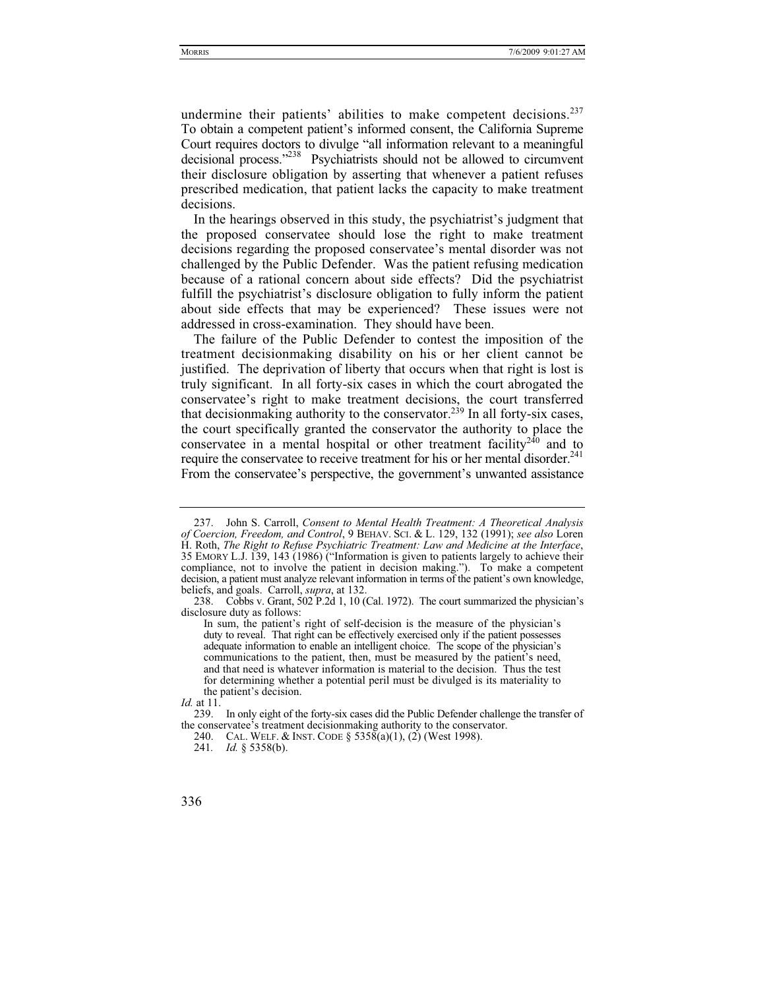undermine their patients' abilities to make competent decisions.<sup>237</sup> To obtain a competent patient's informed consent, the California Supreme Court requires doctors to divulge "all information relevant to a meaningful decisional process."<sup>238</sup> Psychiatrists should not be allowed to circumvent their disclosure obligation by asserting that whenever a patient refuses prescribed medication, that patient lacks the capacity to make treatment decisions.

In the hearings observed in this study, the psychiatrist's judgment that the proposed conservatee should lose the right to make treatment decisions regarding the proposed conservatee's mental disorder was not challenged by the Public Defender. Was the patient refusing medication because of a rational concern about side effects? Did the psychiatrist fulfill the psychiatrist's disclosure obligation to fully inform the patient about side effects that may be experienced? These issues were not addressed in cross-examination. They should have been.

The failure of the Public Defender to contest the imposition of the treatment decisionmaking disability on his or her client cannot be justified. The deprivation of liberty that occurs when that right is lost is truly significant. In all forty-six cases in which the court abrogated the conservatee's right to make treatment decisions, the court transferred that decision making authority to the conservator.<sup>239</sup> In all forty-six cases, the court specifically granted the conservator the authority to place the conservatee in a mental hospital or other treatment facility<sup> $240$ </sup> and to require the conservatee to receive treatment for his or her mental disorder.<sup>241</sup> From the conservatee's perspective, the government's unwanted assistance

 <sup>237.</sup> John S. Carroll, *Consent to Mental Health Treatment: A Theoretical Analysis of Coercion, Freedom, and Control*, 9 BEHAV. SCI. & L. 129, 132 (1991); *see also* Loren H. Roth, *The Right to Refuse Psychiatric Treatment: Law and Medicine at the Interface*, 35 EMORY L.J. 139, 143 (1986) ("Information is given to patients largely to achieve their compliance, not to involve the patient in decision making."). To make a competent decision, a patient must analyze relevant information in terms of the patient's own knowledge, beliefs, and goals. Carroll, *supra*, at 132.

 <sup>238.</sup> Cobbs v. Grant, 502 P.2d 1, 10 (Cal. 1972). The court summarized the physician's disclosure duty as follows:

In sum, the patient's right of self-decision is the measure of the physician's duty to reveal. That right can be effectively exercised only if the patient possesses adequate information to enable an intelligent choice. The scope of the physician's communications to the patient, then, must be measured by the patient's need, and that need is whatever information is material to the decision. Thus the test for determining whether a potential peril must be divulged is its materiality to the patient's decision.

*Id.* at 11.

 <sup>239.</sup> In only eight of the forty-six cases did the Public Defender challenge the transfer of the conservatee's treatment decisionmaking authority to the conservator.

 <sup>240.</sup> CAL. WELF.&INST. CODE § 5358(a)(1), (2) (West 1998).

<sup>241</sup>*. Id.* § 5358(b).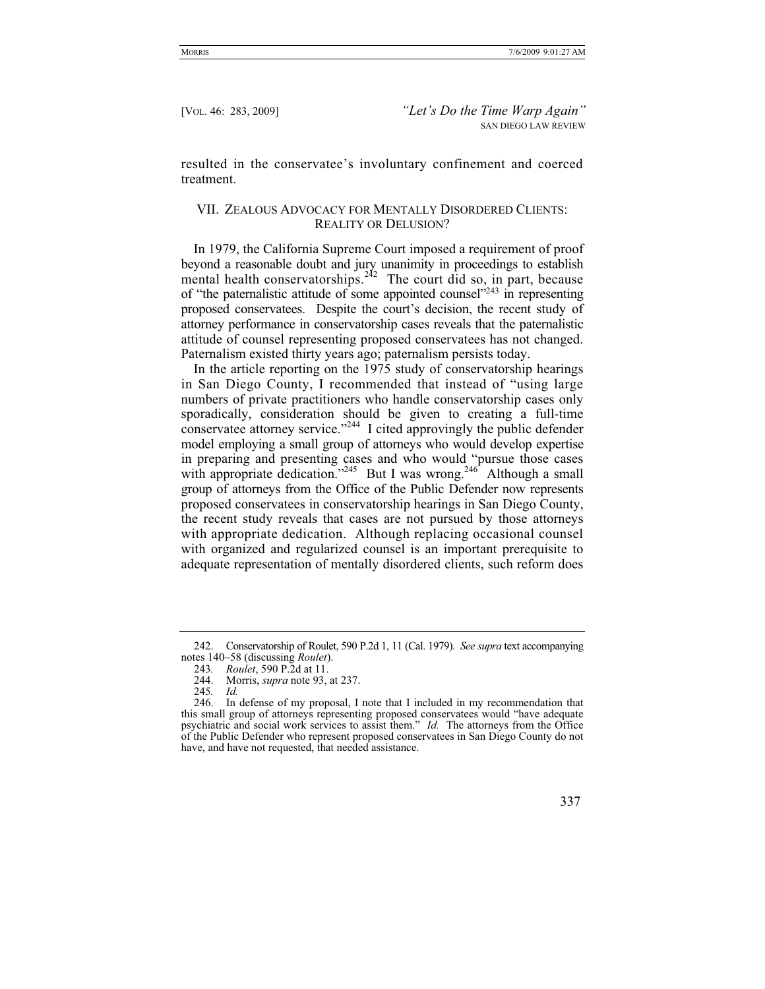resulted in the conservatee's involuntary confinement and coerced treatment.

## VII. ZEALOUS ADVOCACY FOR MENTALLY DISORDERED CLIENTS: REALITY OR DELUSION?

In 1979, the California Supreme Court imposed a requirement of proof beyond a reasonable doubt and jury unanimity in proceedings to establish mental health conservatorships.<sup>242</sup> The court did so, in part, because of "the paternalistic attitude of some appointed counsel"<sup>243</sup> in representing proposed conservatees. Despite the court's decision, the recent study of attorney performance in conservatorship cases reveals that the paternalistic attitude of counsel representing proposed conservatees has not changed. Paternalism existed thirty years ago; paternalism persists today.

In the article reporting on the 1975 study of conservatorship hearings in San Diego County, I recommended that instead of "using large numbers of private practitioners who handle conservatorship cases only sporadically, consideration should be given to creating a full-time conservatee attorney service."244 I cited approvingly the public defender model employing a small group of attorneys who would develop expertise in preparing and presenting cases and who would "pursue those cases with appropriate dedication."<sup>245</sup> But I was wrong.<sup>246</sup> Although a small group of attorneys from the Office of the Public Defender now represents proposed conservatees in conservatorship hearings in San Diego County, the recent study reveals that cases are not pursued by those attorneys with appropriate dedication. Although replacing occasional counsel with organized and regularized counsel is an important prerequisite to adequate representation of mentally disordered clients, such reform does

 <sup>242.</sup> Conservatorship of Roulet, 590 P.2d 1, 11 (Cal. 1979). *See supra* text accompanying notes 140–58 (discussing *Roulet*).

<sup>243</sup>*. Roulet*, 590 P.2d at 11.

 <sup>244.</sup> Morris, *supra* note 93, at 237.

<sup>245</sup>*. Id.*

 <sup>246.</sup> In defense of my proposal, I note that I included in my recommendation that this small group of attorneys representing proposed conservatees would "have adequate psychiatric and social work services to assist them." *Id.* The attorneys from the Office of the Public Defender who represent proposed conservatees in San Diego County do not have, and have not requested, that needed assistance.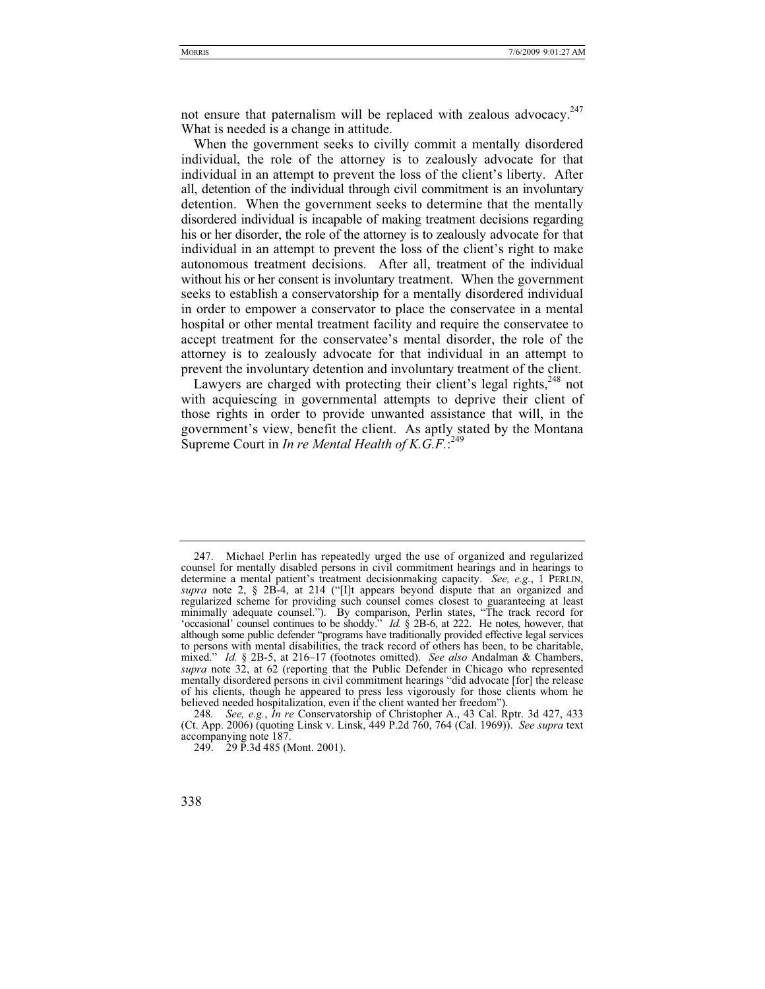not ensure that paternalism will be replaced with zealous advocacy.<sup>247</sup> What is needed is a change in attitude.

When the government seeks to civilly commit a mentally disordered individual, the role of the attorney is to zealously advocate for that individual in an attempt to prevent the loss of the client's liberty. After all, detention of the individual through civil commitment is an involuntary detention. When the government seeks to determine that the mentally disordered individual is incapable of making treatment decisions regarding his or her disorder, the role of the attorney is to zealously advocate for that individual in an attempt to prevent the loss of the client's right to make autonomous treatment decisions. After all, treatment of the individual without his or her consent is involuntary treatment. When the government seeks to establish a conservatorship for a mentally disordered individual in order to empower a conservator to place the conservatee in a mental hospital or other mental treatment facility and require the conservatee to accept treatment for the conservatee's mental disorder, the role of the attorney is to zealously advocate for that individual in an attempt to prevent the involuntary detention and involuntary treatment of the client.

Lawyers are charged with protecting their client's legal rights, $248$  not with acquiescing in governmental attempts to deprive their client of those rights in order to provide unwanted assistance that will, in the government's view, benefit the client. As aptly stated by the Montana Supreme Court in *In re Mental Health of K.G.F.*<sup>249</sup>

 <sup>247.</sup> Michael Perlin has repeatedly urged the use of organized and regularized counsel for mentally disabled persons in civil commitment hearings and in hearings to determine a mental patient's treatment decision making capacity. See, e.g., 1 PERLIN, supra note 2, § 2B-4, at 214 ("[I]t appears beyond dispute that an organized and regularized scheme for providing such counsel comes closest to guaranteeing at least minimally adequate counsel."). By comparison, Perlin states, "The track record for 'occasional' counsel continues to be shoddy." *Id.* § 2B-6, at 222. He notes, however, that although some public defender "programs have traditionally provided effective legal services to persons with mental disabilities, the track record of others has been, to be charitable, mixed." *Id.* § 2B-5, at 216–17 (footnotes omitted). *See also* Andalman & Chambers, *supra* note 32, at 62 (reporting that the Public Defender in Chicago who represented mentally disordered persons in civil commitment hearings "did advocate [for] the release of his clients, though he appeared to press less vigorously for those clients whom he believed needed hospitalization, even if the client wanted her freedom").

<sup>248</sup>*. See, e.g.*, *In re* Conservatorship of Christopher A., 43 Cal. Rptr. 3d 427, 433 (Ct. App. 2006) (quoting Linsk v. Linsk, 449 P.2d 760, 764 (Cal. 1969)). *See supra* text accompanying note 187.

 <sup>249. 29</sup> P.3d 485 (Mont. 2001).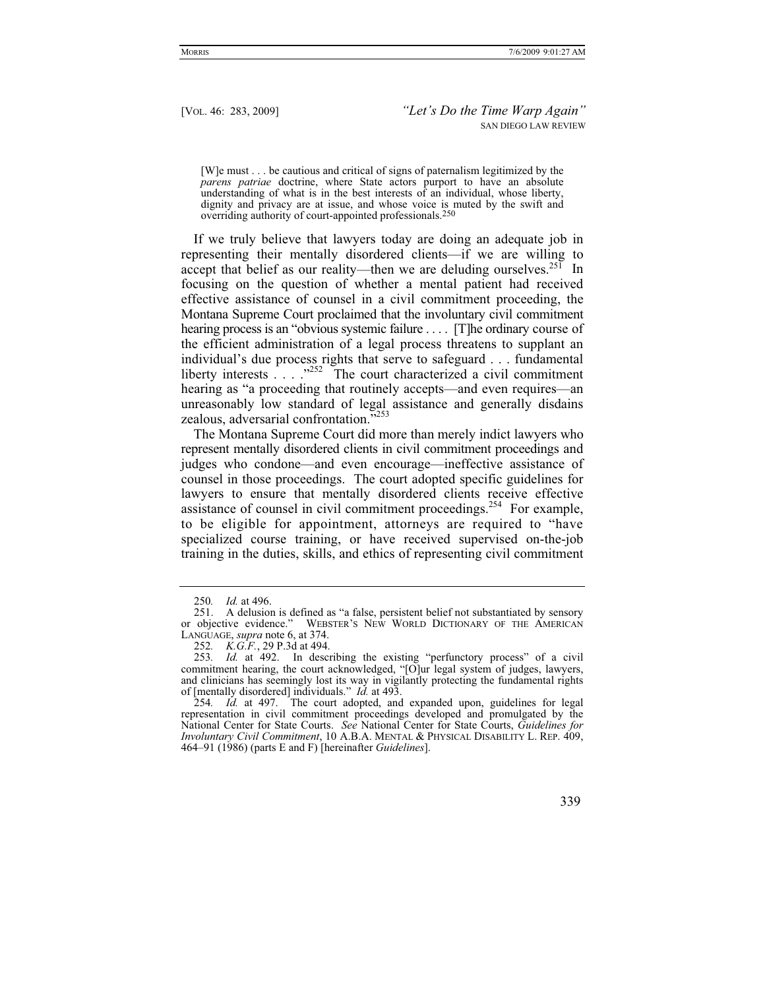[W]e must . . . be cautious and critical of signs of paternalism legitimized by the *parens patriae* doctrine, where State actors purport to have an absolute understanding of what is in the best interests of an individual, whose liberty, dignity and privacy are at issue, and whose voice is muted by the swift and overriding authority of court-appointed professionals.250

If we truly believe that lawyers today are doing an adequate job in representing their mentally disordered clients—if we are willing to accept that belief as our reality—then we are deluding ourselves.<sup>251</sup> In focusing on the question of whether a mental patient had received effective assistance of counsel in a civil commitment proceeding, the Montana Supreme Court proclaimed that the involuntary civil commitment hearing process is an "obvious systemic failure .... [T]he ordinary course of the efficient administration of a legal process threatens to supplant an individual's due process rights that serve to safeguard . . . fundamental liberty interests  $\ldots$  ...<sup>7252</sup> The court characterized a civil commitment hearing as "a proceeding that routinely accepts—and even requires—an unreasonably low standard of legal assistance and generally disdains zealous, adversarial confrontation."253

The Montana Supreme Court did more than merely indict lawyers who represent mentally disordered clients in civil commitment proceedings and judges who condone—and even encourage—ineffective assistance of counsel in those proceedings. The court adopted specific guidelines for lawyers to ensure that mentally disordered clients receive effective assistance of counsel in civil commitment proceedings.<sup>254</sup> For example, to be eligible for appointment, attorneys are required to "have specialized course training, or have received supervised on-the-job training in the duties, skills, and ethics of representing civil commitment

<sup>250</sup>*. Id.* at 496.

 <sup>251.</sup> A delusion is defined as "a false, persistent belief not substantiated by sensory or objective evidence." WEBSTER'S NEW WORLD DICTIONARY OF THE AMERICAN LANGUAGE, *supra* note 6, at 374.

<sup>252</sup>*. K.G.F.*, 29 P.3d at 494.

<sup>253</sup>*. Id.* at 492. In describing the existing "perfunctory process" of a civil commitment hearing, the court acknowledged, "[O]ur legal system of judges, lawyers, and clinicians has seemingly lost its way in vigilantly protecting the fundamental rights of [mentally disordered] individuals." *Id.* at 493.

<sup>254</sup>*. Id.* at 497. The court adopted, and expanded upon, guidelines for legal representation in civil commitment proceedings developed and promulgated by the National Center for State Courts. *See* National Center for State Courts, *Guidelines for Involuntary Civil Commitment*, 10 A.B.A. MENTAL & PHYSICAL DISABILITY L. REP. 409, 464–91 (1986) (parts E and F) [hereinafter *Guidelines*].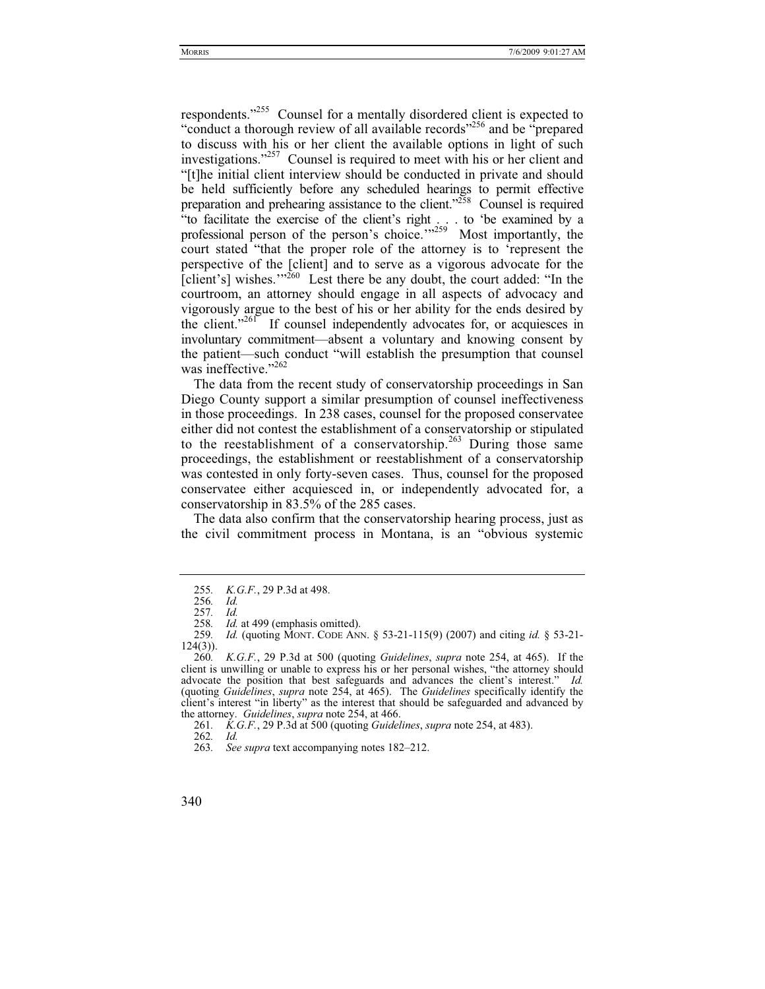respondents."255 Counsel for a mentally disordered client is expected to "conduct a thorough review of all available records"256 and be "prepared to discuss with his or her client the available options in light of such investigations."<sup>257</sup> Counsel is required to meet with his or her client and "[t]he initial client interview should be conducted in private and should be held sufficiently before any scheduled hearings to permit effective preparation and prehearing assistance to the client."258 Counsel is required "to facilitate the exercise of the client's right . . . to 'be examined by a professional person of the person's choice."<sup>259</sup> Most importantly, the court stated "that the proper role of the attorney is to 'represent the perspective of the [client] and to serve as a vigorous advocate for the [client's] wishes." $260$  Lest there be any doubt, the court added: "In the courtroom, an attorney should engage in all aspects of advocacy and vigorously argue to the best of his or her ability for the ends desired by the client."<sup>261</sup> If counsel independently advocates for, or acquiesces in involuntary commitment—absent a voluntary and knowing consent by the patient—such conduct "will establish the presumption that counsel was ineffective." $262$ 

The data from the recent study of conservatorship proceedings in San Diego County support a similar presumption of counsel ineffectiveness in those proceedings. In 238 cases, counsel for the proposed conservatee either did not contest the establishment of a conservatorship or stipulated to the reestablishment of a conservatorship.<sup>263</sup> During those same proceedings, the establishment or reestablishment of a conservatorship was contested in only forty-seven cases. Thus, counsel for the proposed conservatee either acquiesced in, or independently advocated for, a conservatorship in 83.5% of the 285 cases.

The data also confirm that the conservatorship hearing process, just as the civil commitment process in Montana, is an "obvious systemic

<sup>255</sup>*. K.G.F.*, 29 P.3d at 498.

<sup>256</sup>*. Id.*

<sup>257</sup>*. Id.*

<sup>258</sup>*. Id.* at 499 (emphasis omitted).

<sup>259</sup>*. Id.* (quoting MONT. CODE ANN. § 53-21-115(9) (2007) and citing *id.* § 53-21-  $124(3)$ ).

<sup>260</sup>*. K.G.F.*, 29 P.3d at 500 (quoting *Guidelines*, *supra* note 254, at 465). If the client is unwilling or unable to express his or her personal wishes, "the attorney should advocate the position that best safeguards and advances the client's interest." *Id.*  (quoting *Guidelines*, *supra* note 254, at 465). The *Guidelines* specifically identify the client's interest "in liberty" as the interest that should be safeguarded and advanced by the attorney. *Guidelines*, *supra* note 254, at 466.

<sup>261</sup>*. K.G.F.*, 29 P.3d at 500 (quoting *Guidelines*, *supra* note 254, at 483).

<sup>262</sup>*. Id.*

<sup>263</sup>*. See supra* text accompanying notes 182–212.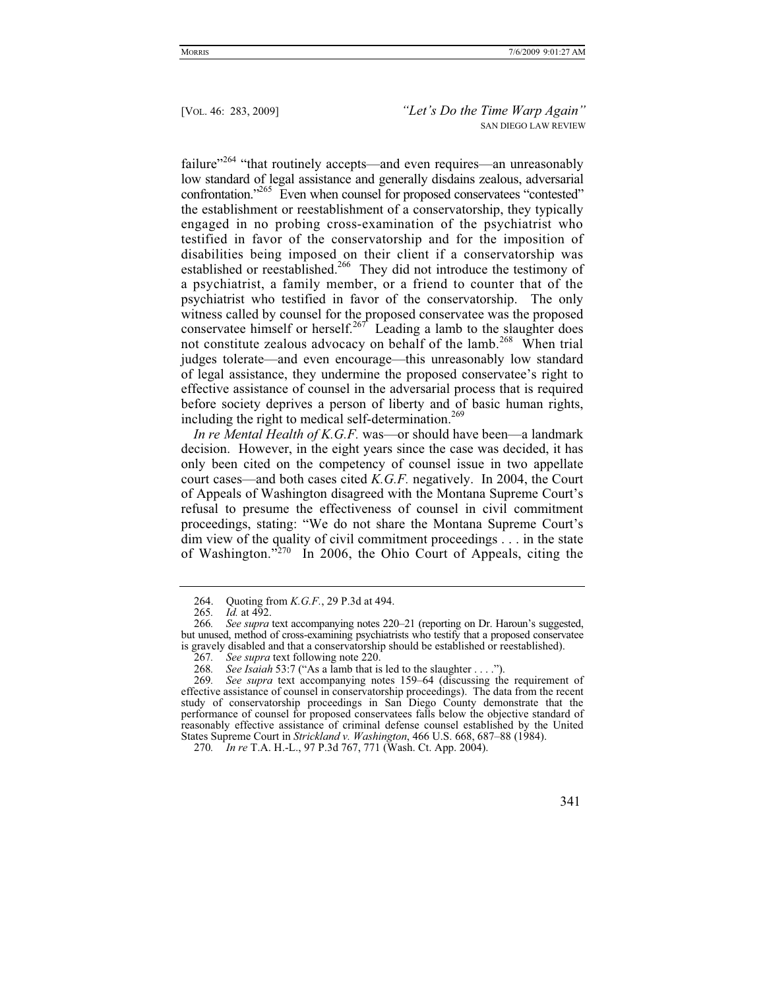failure"<sup>264</sup> "that routinely accepts—and even requires—an unreasonably low standard of legal assistance and generally disdains zealous, adversarial confrontation."<sup>265</sup> Even when counsel for proposed conservatees "contested" the establishment or reestablishment of a conservatorship, they typically engaged in no probing cross-examination of the psychiatrist who testified in favor of the conservatorship and for the imposition of disabilities being imposed on their client if a conservatorship was established or reestablished.<sup>266</sup> They did not introduce the testimony of a psychiatrist, a family member, or a friend to counter that of the psychiatrist who testified in favor of the conservatorship. The only witness called by counsel for the proposed conservatee was the proposed conservatee himself or herself.<sup>267</sup> Leading a lamb to the slaughter does not constitute zealous advocacy on behalf of the lamb.<sup>268</sup> When trial judges tolerate—and even encourage—this unreasonably low standard of legal assistance, they undermine the proposed conservatee's right to effective assistance of counsel in the adversarial process that is required before society deprives a person of liberty and of basic human rights, including the right to medical self-determination.<sup>269</sup>

*In re Mental Health of K.G.F.* was—or should have been—a landmark decision. However, in the eight years since the case was decided, it has only been cited on the competency of counsel issue in two appellate court cases—and both cases cited *K.G.F.* negatively. In 2004, the Court of Appeals of Washington disagreed with the Montana Supreme Court's refusal to presume the effectiveness of counsel in civil commitment proceedings, stating: "We do not share the Montana Supreme Court's dim view of the quality of civil commitment proceedings . . . in the state of Washington."270 In 2006, the Ohio Court of Appeals, citing the

 <sup>264.</sup> Quoting from *K.G.F.*, 29 P.3d at 494.

*Id.* at 492.

<sup>266</sup>*. See supra* text accompanying notes 220–21 (reporting on Dr. Haroun's suggested, but unused, method of cross-examining psychiatrists who testify that a proposed conservatee is gravely disabled and that a conservatorship should be established or reestablished).

<sup>267</sup>*. See supra* text following note 220.

<sup>268</sup>*. See Isaiah* 53:7 ("As a lamb that is led to the slaughter . . . .").

<sup>269</sup>*. See supra* text accompanying notes 159–64 (discussing the requirement of effective assistance of counsel in conservatorship proceedings). The data from the recent study of conservatorship proceedings in San Diego County demonstrate that the performance of counsel for proposed conservatees falls below the objective standard of reasonably effective assistance of criminal defense counsel established by the United States Supreme Court in *Strickland v. Washington*, 466 U.S. 668, 687–88 (1984).

<sup>270</sup>*. In re* T.A. H.-L., 97 P.3d 767, 771 (Wash. Ct. App. 2004).